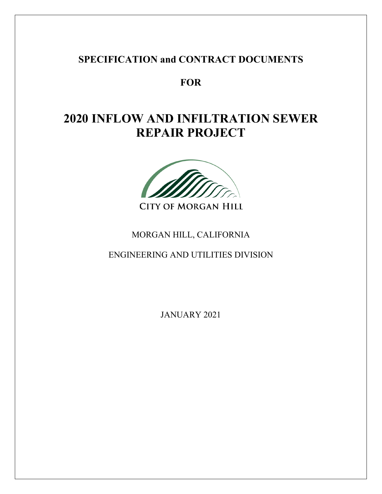# **SPECIFICATION and CONTRACT DOCUMENTS**

**FOR** 

# **2020 INFLOW AND INFILTRATION SEWER REPAIR PROJECT**



# MORGAN HILL, CALIFORNIA

ENGINEERING AND UTILITIES DIVISION

JANUARY 2021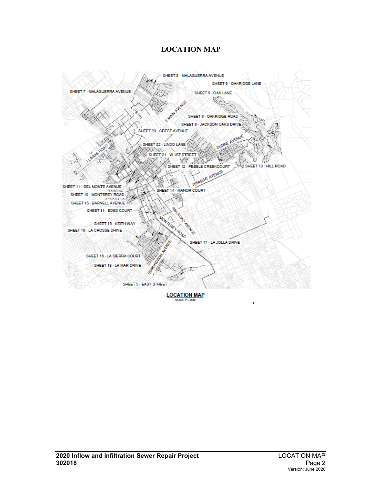#### **LOCATION MAP**

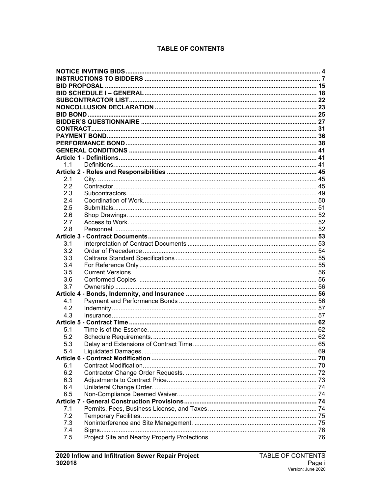#### **TABLE OF CONTENTS**

| 1.1 |  |
|-----|--|
| 2.1 |  |
| 2.2 |  |
| 2.3 |  |
| 2.4 |  |
| 2.5 |  |
| 2.6 |  |
| 2.7 |  |
| 2.8 |  |
|     |  |
| 3.1 |  |
| 3.2 |  |
| 3.3 |  |
| 3.4 |  |
| 3.5 |  |
| 3.6 |  |
| 3.7 |  |
|     |  |
| 4.1 |  |
| 4.2 |  |
| 4.3 |  |
| 5.1 |  |
| 5.2 |  |
| 5.3 |  |
| 5.4 |  |
|     |  |
| 6.1 |  |
| 6.2 |  |
| 6.3 |  |
| 6.4 |  |
| 6.5 |  |
|     |  |
| 7.1 |  |
| 7.2 |  |
| 7.3 |  |
| 7.4 |  |
| 7.5 |  |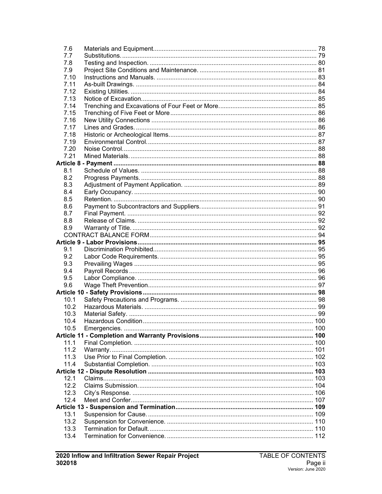| 7.6          |  |
|--------------|--|
| 7.7          |  |
| 7.8          |  |
| 7.9          |  |
| 7.10         |  |
| 7.11         |  |
| 7.12         |  |
| 7.13         |  |
| 7.14         |  |
| 7.15         |  |
| 7.16         |  |
| 7.17         |  |
| 7.18         |  |
| 7.19         |  |
| 7.20         |  |
| 7.21         |  |
|              |  |
| 8.1          |  |
| 8.2          |  |
| 8.3          |  |
| 8.4          |  |
| 8.5          |  |
| 8.6          |  |
| 8.7          |  |
| 8.8<br>8.9   |  |
|              |  |
|              |  |
| 9.1          |  |
| 9.2          |  |
| 9.3          |  |
| 9.4          |  |
| 9.5          |  |
| 9.6          |  |
|              |  |
| 10.1         |  |
| 10.2         |  |
| 10.3         |  |
| 10.4         |  |
| 10.5         |  |
|              |  |
| 11.1         |  |
| 11.2         |  |
| 11.3         |  |
| 11.4         |  |
|              |  |
| 12.1         |  |
| 12.2         |  |
| 12.3<br>12.4 |  |
|              |  |
| 13.1         |  |
| 13.2         |  |
| 13.3         |  |
| 13.4         |  |
|              |  |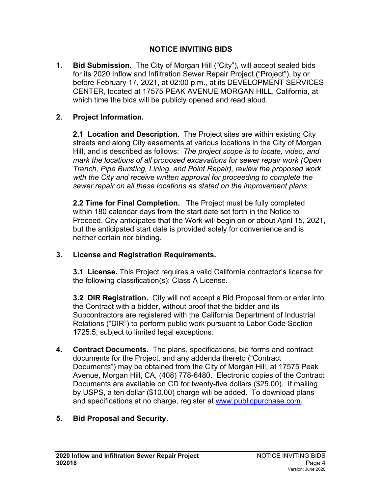## **NOTICE INVITING BIDS**

<span id="page-5-0"></span>**1. Bid Submission.** The City of Morgan Hill ("City"), will accept sealed bids for its 2020 Inflow and Infiltration Sewer Repair Project ("Project"), by or before February 17, 2021, at 02:00 p.m., at its DEVELOPMENT SERVICES CENTER, located at 17575 PEAK AVENUE MORGAN HILL, California, at which time the bids will be publicly opened and read aloud.

## **2. Project Information.**

**2.1 Location and Description.** The Project sites are within existing City streets and along City easements at various locations in the City of Morgan Hill, and is described as follows: *The project scope is to locate, video, and mark the locations of all proposed excavations for sewer repair work (Open Trench, Pipe Bursting, Lining, and Point Repair), review the proposed work with the City and receive written approval for proceeding to complete the sewer repair on all these locations as stated on the improvement plans.*

**2.2 Time for Final Completion.** The Project must be fully completed within 180 calendar days from the start date set forth in the Notice to Proceed. City anticipates that the Work will begin on or about April 15, 2021, but the anticipated start date is provided solely for convenience and is neither certain nor binding.

## **3. License and Registration Requirements.**

**3.1 License.** This Project requires a valid California contractor's license for the following classification(s): Class A License.

**3.2 DIR Registration.** City will not accept a Bid Proposal from or enter into the Contract with a bidder, without proof that the bidder and its Subcontractors are registered with the California Department of Industrial Relations ("DIR") to perform public work pursuant to Labor Code Section 1725.5, subject to limited legal exceptions.

**4. Contract Documents.** The plans, specifications, bid forms and contract documents for the Project, and any addenda thereto ("Contract Documents") may be obtained from the City of Morgan Hill, at 17575 Peak Avenue, Morgan Hill, CA, (408) 778-6480. Electronic copies of the Contract Documents are available on CD for twenty-five dollars (\$25.00). If mailing by USPS, a ten dollar (\$10.00) charge will be added. To download plans and specifications at no charge, register at [www.publicpurchase.com.](http://www.publicpurchase.com/)

## **5. Bid Proposal and Security.**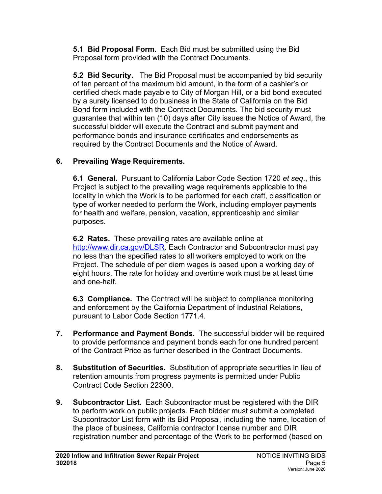**5.1 Bid Proposal Form.** Each Bid must be submitted using the Bid Proposal form provided with the Contract Documents.

**5.2 Bid Security.** The Bid Proposal must be accompanied by bid security of ten percent of the maximum bid amount, in the form of a cashier's or certified check made payable to City of Morgan Hill, or a bid bond executed by a surety licensed to do business in the State of California on the Bid Bond form included with the Contract Documents. The bid security must guarantee that within ten (10) days after City issues the Notice of Award, the successful bidder will execute the Contract and submit payment and performance bonds and insurance certificates and endorsements as required by the Contract Documents and the Notice of Award.

# **6. Prevailing Wage Requirements.**

**6.1 General.**Pursuant to California Labor Code Section 1720 *et seq*., this Project is subject to the prevailing wage requirements applicable to the locality in which the Work is to be performed for each craft, classification or type of worker needed to perform the Work, including employer payments for health and welfare, pension, vacation, apprenticeship and similar purposes.

**6.2 Rates.**These prevailing rates are available online at [http://www.dir.ca.gov/DLSR.](http://www.dir.ca.gov/DLSR) Each Contractor and Subcontractor must pay no less than the specified rates to all workers employed to work on the Project. The schedule of per diem wages is based upon a working day of eight hours. The rate for holiday and overtime work must be at least time and one-half.

**6.3 Compliance.** The Contract will be subject to compliance monitoring and enforcement by the California Department of Industrial Relations, pursuant to Labor Code Section 1771.4.

- **7. Performance and Payment Bonds.** The successful bidder will be required to provide performance and payment bonds each for one hundred percent of the Contract Price as further described in the Contract Documents.
- **8. Substitution of Securities.** Substitution of appropriate securities in lieu of retention amounts from progress payments is permitted under Public Contract Code Section 22300.
- **9. Subcontractor List.** Each Subcontractor must be registered with the DIR to perform work on public projects. Each bidder must submit a completed Subcontractor List form with its Bid Proposal, including the name, location of the place of business, California contractor license number and DIR registration number and percentage of the Work to be performed (based on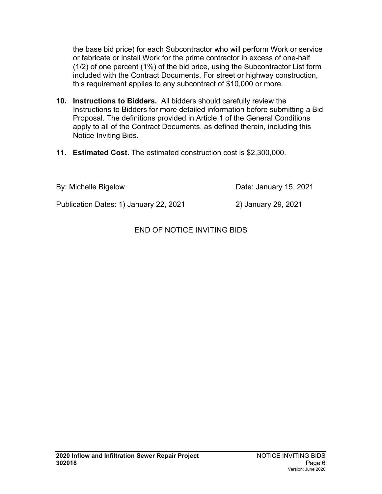the base bid price) for each Subcontractor who will perform Work or service or fabricate or install Work for the prime contractor in excess of one-half (1/2) of one percent (1%) of the bid price, using the Subcontractor List form included with the Contract Documents. For street or highway construction, this requirement applies to any subcontract of \$10,000 or more.

- **10. Instructions to Bidders.** All bidders should carefully review the Instructions to Bidders for more detailed information before submitting a Bid Proposal. The definitions provided in Article 1 of the General Conditions apply to all of the Contract Documents, as defined therein, including this Notice Inviting Bids.
- **11. Estimated Cost.** The estimated construction cost is \$2,300,000.

By: Michelle Bigelow Date: January 15, 2021

Publication Dates: 1) January 22, 2021 2) January 29, 2021

END OF NOTICE INVITING BIDS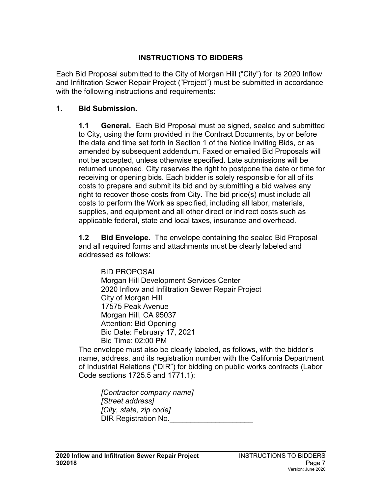## **INSTRUCTIONS TO BIDDERS**

<span id="page-8-0"></span>Each Bid Proposal submitted to the City of Morgan Hill ("City") for its 2020 Inflow and Infiltration Sewer Repair Project ("Project") must be submitted in accordance with the following instructions and requirements:

#### **1. Bid Submission.**

**1.1 General.** Each Bid Proposal must be signed, sealed and submitted to City, using the form provided in the Contract Documents, by or before the date and time set forth in Section 1 of the Notice Inviting Bids, or as amended by subsequent addendum. Faxed or emailed Bid Proposals will not be accepted, unless otherwise specified. Late submissions will be returned unopened. City reserves the right to postpone the date or time for receiving or opening bids. Each bidder is solely responsible for all of its costs to prepare and submit its bid and by submitting a bid waives any right to recover those costs from City. The bid price(s) must include all costs to perform the Work as specified, including all labor, materials, supplies, and equipment and all other direct or indirect costs such as applicable federal, state and local taxes, insurance and overhead.

**1.2 Bid Envelope.** The envelope containing the sealed Bid Proposal and all required forms and attachments must be clearly labeled and addressed as follows:

BID PROPOSAL Morgan Hill Development Services Center 2020 Inflow and Infiltration Sewer Repair Project City of Morgan Hill 17575 Peak Avenue Morgan Hill, CA 95037 Attention: Bid Opening Bid Date: February 17, 2021 Bid Time: 02:00 PM

The envelope must also be clearly labeled, as follows, with the bidder's name, address, and its registration number with the California Department of Industrial Relations ("DIR") for bidding on public works contracts (Labor Code sections 1725.5 and 1771.1):

*[Contractor company name] [Street address] [City, state, zip code]* DIR Registration No.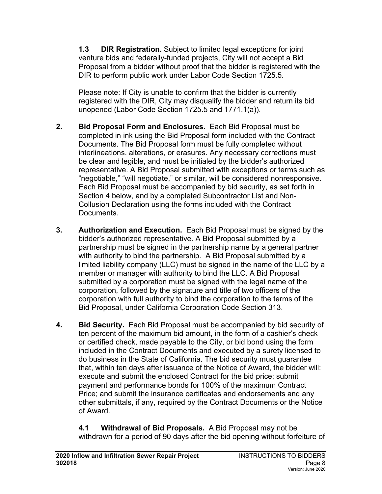**1.3 DIR Registration.** Subject to limited legal exceptions for joint venture bids and federally-funded projects, City will not accept a Bid Proposal from a bidder without proof that the bidder is registered with the DIR to perform public work under Labor Code Section 1725.5.

Please note: If City is unable to confirm that the bidder is currently registered with the DIR, City may disqualify the bidder and return its bid unopened (Labor Code Section 1725.5 and 1771.1(a)).

- **2. Bid Proposal Form and Enclosures.** Each Bid Proposal must be completed in ink using the Bid Proposal form included with the Contract Documents. The Bid Proposal form must be fully completed without interlineations, alterations, or erasures. Any necessary corrections must be clear and legible, and must be initialed by the bidder's authorized representative. A Bid Proposal submitted with exceptions or terms such as "negotiable," "will negotiate," or similar, will be considered nonresponsive. Each Bid Proposal must be accompanied by bid security, as set forth in Section 4 below, and by a completed Subcontractor List and Non-Collusion Declaration using the forms included with the Contract Documents.
- **3. Authorization and Execution.** Each Bid Proposal must be signed by the bidder's authorized representative. A Bid Proposal submitted by a partnership must be signed in the partnership name by a general partner with authority to bind the partnership. A Bid Proposal submitted by a limited liability company (LLC) must be signed in the name of the LLC by a member or manager with authority to bind the LLC. A Bid Proposal submitted by a corporation must be signed with the legal name of the corporation, followed by the signature and title of two officers of the corporation with full authority to bind the corporation to the terms of the Bid Proposal, under California Corporation Code Section 313.
- **4. Bid Security.** Each Bid Proposal must be accompanied by bid security of ten percent of the maximum bid amount, in the form of a cashier's check or certified check, made payable to the City, or bid bond using the form included in the Contract Documents and executed by a surety licensed to do business in the State of California. The bid security must guarantee that, within ten days after issuance of the Notice of Award, the bidder will: execute and submit the enclosed Contract for the bid price; submit payment and performance bonds for 100% of the maximum Contract Price; and submit the insurance certificates and endorsements and any other submittals, if any, required by the Contract Documents or the Notice of Award.

**4.1 Withdrawal of Bid Proposals.** A Bid Proposal may not be withdrawn for a period of 90 days after the bid opening without forfeiture of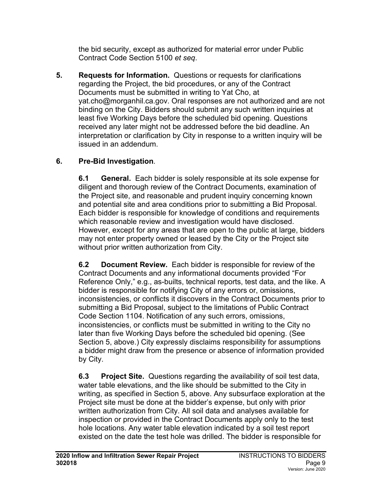the bid security, except as authorized for material error under Public Contract Code Section 5100 *et seq*.

**5. Requests for Information.** Questions or requests for clarifications regarding the Project, the bid procedures, or any of the Contract Documents must be submitted in writing to Yat Cho, at yat.cho@morganhil.ca.gov. Oral responses are not authorized and are not binding on the City. Bidders should submit any such written inquiries at least five Working Days before the scheduled bid opening. Questions received any later might not be addressed before the bid deadline. An interpretation or clarification by City in response to a written inquiry will be issued in an addendum.

# **6. Pre-Bid Investigation**.

**6.1 General.** Each bidder is solely responsible at its sole expense for diligent and thorough review of the Contract Documents, examination of the Project site, and reasonable and prudent inquiry concerning known and potential site and area conditions prior to submitting a Bid Proposal. Each bidder is responsible for knowledge of conditions and requirements which reasonable review and investigation would have disclosed. However, except for any areas that are open to the public at large, bidders may not enter property owned or leased by the City or the Project site without prior written authorization from City.

**6.2 Document Review.** Each bidder is responsible for review of the Contract Documents and any informational documents provided "For Reference Only," e.g., as-builts, technical reports, test data, and the like. A bidder is responsible for notifying City of any errors or, omissions, inconsistencies, or conflicts it discovers in the Contract Documents prior to submitting a Bid Proposal, subject to the limitations of Public Contract Code Section 1104. Notification of any such errors, omissions, inconsistencies, or conflicts must be submitted in writing to the City no later than five Working Days before the scheduled bid opening. (See Section 5, above.) City expressly disclaims responsibility for assumptions a bidder might draw from the presence or absence of information provided by City.

**6.3 Project Site.** Questions regarding the availability of soil test data, water table elevations, and the like should be submitted to the City in writing, as specified in Section 5, above. Any subsurface exploration at the Project site must be done at the bidder's expense, but only with prior written authorization from City. All soil data and analyses available for inspection or provided in the Contract Documents apply only to the test hole locations. Any water table elevation indicated by a soil test report existed on the date the test hole was drilled. The bidder is responsible for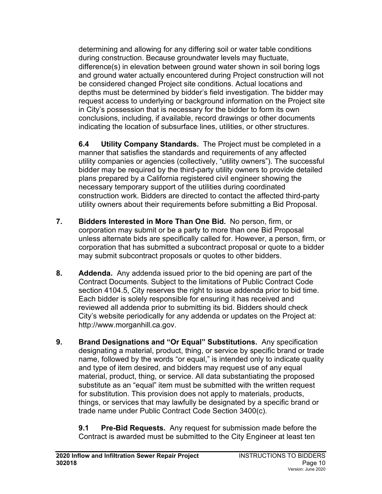determining and allowing for any differing soil or water table conditions during construction. Because groundwater levels may fluctuate, difference(s) in elevation between ground water shown in soil boring logs and ground water actually encountered during Project construction will not be considered changed Project site conditions. Actual locations and depths must be determined by bidder's field investigation. The bidder may request access to underlying or background information on the Project site in City's possession that is necessary for the bidder to form its own conclusions, including, if available, record drawings or other documents indicating the location of subsurface lines, utilities, or other structures.

**6.4 Utility Company Standards.** The Project must be completed in a manner that satisfies the standards and requirements of any affected utility companies or agencies (collectively, "utility owners"). The successful bidder may be required by the third-party utility owners to provide detailed plans prepared by a California registered civil engineer showing the necessary temporary support of the utilities during coordinated construction work. Bidders are directed to contact the affected third-party utility owners about their requirements before submitting a Bid Proposal.

- **7. Bidders Interested in More Than One Bid.** No person, firm, or corporation may submit or be a party to more than one Bid Proposal unless alternate bids are specifically called for. However, a person, firm, or corporation that has submitted a subcontract proposal or quote to a bidder may submit subcontract proposals or quotes to other bidders.
- **8. Addenda.** Any addenda issued prior to the bid opening are part of the Contract Documents. Subject to the limitations of Public Contract Code section 4104.5, City reserves the right to issue addenda prior to bid time. Each bidder is solely responsible for ensuring it has received and reviewed all addenda prior to submitting its bid. Bidders should check City's website periodically for any addenda or updates on the Project at: http://www.morganhill.ca.gov.
- **9. Brand Designations and "Or Equal" Substitutions.** Any specification designating a material, product, thing, or service by specific brand or trade name, followed by the words "or equal," is intended only to indicate quality and type of item desired, and bidders may request use of any equal material, product, thing, or service. All data substantiating the proposed substitute as an "equal" item must be submitted with the written request for substitution. This provision does not apply to materials, products, things, or services that may lawfully be designated by a specific brand or trade name under Public Contract Code Section 3400(c).

**9.1 Pre-Bid Requests.** Any request for submission made before the Contract is awarded must be submitted to the City Engineer at least ten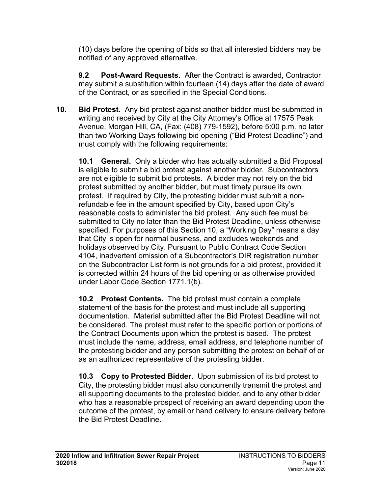(10) days before the opening of bids so that all interested bidders may be notified of any approved alternative.

**9.2 Post-Award Requests.** After the Contract is awarded, Contractor may submit a substitution within fourteen (14) days after the date of award of the Contract, or as specified in the Special Conditions.

**10. Bid Protest.** Any bid protest against another bidder must be submitted in writing and received by City at the City Attorney's Office at 17575 Peak Avenue, Morgan Hill, CA, (Fax: (408) 779-1592), before 5:00 p.m. no later than two Working Days following bid opening ("Bid Protest Deadline") and must comply with the following requirements:

**10.1 General.**Only a bidder who has actually submitted a Bid Proposal is eligible to submit a bid protest against another bidder. Subcontractors are not eligible to submit bid protests. A bidder may not rely on the bid protest submitted by another bidder, but must timely pursue its own protest. If required by City, the protesting bidder must submit a nonrefundable fee in the amount specified by City, based upon City's reasonable costs to administer the bid protest. Any such fee must be submitted to City no later than the Bid Protest Deadline, unless otherwise specified. For purposes of this Section 10, a "Working Day" means a day that City is open for normal business, and excludes weekends and holidays observed by City. Pursuant to Public Contract Code Section 4104, inadvertent omission of a Subcontractor's DIR registration number on the Subcontractor List form is not grounds for a bid protest, provided it is corrected within 24 hours of the bid opening or as otherwise provided under Labor Code Section 1771.1(b).

**10.2 Protest Contents.** The bid protest must contain a complete statement of the basis for the protest and must include all supporting documentation. Material submitted after the Bid Protest Deadline will not be considered. The protest must refer to the specific portion or portions of the Contract Documents upon which the protest is based. The protest must include the name, address, email address, and telephone number of the protesting bidder and any person submitting the protest on behalf of or as an authorized representative of the protesting bidder.

**10.3 Copy to Protested Bidder.**Upon submission of its bid protest to City, the protesting bidder must also concurrently transmit the protest and all supporting documents to the protested bidder, and to any other bidder who has a reasonable prospect of receiving an award depending upon the outcome of the protest, by email or hand delivery to ensure delivery before the Bid Protest Deadline.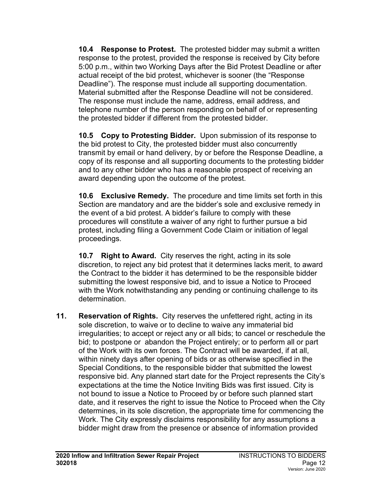**10.4 Response to Protest.**The protested bidder may submit a written response to the protest, provided the response is received by City before 5:00 p.m., within two Working Days after the Bid Protest Deadline or after actual receipt of the bid protest, whichever is sooner (the "Response Deadline"). The response must include all supporting documentation. Material submitted after the Response Deadline will not be considered. The response must include the name, address, email address, and telephone number of the person responding on behalf of or representing the protested bidder if different from the protested bidder.

**10.5 Copy to Protesting Bidder.**Upon submission of its response to the bid protest to City, the protested bidder must also concurrently transmit by email or hand delivery, by or before the Response Deadline, a copy of its response and all supporting documents to the protesting bidder and to any other bidder who has a reasonable prospect of receiving an award depending upon the outcome of the protest.

**10.6 Exclusive Remedy.**The procedure and time limits set forth in this Section are mandatory and are the bidder's sole and exclusive remedy in the event of a bid protest. A bidder's failure to comply with these procedures will constitute a waiver of any right to further pursue a bid protest, including filing a Government Code Claim or initiation of legal proceedings.

**10.7 Right to Award.**City reserves the right, acting in its sole discretion, to reject any bid protest that it determines lacks merit, to award the Contract to the bidder it has determined to be the responsible bidder submitting the lowest responsive bid, and to issue a Notice to Proceed with the Work notwithstanding any pending or continuing challenge to its determination.

**11. Reservation of Rights.** City reserves the unfettered right, acting in its sole discretion, to waive or to decline to waive any immaterial bid irregularities; to accept or reject any or all bids; to cancel or reschedule the bid; to postpone or abandon the Project entirely; or to perform all or part of the Work with its own forces. The Contract will be awarded, if at all, within ninety days after opening of bids or as otherwise specified in the Special Conditions, to the responsible bidder that submitted the lowest responsive bid. Any planned start date for the Project represents the City's expectations at the time the Notice Inviting Bids was first issued. City is not bound to issue a Notice to Proceed by or before such planned start date, and it reserves the right to issue the Notice to Proceed when the City determines, in its sole discretion, the appropriate time for commencing the Work. The City expressly disclaims responsibility for any assumptions a bidder might draw from the presence or absence of information provided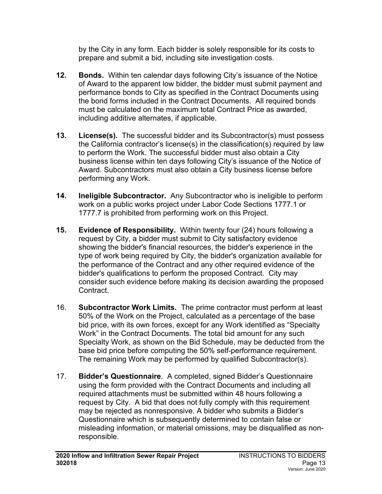by the City in any form. Each bidder is solely responsible for its costs to prepare and submit a bid, including site investigation costs.

- **12. Bonds.** Within ten calendar days following City's issuance of the Notice of Award to the apparent low bidder, the bidder must submit payment and performance bonds to City as specified in the Contract Documents using the bond forms included in the Contract Documents. All required bonds must be calculated on the maximum total Contract Price as awarded, including additive alternates, if applicable.
- **13. License(s).** The successful bidder and its Subcontractor(s) must possess the California contractor's license(s) in the classification(s) required by law to perform the Work. The successful bidder must also obtain a City business license within ten days following City's issuance of the Notice of Award. Subcontractors must also obtain a City business license before performing any Work.
- **14. Ineligible Subcontractor.** Any Subcontractor who is ineligible to perform work on a public works project under Labor Code Sections 1777.1 or 1777.7 is prohibited from performing work on this Project.
- **15. Evidence of Responsibility.** Within twenty four (24) hours following a request by City, a bidder must submit to City satisfactory evidence showing the bidder's financial resources, the bidder's experience in the type of work being required by City, the bidder's organization available for the performance of the Contract and any other required evidence of the bidder's qualifications to perform the proposed Contract. City may consider such evidence before making its decision awarding the proposed Contract.
- 16. **Subcontractor Work Limits.** The prime contractor must perform at least 50% of the Work on the Project, calculated as a percentage of the base bid price, with its own forces, except for any Work identified as "Specialty Work" in the Contract Documents. The total bid amount for any such Specialty Work, as shown on the Bid Schedule, may be deducted from the base bid price before computing the 50% self-performance requirement. The remaining Work may be performed by qualified Subcontractor(s).
- 17. **Bidder's Questionnaire**. A completed, signed Bidder's Questionnaire using the form provided with the Contract Documents and including all required attachments must be submitted within 48 hours following a request by City. A bid that does not fully comply with this requirement may be rejected as nonresponsive. A bidder who submits a Bidder's Questionnaire which is subsequently determined to contain false or misleading information, or material omissions, may be disqualified as nonresponsible.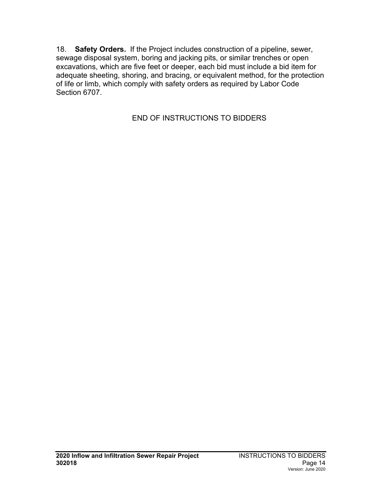18. **Safety Orders.** If the Project includes construction of a pipeline, sewer, sewage disposal system, boring and jacking pits, or similar trenches or open excavations, which are five feet or deeper, each bid must include a bid item for adequate sheeting, shoring, and bracing, or equivalent method, for the protection of life or limb, which comply with safety orders as required by Labor Code Section 6707.

END OF INSTRUCTIONS TO BIDDERS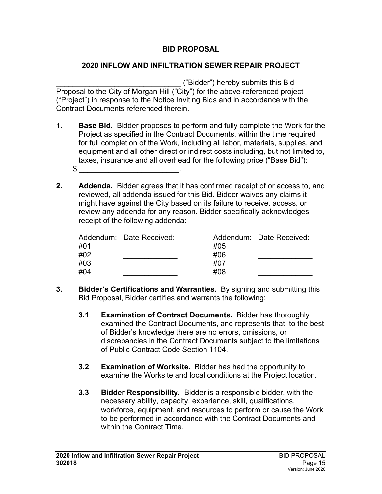## **BID PROPOSAL**

#### <span id="page-16-0"></span>**2020 INFLOW AND INFILTRATION SEWER REPAIR PROJECT**

\_\_\_\_\_\_\_\_\_\_\_\_\_\_\_\_\_\_\_\_\_\_\_\_\_\_\_\_\_\_ ("Bidder") hereby submits this Bid Proposal to the City of Morgan Hill ("City") for the above-referenced project ("Project") in response to the Notice Inviting Bids and in accordance with the Contract Documents referenced therein.

- **1. Base Bid.** Bidder proposes to perform and fully complete the Work for the Project as specified in the Contract Documents, within the time required for full completion of the Work, including all labor, materials, supplies, and equipment and all other direct or indirect costs including, but not limited to, taxes, insurance and all overhead for the following price ("Base Bid"):  $\mathbb S$
- **2. Addenda.** Bidder agrees that it has confirmed receipt of or access to, and reviewed, all addenda issued for this Bid. Bidder waives any claims it might have against the City based on its failure to receive, access, or review any addenda for any reason. Bidder specifically acknowledges receipt of the following addenda:

|     | Addendum: Date Received: |     | Addendum: Date Received: |
|-----|--------------------------|-----|--------------------------|
| #01 |                          | #05 |                          |
| #02 |                          | #06 |                          |
| #03 |                          | #07 |                          |
| #04 |                          | #08 |                          |

- **3. Bidder's Certifications and Warranties.** By signing and submitting this Bid Proposal, Bidder certifies and warrants the following:
	- **3.1 Examination of Contract Documents.**Bidder has thoroughly examined the Contract Documents, and represents that, to the best of Bidder's knowledge there are no errors, omissions, or discrepancies in the Contract Documents subject to the limitations of Public Contract Code Section 1104.
	- **3.2 Examination of Worksite.** Bidder has had the opportunity to examine the Worksite and local conditions at the Project location.
	- **3.3 Bidder Responsibility.**Bidder is a responsible bidder, with the necessary ability, capacity, experience, skill, qualifications, workforce, equipment, and resources to perform or cause the Work to be performed in accordance with the Contract Documents and within the Contract Time.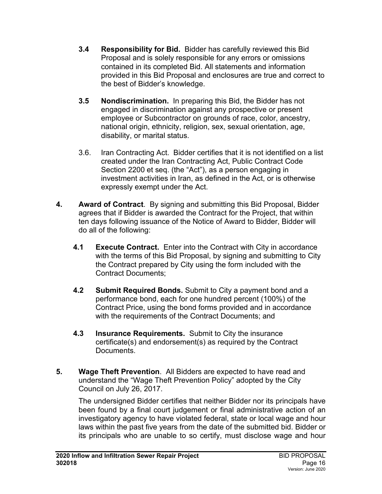- **3.4 Responsibility for Bid.**Bidder has carefully reviewed this Bid Proposal and is solely responsible for any errors or omissions contained in its completed Bid. All statements and information provided in this Bid Proposal and enclosures are true and correct to the best of Bidder's knowledge.
- **3.5 Nondiscrimination.** In preparing this Bid, the Bidder has not engaged in discrimination against any prospective or present employee or Subcontractor on grounds of race, color, ancestry, national origin, ethnicity, religion, sex, sexual orientation, age, disability, or marital status.
- 3.6. Iran Contracting Act. Bidder certifies that it is not identified on a list created under the Iran Contracting Act, Public Contract Code Section 2200 et seq. (the "Act"), as a person engaging in investment activities in Iran, as defined in the Act, or is otherwise expressly exempt under the Act.
- **4. Award of Contract**. By signing and submitting this Bid Proposal, Bidder agrees that if Bidder is awarded the Contract for the Project, that within ten days following issuance of the Notice of Award to Bidder, Bidder will do all of the following:
	- **4.1 Execute Contract.** Enter into the Contract with City in accordance with the terms of this Bid Proposal, by signing and submitting to City the Contract prepared by City using the form included with the Contract Documents;
	- **4.2 Submit Required Bonds.** Submit to City a payment bond and a performance bond, each for one hundred percent (100%) of the Contract Price, using the bond forms provided and in accordance with the requirements of the Contract Documents; and
	- **4.3 Insurance Requirements.** Submit to City the insurance certificate(s) and endorsement(s) as required by the Contract Documents.
- **5. Wage Theft Prevention**. All Bidders are expected to have read and understand the "Wage Theft Prevention Policy" adopted by the City Council on July 26, 2017.

The undersigned Bidder certifies that neither Bidder nor its principals have been found by a final court judgement or final administrative action of an investigatory agency to have violated federal, state or local wage and hour laws within the past five years from the date of the submitted bid. Bidder or its principals who are unable to so certify, must disclose wage and hour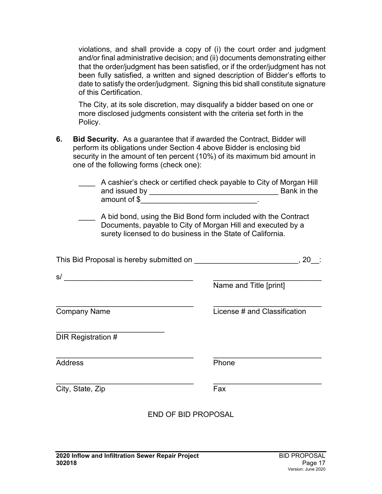violations, and shall provide a copy of (i) the court order and judgment and/or final administrative decision; and (ii) documents demonstrating either that the order/judgment has been satisfied, or if the order/judgment has not been fully satisfied, a written and signed description of Bidder's efforts to date to satisfy the order/judgment. Signing this bid shall constitute signature of this Certification.

The City, at its sole discretion, may disqualify a bidder based on one or more disclosed judgments consistent with the criteria set forth in the Policy.

**6. Bid Security.** As a guarantee that if awarded the Contract, Bidder will perform its obligations under Section 4 above Bidder is enclosing bid security in the amount of ten percent (10%) of its maximum bid amount in one of the following forms (check one):

|                                                                       | A cashier's check or certified check payable to City of Morgan Hill<br>A bid bond, using the Bid Bond form included with the Contract<br>Documents, payable to City of Morgan Hill and executed by a<br>surety licensed to do business in the State of California. |                              |     |  |  |
|-----------------------------------------------------------------------|--------------------------------------------------------------------------------------------------------------------------------------------------------------------------------------------------------------------------------------------------------------------|------------------------------|-----|--|--|
| This Bid Proposal is hereby submitted on ____________________________ |                                                                                                                                                                                                                                                                    |                              | ,20 |  |  |
|                                                                       |                                                                                                                                                                                                                                                                    |                              |     |  |  |
|                                                                       |                                                                                                                                                                                                                                                                    | Name and Title [print]       |     |  |  |
| <b>Company Name</b>                                                   |                                                                                                                                                                                                                                                                    | License # and Classification |     |  |  |
| <b>DIR Registration #</b>                                             |                                                                                                                                                                                                                                                                    |                              |     |  |  |
| <b>Address</b>                                                        |                                                                                                                                                                                                                                                                    | Phone                        |     |  |  |
| City, State, Zip                                                      |                                                                                                                                                                                                                                                                    | Fax                          |     |  |  |
|                                                                       | END OF BID PROPOSAI                                                                                                                                                                                                                                                |                              |     |  |  |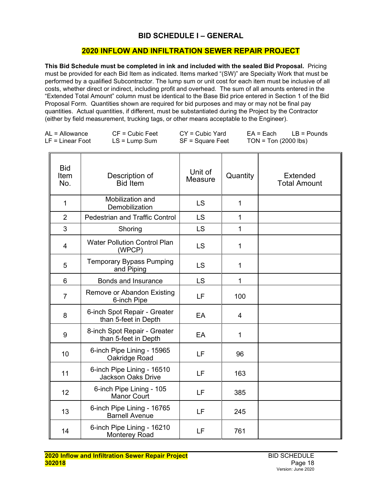#### **BID SCHEDULE I – GENERAL**

#### **2020 INFLOW AND INFILTRATION SEWER REPAIR PROJECT**

<span id="page-19-0"></span>**This Bid Schedule must be completed in ink and included with the sealed Bid Proposal.** Pricing must be provided for each Bid Item as indicated. Items marked "(SW)" are Specialty Work that must be performed by a qualified Subcontractor. The lump sum or unit cost for each item must be inclusive of all costs, whether direct or indirect, including profit and overhead. The sum of all amounts entered in the "Extended Total Amount" column must be identical to the Base Bid price entered in Section 1 of the Bid Proposal Form. Quantities shown are required for bid purposes and may or may not be final pay quantities. Actual quantities, if different, must be substantiated during the Project by the Contractor (either by field measurement, trucking tags, or other means acceptable to the Engineer).

| $AL =$ Allowance   | $CF = Cubic Feet$ | $CY = Cubic Yard$ | $EA = Each$          | $LB =$ Pounds |
|--------------------|-------------------|-------------------|----------------------|---------------|
| $LF = Linear Foot$ | $LS = Lump Sum$   | SF = Square Feet  | TON = Ton (2000 lbs) |               |

| <b>Bid</b><br>Item<br>No. | Description of<br><b>Bid</b> Item                       | Unit of<br>Measure | Quantity       | <b>Extended</b><br><b>Total Amount</b> |
|---------------------------|---------------------------------------------------------|--------------------|----------------|----------------------------------------|
| 1                         | Mobilization and<br>Demobilization                      | <b>LS</b>          | $\mathbf{1}$   |                                        |
| $\overline{2}$            | <b>Pedestrian and Traffic Control</b>                   | <b>LS</b>          | $\mathbf{1}$   |                                        |
| 3                         | Shoring                                                 | <b>LS</b>          | $\mathbf{1}$   |                                        |
| 4                         | <b>Water Pollution Control Plan</b><br>(WPCP)           | <b>LS</b>          | $\mathbf{1}$   |                                        |
| 5                         | <b>Temporary Bypass Pumping</b><br>and Piping           | <b>LS</b>          | $\mathbf{1}$   |                                        |
| 6                         | Bonds and Insurance                                     | LS                 | 1              |                                        |
| $\overline{7}$            | Remove or Abandon Existing<br>6-inch Pipe               | LF                 | 100            |                                        |
| 8                         | 6-inch Spot Repair - Greater<br>than 5-feet in Depth    | EA                 | $\overline{4}$ |                                        |
| 9                         | 8-inch Spot Repair - Greater<br>than 5-feet in Depth    | EA                 | $\mathbf{1}$   |                                        |
| 10                        | 6-inch Pipe Lining - 15965<br>Oakridge Road             | LF                 | 96             |                                        |
| 11                        | 6-inch Pipe Lining - 16510<br><b>Jackson Oaks Drive</b> | LF                 | 163            |                                        |
| 12                        | 6-inch Pipe Lining - 105<br><b>Manor Court</b>          | LF                 | 385            |                                        |
| 13                        | 6-inch Pipe Lining - 16765<br><b>Barnell Avenue</b>     | LF                 | 245            |                                        |
| 14                        | 6-inch Pipe Lining - 16210<br><b>Monterey Road</b>      | LF                 | 761            |                                        |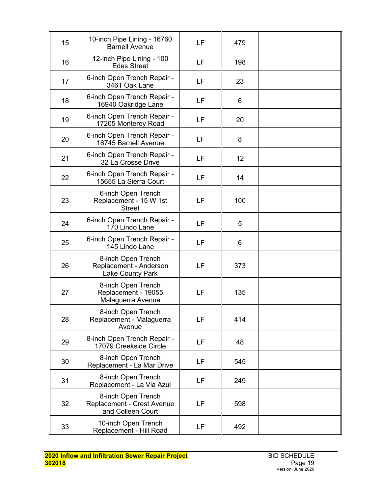| 15 | 10-inch Pipe Lining - 16760<br><b>Barnell Avenue</b>                    | LF | 479 |  |
|----|-------------------------------------------------------------------------|----|-----|--|
| 16 | 12-inch Pipe Lining - 100<br><b>Edes Street</b>                         | LF | 198 |  |
| 17 | 6-inch Open Trench Repair -<br>3461 Oak Lane                            | LF | 23  |  |
| 18 | 6-inch Open Trench Repair -<br>16940 Oakridge Lane                      | LF | 6   |  |
| 19 | 6-inch Open Trench Repair -<br>17205 Monterey Road                      | LF | 20  |  |
| 20 | 6-inch Open Trench Repair -<br>16745 Barnell Avenue                     | LF | 8   |  |
| 21 | 6-inch Open Trench Repair -<br>32 La Crosse Drive                       | LF | 12  |  |
| 22 | 6-inch Open Trench Repair -<br>15655 La Sierra Court                    | LF | 14  |  |
| 23 | 6-inch Open Trench<br>Replacement - 15 W 1st<br><b>Street</b>           | LF | 100 |  |
| 24 | 6-inch Open Trench Repair -<br>170 Lindo Lane                           | LF | 5   |  |
| 25 | 6-inch Open Trench Repair -<br>145 Lindo Lane                           | LF | 6   |  |
| 26 | 8-inch Open Trench<br>Replacement - Anderson<br><b>Lake County Park</b> | LF | 373 |  |
| 27 | 8-inch Open Trench<br>Replacement - 19055<br>Malaguerra Avenue          | LF | 135 |  |
| 28 | 8-inch Open Trench<br>Replacement - Malaguerra<br>Avenue                | LF | 414 |  |
| 29 | 8-inch Open Trench Repair -<br>17079 Creekside Circle                   | LF | 48  |  |
| 30 | 8-inch Open Trench<br>Replacement - La Mar Drive                        | LF | 545 |  |
| 31 | 8-inch Open Trench<br>Replacement - La Via Azul                         | LF | 249 |  |
| 32 | 8-inch Open Trench<br>Replacement - Crest Avenue<br>and Colleen Court   | LF | 598 |  |
| 33 | 10-inch Open Trench<br>Replacement - Hill Road                          | LF | 492 |  |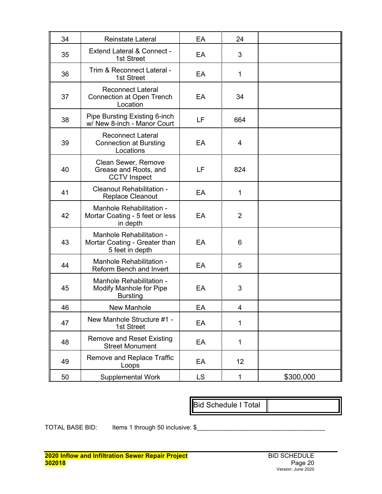| 34 | <b>Reinstate Lateral</b>                                                     | EA        | 24             |           |
|----|------------------------------------------------------------------------------|-----------|----------------|-----------|
| 35 | <b>Extend Lateral &amp; Connect -</b><br>1st Street                          | EA        | 3              |           |
| 36 | Trim & Reconnect Lateral -<br>1st Street                                     | EA        | 1              |           |
| 37 | <b>Reconnect Lateral</b><br><b>Connection at Open Trench</b><br>Location     | EA        | 34             |           |
| 38 | Pipe Bursting Existing 6-inch<br>w/ New 8-inch - Manor Court                 | LF        | 664            |           |
| 39 | <b>Reconnect Lateral</b><br><b>Connection at Bursting</b><br>Locations       | EA        | 4              |           |
| 40 | Clean Sewer, Remove<br>Grease and Roots, and<br><b>CCTV Inspect</b>          | LF        | 824            |           |
| 41 | Cleanout Rehabilitation -<br><b>Replace Cleanout</b>                         | EA        | 1              |           |
| 42 | Manhole Rehabilitation -<br>Mortar Coating - 5 feet or less<br>in depth      | EA        | 2              |           |
| 43 | Manhole Rehabilitation -<br>Mortar Coating - Greater than<br>5 feet in depth | EA        | 6              |           |
| 44 | Manhole Rehabilitation -<br>Reform Bench and Invert                          | EA        | 5              |           |
| 45 | Manhole Rehabilitation -<br>Modify Manhole for Pipe<br><b>Bursting</b>       | EA        | 3              |           |
| 46 | <b>New Manhole</b>                                                           | EA        | $\overline{4}$ |           |
| 47 | New Manhole Structure #1 -<br>1st Street                                     | EA        | 1              |           |
| 48 | <b>Remove and Reset Existing</b><br><b>Street Monument</b>                   | EA        | 1              |           |
| 49 | Remove and Replace Traffic<br>Loops                                          | EA        | 12             |           |
| 50 | Supplemental Work                                                            | <b>LS</b> | 1              | \$300,000 |

Bid Schedule I Total

TOTAL BASE BID: Items 1 through 50 inclusive: \$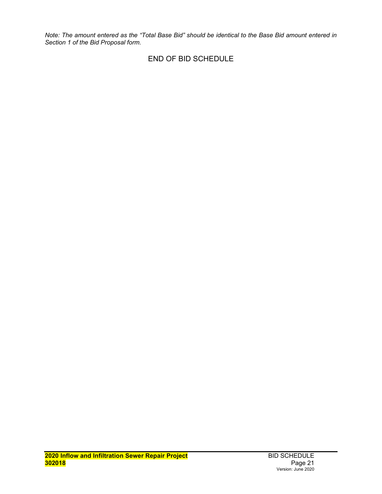*Note: The amount entered as the "Total Base Bid" should be identical to the Base Bid amount entered in Section 1 of the Bid Proposal form.*

#### END OF BID SCHEDULE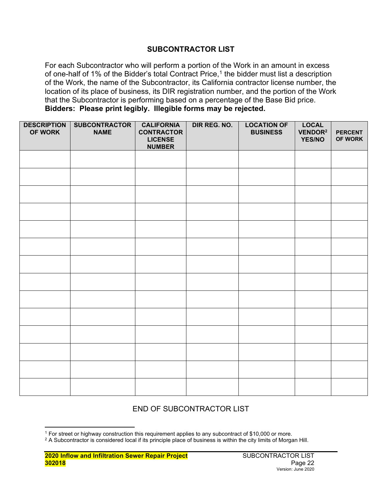#### **SUBCONTRACTOR LIST**

<span id="page-23-0"></span>For each Subcontractor who will perform a portion of the Work in an amount in excess of one-half of [1](#page-23-1)% of the Bidder's total Contract Price,<sup>1</sup> the bidder must list a description of the Work, the name of the Subcontractor, its California contractor license number, the location of its place of business, its DIR registration number, and the portion of the Work that the Subcontractor is performing based on a percentage of the Base Bid price. **Bidders: Please print legibly. Illegible forms may be rejected.**

| <b>DESCRIPTION</b><br>OF WORK | <b>SUBCONTRACTOR</b><br><b>NAME</b> | <b>CALIFORNIA</b><br><b>CONTRACTOR</b><br><b>LICENSE</b><br><b>NUMBER</b> | DIR REG. NO. | <b>LOCATION OF</b><br><b>BUSINESS</b> | <b>LOCAL</b><br>VENDOR <sup>2</sup><br><b>YES/NO</b> | <b>PERCENT</b><br>OF WORK |
|-------------------------------|-------------------------------------|---------------------------------------------------------------------------|--------------|---------------------------------------|------------------------------------------------------|---------------------------|
|                               |                                     |                                                                           |              |                                       |                                                      |                           |
|                               |                                     |                                                                           |              |                                       |                                                      |                           |
|                               |                                     |                                                                           |              |                                       |                                                      |                           |
|                               |                                     |                                                                           |              |                                       |                                                      |                           |
|                               |                                     |                                                                           |              |                                       |                                                      |                           |
|                               |                                     |                                                                           |              |                                       |                                                      |                           |
|                               |                                     |                                                                           |              |                                       |                                                      |                           |
|                               |                                     |                                                                           |              |                                       |                                                      |                           |
|                               |                                     |                                                                           |              |                                       |                                                      |                           |
|                               |                                     |                                                                           |              |                                       |                                                      |                           |
|                               |                                     |                                                                           |              |                                       |                                                      |                           |
|                               |                                     |                                                                           |              |                                       |                                                      |                           |
|                               |                                     |                                                                           |              |                                       |                                                      |                           |
|                               |                                     |                                                                           |              |                                       |                                                      |                           |

## END OF SUBCONTRACTOR LIST

<sup>1</sup> For street or highway construction this requirement applies to any subcontract of \$10,000 or more.

<span id="page-23-1"></span> $2$  A Subcontractor is considered local if its principle place of business is within the city limits of Morgan Hill.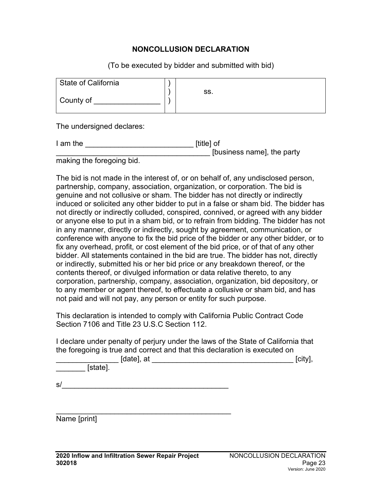#### **NONCOLLUSION DECLARATION**

(To be executed by bidder and submitted with bid)

<span id="page-24-0"></span>

| SS. |
|-----|
|     |

The undersigned declares:

I am the **I** am the **I** am the **I** am the **I** am in the **I** am in the **I** am in the **I** am in the **I** am in the **I** am in the **I** am in the **I** am in the **I** am in the **I** am in the **I** am in the **I** am in the **I** am in th \_\_\_\_\_\_\_\_\_\_\_\_\_\_\_\_\_\_\_\_\_\_\_\_\_\_\_\_\_\_\_\_\_\_\_\_\_ [business name], the party

making the foregoing bid.

The bid is not made in the interest of, or on behalf of, any undisclosed person, partnership, company, association, organization, or corporation. The bid is genuine and not collusive or sham. The bidder has not directly or indirectly induced or solicited any other bidder to put in a false or sham bid. The bidder has not directly or indirectly colluded, conspired, connived, or agreed with any bidder or anyone else to put in a sham bid, or to refrain from bidding. The bidder has not in any manner, directly or indirectly, sought by agreement, communication, or conference with anyone to fix the bid price of the bidder or any other bidder, or to fix any overhead, profit, or cost element of the bid price, or of that of any other bidder. All statements contained in the bid are true. The bidder has not, directly or indirectly, submitted his or her bid price or any breakdown thereof, or the contents thereof, or divulged information or data relative thereto, to any corporation, partnership, company, association, organization, bid depository, or to any member or agent thereof, to effectuate a collusive or sham bid, and has not paid and will not pay, any person or entity for such purpose.

This declaration is intended to comply with California Public Contract Code Section 7106 and Title 23 U.S.C Section 112.

I declare under penalty of perjury under the laws of the State of California that the foregoing is true and correct and that this declaration is executed on

\_\_\_\_\_\_\_\_\_\_\_\_\_\_\_ [date], at \_\_\_\_\_\_\_\_\_\_\_\_\_\_\_\_\_\_\_\_\_\_\_\_\_\_\_\_\_\_\_\_\_\_ [city],

\_\_\_\_\_\_\_ [state].

 $s/$ 

\_\_\_\_\_\_\_\_\_\_\_\_\_\_\_\_\_\_\_\_\_\_\_\_\_\_\_\_\_\_\_\_\_\_\_\_\_\_\_\_\_\_ Name [print]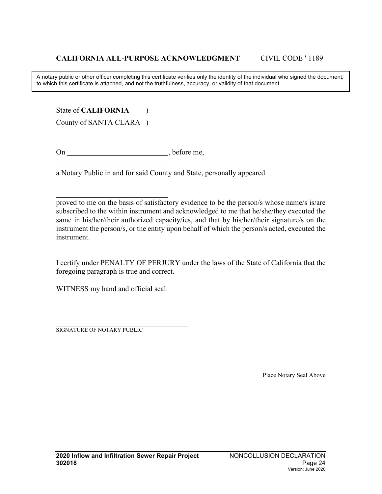A notary public or other officer completing this certificate verifies only the identity of the individual who signed the document, to which this certificate is attached, and not the truthfulness, accuracy, or validity of that document.

State of **CALIFORNIA** (1)

County of SANTA CLARA )

On , before me,

a Notary Public in and for said County and State, personally appeared

I certify under PENALTY OF PERJURY under the laws of the State of California that the foregoing paragraph is true and correct.

WITNESS my hand and official seal.

SIGNATURE OF NOTARY PUBLIC

Place Notary Seal Above

proved to me on the basis of satisfactory evidence to be the person/s whose name/s is/are subscribed to the within instrument and acknowledged to me that he/she/they executed the same in his/her/their authorized capacity/ies, and that by his/her/their signature/s on the instrument the person/s, or the entity upon behalf of which the person/s acted, executed the instrument.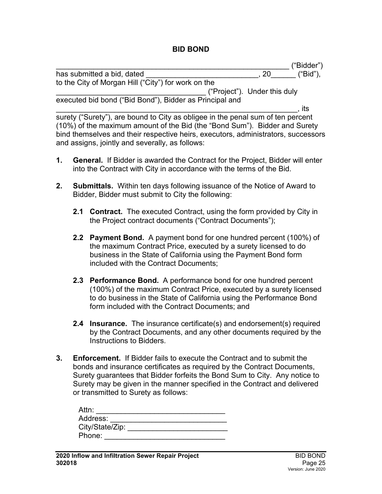#### **BID BOND**

<span id="page-26-0"></span>

|                                                                                   | ("Bidder")                   |
|-----------------------------------------------------------------------------------|------------------------------|
| has submitted a bid, dated                                                        | ("Bid"),<br>20               |
| to the City of Morgan Hill ("City") for work on the                               |                              |
|                                                                                   | ("Project"). Under this duly |
| executed bid bond ("Bid Bond"), Bidder as Principal and                           |                              |
|                                                                                   | its                          |
| surety ("Surety"), are bound to City as obligee in the penal sum of ten percent   |                              |
| (10%) of the maximum amount of the Bid (the "Bond Sum"). Bidder and Surety        |                              |
| bind themselves and their respective heirs, executors, administrators, successors |                              |

**1. General.** If Bidder is awarded the Contract for the Project, Bidder will enter into the Contract with City in accordance with the terms of the Bid.

and assigns, jointly and severally, as follows:

- **2. Submittals.** Within ten days following issuance of the Notice of Award to Bidder, Bidder must submit to City the following:
	- **2.1 Contract.** The executed Contract, using the form provided by City in the Project contract documents ("Contract Documents");
	- **2.2 Payment Bond.** A payment bond for one hundred percent (100%) of the maximum Contract Price, executed by a surety licensed to do business in the State of California using the Payment Bond form included with the Contract Documents;
	- **2.3 Performance Bond.** A performance bond for one hundred percent (100%) of the maximum Contract Price, executed by a surety licensed to do business in the State of California using the Performance Bond form included with the Contract Documents; and
	- **2.4 Insurance.** The insurance certificate(s) and endorsement(s) required by the Contract Documents, and any other documents required by the Instructions to Bidders.
- **3. Enforcement.** If Bidder fails to execute the Contract and to submit the bonds and insurance certificates as required by the Contract Documents, Surety guarantees that Bidder forfeits the Bond Sum to City. Any notice to Surety may be given in the manner specified in the Contract and delivered or transmitted to Surety as follows:

| Attn:           |  |
|-----------------|--|
| Address:        |  |
| City/State/Zip: |  |
| Phone:          |  |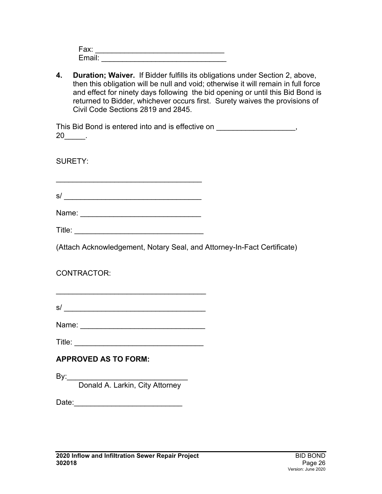| Fax:               |  |  |  |
|--------------------|--|--|--|
| Email <sup>.</sup> |  |  |  |

**4. Duration; Waiver.** If Bidder fulfills its obligations under Section 2, above, then this obligation will be null and void; otherwise it will remain in full force and effect for ninety days following the bid opening or until this Bid Bond is returned to Bidder, whichever occurs first. Surety waives the provisions of Civil Code Sections 2819 and 2845.

| This Bid Bond is entered into and is effective on |  |
|---------------------------------------------------|--|
| 20                                                |  |

SURETY:

s/ \_\_\_\_\_\_\_\_\_\_\_\_\_\_\_\_\_\_\_\_\_\_\_\_\_\_\_\_\_\_\_\_\_

\_\_\_\_\_\_\_\_\_\_\_\_\_\_\_\_\_\_\_\_\_\_\_\_\_\_\_\_\_\_\_\_\_\_\_

Name: \_\_\_\_\_\_\_\_\_\_\_\_\_\_\_\_\_\_\_\_\_\_\_\_\_\_\_\_\_

(Attach Acknowledgement, Notary Seal, and Attorney-In-Fact Certificate)

CONTRACTOR:

 $s/$ 

\_\_\_\_\_\_\_\_\_\_\_\_\_\_\_\_\_\_\_\_\_\_\_\_\_\_\_\_\_\_\_\_\_\_\_\_

Name: \_\_\_\_\_\_\_\_\_\_\_\_\_\_\_\_\_\_\_\_\_\_\_\_\_\_\_\_\_\_

Title: \_\_\_\_\_\_\_\_\_\_\_\_\_\_\_\_\_\_\_\_\_\_\_\_\_\_\_\_\_\_\_

# **APPROVED AS TO FORM:**

By:\_\_\_\_\_\_\_\_\_\_\_\_\_\_\_\_\_\_\_\_\_\_\_\_\_\_\_\_\_

Donald A. Larkin, City Attorney

Date:\_\_\_\_\_\_\_\_\_\_\_\_\_\_\_\_\_\_\_\_\_\_\_\_\_\_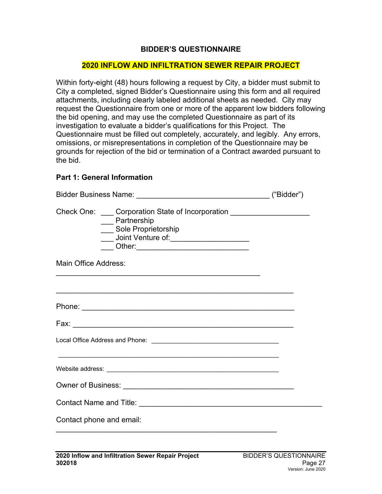#### **BIDDER'S QUESTIONNAIRE**

#### <span id="page-28-0"></span>**2020 INFLOW AND INFILTRATION SEWER REPAIR PROJECT**

Within forty-eight (48) hours following a request by City, a bidder must submit to City a completed, signed Bidder's Questionnaire using this form and all required attachments, including clearly labeled additional sheets as needed. City may request the Questionnaire from one or more of the apparent low bidders following the bid opening, and may use the completed Questionnaire as part of its investigation to evaluate a bidder's qualifications for this Project. The Questionnaire must be filled out completely, accurately, and legibly. Any errors, omissions, or misrepresentations in completion of the Questionnaire may be grounds for rejection of the bid or termination of a Contract awarded pursuant to the bid.

#### **Part 1: General Information**

| Check One: Corporation State of Incorporation ____________________<br>__ Partnership<br>___ Sole Proprietorship<br>___ Other:_________________________________ |  |  |
|----------------------------------------------------------------------------------------------------------------------------------------------------------------|--|--|
| Main Office Address:                                                                                                                                           |  |  |
| ,我们也不能在这里的时候,我们也不能在这里的时候,我们也不能在这里的时候,我们也不能会不能在这里的时候,我们也不能会不能会不能会不能会不能会不能会不能会不能会不                                                                               |  |  |
|                                                                                                                                                                |  |  |
|                                                                                                                                                                |  |  |
| <u> 1989 - Johann Stoff, deutscher Stoff, der Stoff, der Stoff, der Stoff, der Stoff, der Stoff, der Stoff, der S</u>                                          |  |  |
|                                                                                                                                                                |  |  |
|                                                                                                                                                                |  |  |
| Contact phone and email:                                                                                                                                       |  |  |
|                                                                                                                                                                |  |  |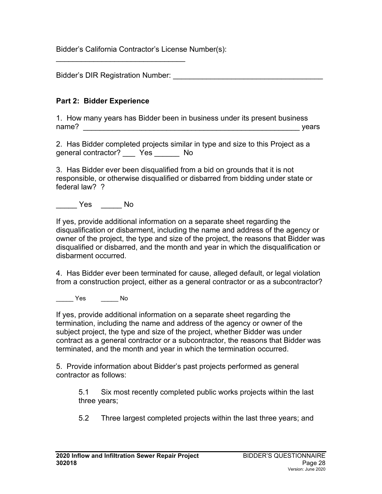Bidder's California Contractor's License Number(s):

Bidder's DIR Registration Number: \_\_\_\_\_\_\_\_\_\_\_\_\_\_\_\_\_\_\_\_\_\_\_\_\_\_\_\_\_\_\_\_\_\_\_\_

\_\_\_\_\_\_\_\_\_\_\_\_\_\_\_\_\_\_\_\_\_\_\_\_\_\_\_\_\_\_\_

## **Part 2: Bidder Experience**

1. How many years has Bidder been in business under its present business name? \_\_\_\_\_\_\_\_\_\_\_\_\_\_\_\_\_\_\_\_\_\_\_\_\_\_\_\_\_\_\_\_\_\_\_\_\_\_\_\_\_\_\_\_\_\_\_\_\_\_\_\_ years

2. Has Bidder completed projects similar in type and size to this Project as a general contractor? \_\_\_ Yes \_\_\_\_\_\_ No

3. Has Bidder ever been disqualified from a bid on grounds that it is not responsible, or otherwise disqualified or disbarred from bidding under state or federal law? ?

\_\_\_\_\_ Yes \_\_\_\_\_ No

If yes, provide additional information on a separate sheet regarding the disqualification or disbarment, including the name and address of the agency or owner of the project, the type and size of the project, the reasons that Bidder was disqualified or disbarred, and the month and year in which the disqualification or disbarment occurred.

4. Has Bidder ever been terminated for cause, alleged default, or legal violation from a construction project, either as a general contractor or as a subcontractor?

\_\_\_\_\_ Yes \_\_\_\_\_ No

If yes, provide additional information on a separate sheet regarding the termination, including the name and address of the agency or owner of the subject project, the type and size of the project, whether Bidder was under contract as a general contractor or a subcontractor, the reasons that Bidder was terminated, and the month and year in which the termination occurred.

5. Provide information about Bidder's past projects performed as general contractor as follows:

5.1 Six most recently completed public works projects within the last three years;

5.2 Three largest completed projects within the last three years; and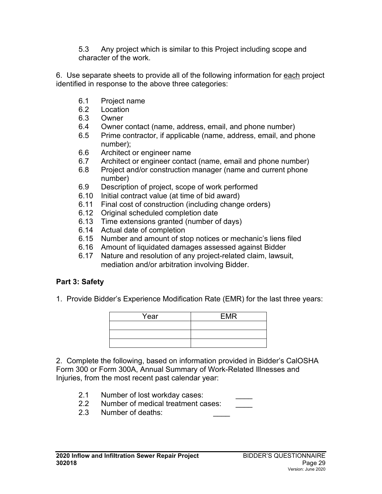5.3 Any project which is similar to this Project including scope and character of the work.

6. Use separate sheets to provide all of the following information for each project identified in response to the above three categories:

- 6.1 Project name
- 6.2 Location
- 6.3 Owner
- 6.4 Owner contact (name, address, email, and phone number)
- 6.5 Prime contractor, if applicable (name, address, email, and phone number);
- 6.6 Architect or engineer name
- 6.7 Architect or engineer contact (name, email and phone number)
- 6.8 Project and/or construction manager (name and current phone number)
- 6.9 Description of project, scope of work performed
- 6.10 Initial contract value (at time of bid award)
- 6.11 Final cost of construction (including change orders)
- 6.12 Original scheduled completion date
- 6.13 Time extensions granted (number of days)
- 6.14 Actual date of completion
- 6.15 Number and amount of stop notices or mechanic's liens filed
- 6.16 Amount of liquidated damages assessed against Bidder
- 6.17 Nature and resolution of any project-related claim, lawsuit, mediation and/or arbitration involving Bidder.

# **Part 3: Safety**

1. Provide Bidder's Experience Modification Rate (EMR) for the last three years:

| Year | <b>EMR</b> |
|------|------------|
|      |            |
|      |            |
|      |            |

2. Complete the following, based on information provided in Bidder's CalOSHA Form 300 or Form 300A, Annual Summary of Work-Related Illnesses and Injuries, from the most recent past calendar year:

- 2.1 Number of lost workday cases:
- 2.2 Number of medical treatment cases:
- 2.3 Number of deaths: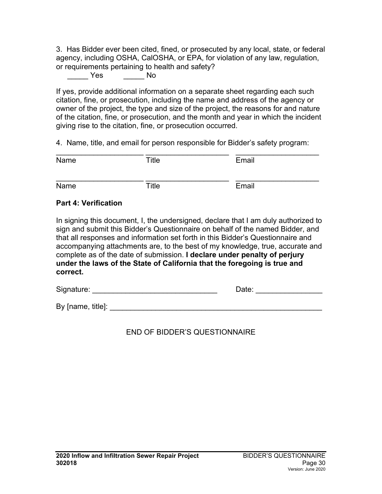3. Has Bidder ever been cited, fined, or prosecuted by any local, state, or federal agency, including OSHA, CalOSHA, or EPA, for violation of any law, regulation, or requirements pertaining to health and safety?

\_\_\_\_\_ Yes \_\_\_\_\_ No

If yes, provide additional information on a separate sheet regarding each such citation, fine, or prosecution, including the name and address of the agency or owner of the project, the type and size of the project, the reasons for and nature of the citation, fine, or prosecution, and the month and year in which the incident giving rise to the citation, fine, or prosecution occurred.

4. Name, title, and email for person responsible for Bidder's safety program:

| Name                        | Title | Email                                                                                                                                                                                                                                                                                                                                    |
|-----------------------------|-------|------------------------------------------------------------------------------------------------------------------------------------------------------------------------------------------------------------------------------------------------------------------------------------------------------------------------------------------|
| Name                        | Title | Email                                                                                                                                                                                                                                                                                                                                    |
| <b>Part 4: Verification</b> |       |                                                                                                                                                                                                                                                                                                                                          |
|                             |       | In signing this document, I, the undersigned, declare that I am duly authorized to<br>sign and submit this Bidder's Questionnaire on behalf of the named Bidder, and<br>that all responses and information set forth in this Bidder's Questionnaire and<br>accompanying attachments are, to the best of my knowledge, true, accurate and |

accompanying attachments are, to the best of my knowledge, true, accurate and complete as of the date of submission. **I declare under penalty of perjury under the laws of the State of California that the foregoing is true and correct.**

Signature: \_\_\_\_\_\_\_\_\_\_\_\_\_\_\_\_\_\_\_\_\_\_\_\_\_\_\_\_\_\_ Date: \_\_\_\_\_\_\_\_\_\_\_\_\_\_\_\_

By [name, title]: \_\_\_\_\_\_\_\_\_\_\_\_\_\_\_\_\_\_\_\_\_\_\_\_\_\_\_\_\_\_\_\_\_\_\_\_\_\_\_\_\_\_\_\_\_\_\_\_\_\_\_

END OF BIDDER'S QUESTIONNAIRE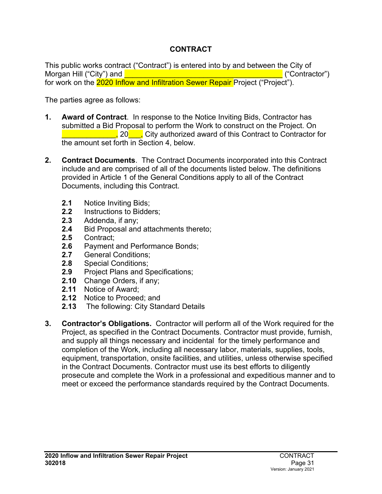## **CONTRACT**

<span id="page-32-0"></span>This public works contract ("Contract") is entered into by and between the City of Morgan Hill ("City") and **Definition of the example of the example of the example of the example of the example of the example of the example of the example of the example of the example of the example of the example of th** for work on the 2020 Inflow and Infiltration Sewer Repair Project ("Project").

The parties agree as follows:

- **1. Award of Contract**. In response to the Notice Inviting Bids, Contractor has submitted a Bid Proposal to perform the Work to construct on the Project. On  $\frac{1}{20}$  . City authorized award of this Contract to Contractor for the amount set forth in Section 4, below.
- **2. Contract Documents**. The Contract Documents incorporated into this Contract include and are comprised of all of the documents listed below. The definitions provided in Article 1 of the General Conditions apply to all of the Contract Documents, including this Contract.
	- **2.1** Notice Inviting Bids;
	- **2.2** Instructions to Bidders;<br>**2.3** Addenda. if anv:
	- **2.3** Addenda, if any;
	- 2.4 Bid Proposal and attachments thereto;<br>2.5 Contract:
	- **2.5** Contract;
	- 2.6 Payment and Performance Bonds;<br>2.7 General Conditions:
	- **2.7** General Conditions;
	- **2.8** Special Conditions;
	- **2.9** Project Plans and Specifications;
	- **2.10** Change Orders, if any;
	- **2.11** Notice of Award;
	- **2.12** Notice to Proceed; and
	- **2.13** The following: City Standard Details
- **3. Contractor's Obligations.** Contractor will perform all of the Work required for the Project, as specified in the Contract Documents. Contractor must provide, furnish, and supply all things necessary and incidental for the timely performance and completion of the Work, including all necessary labor, materials, supplies, tools, equipment, transportation, onsite facilities, and utilities, unless otherwise specified in the Contract Documents. Contractor must use its best efforts to diligently prosecute and complete the Work in a professional and expeditious manner and to meet or exceed the performance standards required by the Contract Documents.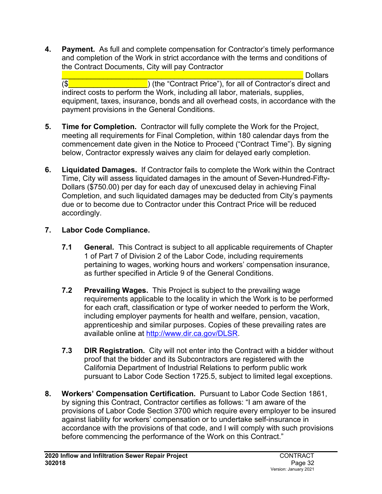**4. Payment.** As full and complete compensation for Contractor's timely performance and completion of the Work in strict accordance with the terms and conditions of the Contract Documents, City will pay Contractor

**Quart Election Collars**  $(\$\bullet\$ indirect costs to perform the Work, including all labor, materials, supplies, equipment, taxes, insurance, bonds and all overhead costs, in accordance with the payment provisions in the General Conditions.

- **5. Time for Completion.** Contractor will fully complete the Work for the Project, meeting all requirements for Final Completion, within 180 calendar days from the commencement date given in the Notice to Proceed ("Contract Time"). By signing below, Contractor expressly waives any claim for delayed early completion.
- **6. Liquidated Damages.** If Contractor fails to complete the Work within the Contract Time, City will assess liquidated damages in the amount of Seven-Hundred-Fifty-Dollars (\$750.00) per day for each day of unexcused delay in achieving Final Completion, and such liquidated damages may be deducted from City's payments due or to become due to Contractor under this Contract Price will be reduced accordingly.

## **7. Labor Code Compliance.**

- **7.1 General.** This Contract is subject to all applicable requirements of Chapter 1 of Part 7 of Division 2 of the Labor Code, including requirements pertaining to wages, working hours and workers' compensation insurance, as further specified in Article 9 of the General Conditions.
- **7.2 Prevailing Wages.** This Project is subject to the prevailing wage requirements applicable to the locality in which the Work is to be performed for each craft, classification or type of worker needed to perform the Work, including employer payments for health and welfare, pension, vacation, apprenticeship and similar purposes. Copies of these prevailing rates are available online at [http://www.dir.ca.gov/DLSR.](http://www.dir.ca.gov/DLSR)
- **7.3 DIR Registration.**City will not enter into the Contract with a bidder without proof that the bidder and its Subcontractors are registered with the California Department of Industrial Relations to perform public work pursuant to Labor Code Section 1725.5, subject to limited legal exceptions.
- **8. Workers' Compensation Certification.** Pursuant to Labor Code Section 1861, by signing this Contract, Contractor certifies as follows: "I am aware of the provisions of Labor Code Section 3700 which require every employer to be insured against liability for workers' compensation or to undertake self-insurance in accordance with the provisions of that code, and I will comply with such provisions before commencing the performance of the Work on this Contract."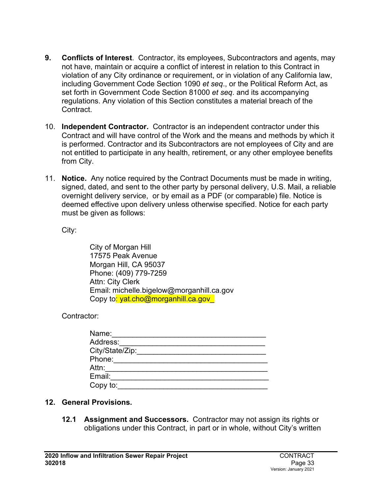- **9. Conflicts of Interest**. Contractor, its employees, Subcontractors and agents, may not have, maintain or acquire a conflict of interest in relation to this Contract in violation of any City ordinance or requirement, or in violation of any California law, including Government Code Section 1090 *et seq*., or the Political Reform Act, as set forth in Government Code Section 81000 *et seq*. and its accompanying regulations. Any violation of this Section constitutes a material breach of the Contract.
- 10. **Independent Contractor.** Contractor is an independent contractor under this Contract and will have control of the Work and the means and methods by which it is performed. Contractor and its Subcontractors are not employees of City and are not entitled to participate in any health, retirement, or any other employee benefits from City.
- 11. **Notice.** Any notice required by the Contract Documents must be made in writing, signed, dated, and sent to the other party by personal delivery, U.S. Mail, a reliable overnight delivery service, or by email as a PDF (or comparable) file. Notice is deemed effective upon delivery unless otherwise specified. Notice for each party must be given as follows:

City:

City of Morgan Hill 17575 Peak Avenue Morgan Hill, CA 95037 Phone: (409) 779-7259 Attn: City Clerk Email: michelle.bigelow@morganhill.ca.gov Copy to<mark>: yat.cho@morganhill.ca.gov\_</mark>

Contractor:

| Name:           |  |
|-----------------|--|
| Address:        |  |
| City/State/Zip: |  |
| Phone:          |  |
| Attn:           |  |
| Email:          |  |
| Copy to:        |  |

## **12. General Provisions.**

**12.1 Assignment and Successors.** Contractor may not assign its rights or obligations under this Contract, in part or in whole, without City's written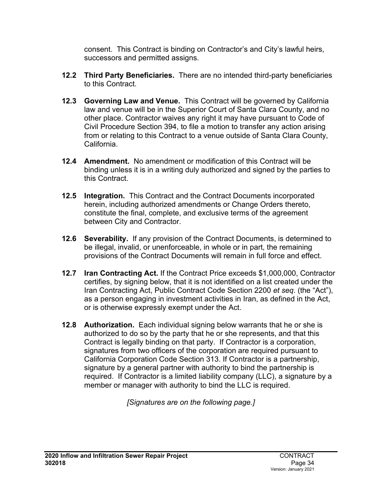consent. This Contract is binding on Contractor's and City's lawful heirs, successors and permitted assigns.

- **12.2 Third Party Beneficiaries.** There are no intended third-party beneficiaries to this Contract.
- **12.3 Governing Law and Venue.** This Contract will be governed by California law and venue will be in the Superior Court of Santa Clara County, and no other place. Contractor waives any right it may have pursuant to Code of Civil Procedure Section 394, to file a motion to transfer any action arising from or relating to this Contract to a venue outside of Santa Clara County, California.
- **12.4 Amendment.** No amendment or modification of this Contract will be binding unless it is in a writing duly authorized and signed by the parties to this Contract.
- **12.5 Integration.** This Contract and the Contract Documents incorporated herein, including authorized amendments or Change Orders thereto, constitute the final, complete, and exclusive terms of the agreement between City and Contractor.
- **12.6 Severability.** If any provision of the Contract Documents, is determined to be illegal, invalid, or unenforceable, in whole or in part, the remaining provisions of the Contract Documents will remain in full force and effect.
- **12.7 Iran Contracting Act.** If the Contract Price exceeds \$1,000,000, Contractor certifies, by signing below, that it is not identified on a list created under the Iran Contracting Act, Public Contract Code Section 2200 *et seq*. (the "Act"), as a person engaging in investment activities in Iran, as defined in the Act, or is otherwise expressly exempt under the Act.
- **12.8 Authorization.** Each individual signing below warrants that he or she is authorized to do so by the party that he or she represents, and that this Contract is legally binding on that party. If Contractor is a corporation, signatures from two officers of the corporation are required pursuant to California Corporation Code Section 313. If Contractor is a partnership, signature by a general partner with authority to bind the partnership is required. If Contractor is a limited liability company (LLC), a signature by a member or manager with authority to bind the LLC is required.

*[Signatures are on the following page.]*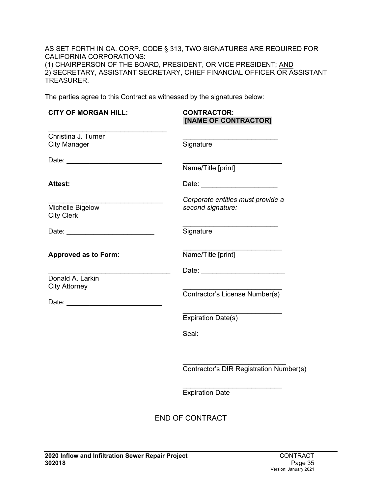AS SET FORTH IN CA. CORP. CODE § 313, TWO SIGNATURES ARE REQUIRED FOR CALIFORNIA CORPORATIONS: (1) CHAIRPERSON OF THE BOARD, PRESIDENT, OR VICE PRESIDENT; <u>AND</u> 2) SECRETARY, ASSISTANT SECRETARY, CHIEF FINANCIAL OFFICER OR ASSISTANT TREASURER.

The parties agree to this Contract as witnessed by the signatures below:

| <b>CITY OF MORGAN HILL:</b>                                                                                                                                                                                                                                                | <b>CONTRACTOR:</b><br>[NAME OF CONTRACTOR]             |
|----------------------------------------------------------------------------------------------------------------------------------------------------------------------------------------------------------------------------------------------------------------------------|--------------------------------------------------------|
| Christina J. Turner<br><b>City Manager</b>                                                                                                                                                                                                                                 | Signature                                              |
|                                                                                                                                                                                                                                                                            | Name/Title [print]                                     |
| <b>Attest:</b>                                                                                                                                                                                                                                                             | Date: ________________________                         |
| Michelle Bigelow<br><b>City Clerk</b>                                                                                                                                                                                                                                      | Corporate entities must provide a<br>second signature: |
| Date: <u>___________________________</u>                                                                                                                                                                                                                                   | Signature                                              |
| <b>Approved as to Form:</b>                                                                                                                                                                                                                                                | Name/Title [print]                                     |
| Donald A. Larkin<br><b>City Attorney</b><br>Date: the contract of the contract of the contract of the contract of the contract of the contract of the contract of the contract of the contract of the contract of the contract of the contract of the contract of the cont | Contractor's License Number(s)                         |
|                                                                                                                                                                                                                                                                            | <b>Expiration Date(s)</b>                              |
|                                                                                                                                                                                                                                                                            | Seal:                                                  |
|                                                                                                                                                                                                                                                                            | Contractor's DIR Registration Number(s)                |
|                                                                                                                                                                                                                                                                            | <b>Expiration Date</b>                                 |
|                                                                                                                                                                                                                                                                            | <b>END OF CONTRACT</b>                                 |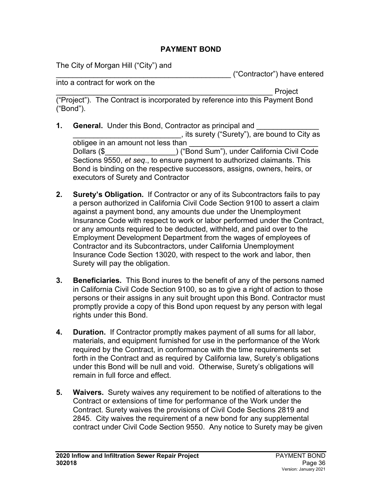#### **PAYMENT BOND**

The City of Morgan Hill ("City") and

\_\_\_\_\_\_\_\_\_\_\_\_\_\_\_\_\_\_\_\_\_\_\_\_\_\_\_\_\_\_\_\_\_\_\_\_\_\_\_\_\_\_ ("Contractor") have entered

into a contract for work on the

\_\_\_\_\_\_\_\_\_\_\_\_\_\_\_\_\_\_\_\_\_\_\_\_\_\_\_\_\_\_\_\_\_\_\_\_\_\_\_\_\_\_\_\_\_\_\_\_\_\_\_\_ Project ("Project"). The Contract is incorporated by reference into this Payment Bond ("Bond").

- **1. General.** Under this Bond, Contractor as principal and \_\_\_\_\_\_\_\_\_\_\_\_\_\_\_\_\_\_\_\_\_\_\_\_\_\_, its surety ("Surety"), are bound to City as obligee in an amount not less than Dollars (\$\_\_\_\_\_\_\_\_\_\_\_\_\_\_\_\_\_) ("Bond Sum"), under California Civil Code Sections 9550, *et seq*., to ensure payment to authorized claimants. This Bond is binding on the respective successors, assigns, owners, heirs, or executors of Surety and Contractor
- **2. Surety's Obligation.** If Contractor or any of its Subcontractors fails to pay a person authorized in California Civil Code Section 9100 to assert a claim against a payment bond, any amounts due under the Unemployment Insurance Code with respect to work or labor performed under the Contract, or any amounts required to be deducted, withheld, and paid over to the Employment Development Department from the wages of employees of Contractor and its Subcontractors, under California Unemployment Insurance Code Section 13020, with respect to the work and labor, then Surety will pay the obligation.
- **3. Beneficiaries.** This Bond inures to the benefit of any of the persons named in California Civil Code Section 9100, so as to give a right of action to those persons or their assigns in any suit brought upon this Bond. Contractor must promptly provide a copy of this Bond upon request by any person with legal rights under this Bond.
- **4. Duration.** If Contractor promptly makes payment of all sums for all labor, materials, and equipment furnished for use in the performance of the Work required by the Contract, in conformance with the time requirements set forth in the Contract and as required by California law, Surety's obligations under this Bond will be null and void. Otherwise, Surety's obligations will remain in full force and effect.
- **5. Waivers.** Surety waives any requirement to be notified of alterations to the Contract or extensions of time for performance of the Work under the Contract. Surety waives the provisions of Civil Code Sections 2819 and 2845. City waives the requirement of a new bond for any supplemental contract under Civil Code Section 9550. Any notice to Surety may be given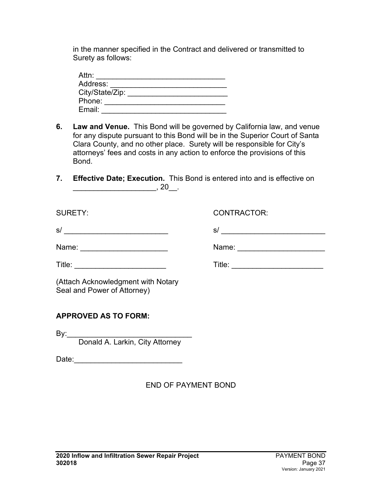in the manner specified in the Contract and delivered or transmitted to Surety as follows:

| Attn:           |  |
|-----------------|--|
| Address:        |  |
| City/State/Zip: |  |
| Phone:          |  |
| Email:          |  |

- **6. Law and Venue.** This Bond will be governed by California law, and venue for any dispute pursuant to this Bond will be in the Superior Court of Santa Clara County, and no other place. Surety will be responsible for City's attorneys' fees and costs in any action to enforce the provisions of this Bond.
- **7. Effective Date; Execution.** This Bond is entered into and is effective on \_\_\_\_\_\_\_\_\_\_\_\_\_\_\_\_\_\_\_\_, 20\_\_.

| <b>SURETY:</b>                                                    | CONTRACTOR: |
|-------------------------------------------------------------------|-------------|
| s/                                                                | s/          |
| Name: _________________________                                   |             |
|                                                                   |             |
| (Attach Acknowledgment with Notary<br>Seal and Power of Attorney) |             |
| <b>APPROVED AS TO FORM:</b>                                       |             |
|                                                                   |             |
| Donald A. Larkin, City Attorney                                   |             |
| Date: <u>_________________________________</u>                    |             |

## END OF PAYMENT BOND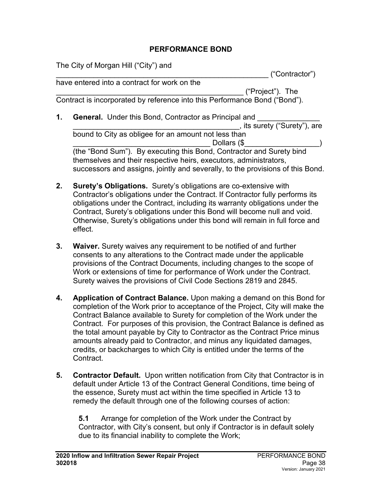#### **PERFORMANCE BOND**

The City of Morgan Hill ("City") and

\_\_\_\_\_\_\_\_\_\_\_\_\_\_\_\_\_\_\_\_\_\_\_\_\_\_\_\_\_\_\_\_\_\_\_\_\_\_\_\_\_\_\_\_\_\_\_\_\_\_\_ ("Contractor") have entered into a contract for work on the

\_\_\_\_\_\_\_\_\_\_\_\_\_\_\_\_\_\_\_\_\_\_\_\_\_\_\_\_\_\_\_\_\_\_\_\_\_\_\_\_\_\_\_\_\_ ("Project"). The Contract is incorporated by reference into this Performance Bond ("Bond").

- **1. General.** Under this Bond, Contractor as Principal and \_\_\_\_\_\_\_\_\_\_\_\_\_\_\_\_\_\_\_\_\_\_\_\_\_\_\_\_\_\_\_\_\_\_\_\_\_\_\_\_, its surety ("Surety"), are bound to City as obligee for an amount not less than Dollars ( $\$ (the "Bond Sum"). By executing this Bond, Contractor and Surety bind themselves and their respective heirs, executors, administrators, successors and assigns, jointly and severally, to the provisions of this Bond.
- **2. Surety's Obligations.** Surety's obligations are co-extensive with Contractor's obligations under the Contract. If Contractor fully performs its obligations under the Contract, including its warranty obligations under the Contract, Surety's obligations under this Bond will become null and void. Otherwise, Surety's obligations under this bond will remain in full force and effect.
- **3. Waiver.** Surety waives any requirement to be notified of and further consents to any alterations to the Contract made under the applicable provisions of the Contract Documents, including changes to the scope of Work or extensions of time for performance of Work under the Contract. Surety waives the provisions of Civil Code Sections 2819 and 2845.
- **4. Application of Contract Balance.** Upon making a demand on this Bond for completion of the Work prior to acceptance of the Project, City will make the Contract Balance available to Surety for completion of the Work under the Contract. For purposes of this provision, the Contract Balance is defined as the total amount payable by City to Contractor as the Contract Price minus amounts already paid to Contractor, and minus any liquidated damages, credits, or backcharges to which City is entitled under the terms of the Contract.
- **5. Contractor Default.** Upon written notification from City that Contractor is in default under Article 13 of the Contract General Conditions, time being of the essence, Surety must act within the time specified in Article 13 to remedy the default through one of the following courses of action:

**5.1** Arrange for completion of the Work under the Contract by Contractor, with City's consent, but only if Contractor is in default solely due to its financial inability to complete the Work;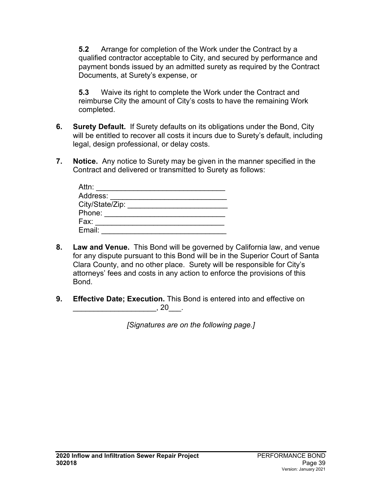**5.2** Arrange for completion of the Work under the Contract by a qualified contractor acceptable to City, and secured by performance and payment bonds issued by an admitted surety as required by the Contract Documents, at Surety's expense, or

**5.3** Waive its right to complete the Work under the Contract and reimburse City the amount of City's costs to have the remaining Work completed.

- **6. Surety Default.** If Surety defaults on its obligations under the Bond, City will be entitled to recover all costs it incurs due to Surety's default, including legal, design professional, or delay costs.
- **7. Notice.** Any notice to Surety may be given in the manner specified in the Contract and delivered or transmitted to Surety as follows:

| Attn:           |  |
|-----------------|--|
| Address:        |  |
| City/State/Zip: |  |
| Phone:          |  |
| Fax:            |  |
| Email:          |  |

- **8. Law and Venue.** This Bond will be governed by California law, and venue for any dispute pursuant to this Bond will be in the Superior Court of Santa Clara County, and no other place. Surety will be responsible for City's attorneys' fees and costs in any action to enforce the provisions of this Bond.
- **9. Effective Date; Execution.** This Bond is entered into and effective on  $, 20$  .

*[Signatures are on the following page.]*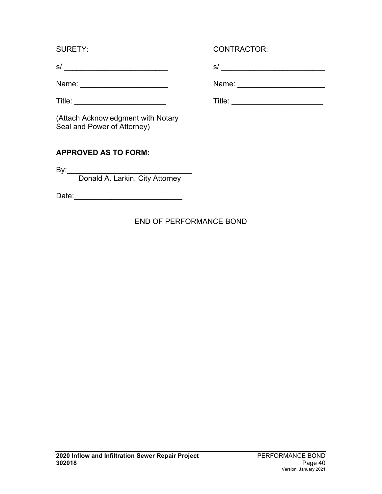Name: \_\_\_\_\_\_\_\_\_\_\_\_\_\_\_\_\_\_\_\_\_ Name: \_\_\_\_\_\_\_\_\_\_\_\_\_\_\_\_\_\_\_\_\_

SURETY: CONTRACTOR:

s/ \_\_\_\_\_\_\_\_\_\_\_\_\_\_\_\_\_\_\_\_\_\_\_\_\_ s/ \_\_\_\_\_\_\_\_\_\_\_\_\_\_\_\_\_\_\_\_\_\_\_\_\_

Title: \_\_\_\_\_\_\_\_\_\_\_\_\_\_\_\_\_\_\_\_\_\_ Title: \_\_\_\_\_\_\_\_\_\_\_\_\_\_\_\_\_\_\_\_\_\_

(Attach Acknowledgment with Notary Seal and Power of Attorney)

# **APPROVED AS TO FORM:**

By:\_\_\_\_\_\_\_\_\_\_\_\_\_\_\_\_\_\_\_\_\_\_\_\_\_\_\_\_\_\_ Donald A. Larkin, City Attorney

Date:\_\_\_\_\_\_\_\_\_\_\_\_\_\_\_\_\_\_\_\_\_\_\_\_\_\_

## END OF PERFORMANCE BOND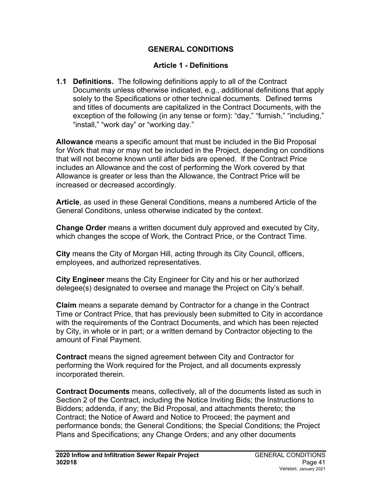### **GENERAL CONDITIONS**

### **Article 1 - Definitions**

**1.1 Definitions.** The following definitions apply to all of the Contract Documents unless otherwise indicated, e.g., additional definitions that apply solely to the Specifications or other technical documents. Defined terms and titles of documents are capitalized in the Contract Documents, with the exception of the following (in any tense or form): "day," "furnish," "including," "install," "work day" or "working day."

**Allowance** means a specific amount that must be included in the Bid Proposal for Work that may or may not be included in the Project, depending on conditions that will not become known until after bids are opened. If the Contract Price includes an Allowance and the cost of performing the Work covered by that Allowance is greater or less than the Allowance, the Contract Price will be increased or decreased accordingly.

**Article**, as used in these General Conditions, means a numbered Article of the General Conditions, unless otherwise indicated by the context.

**Change Order** means a written document duly approved and executed by City, which changes the scope of Work, the Contract Price, or the Contract Time.

**City** means the City of Morgan Hill, acting through its City Council, officers, employees, and authorized representatives.

**City Engineer** means the City Engineer for City and his or her authorized delegee(s) designated to oversee and manage the Project on City's behalf.

**Claim** means a separate demand by Contractor for a change in the Contract Time or Contract Price, that has previously been submitted to City in accordance with the requirements of the Contract Documents, and which has been rejected by City, in whole or in part; or a written demand by Contractor objecting to the amount of Final Payment.

**Contract** means the signed agreement between City and Contractor for performing the Work required for the Project, and all documents expressly incorporated therein.

**Contract Documents** means, collectively, all of the documents listed as such in Section 2 of the Contract, including the Notice Inviting Bids; the Instructions to Bidders; addenda, if any; the Bid Proposal, and attachments thereto; the Contract; the Notice of Award and Notice to Proceed; the payment and performance bonds; the General Conditions; the Special Conditions; the Project Plans and Specifications; any Change Orders; and any other documents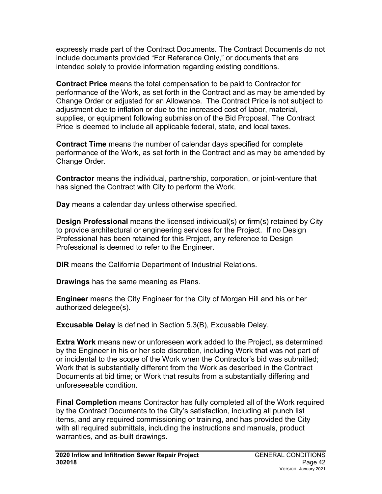expressly made part of the Contract Documents. The Contract Documents do not include documents provided "For Reference Only," or documents that are intended solely to provide information regarding existing conditions.

**Contract Price** means the total compensation to be paid to Contractor for performance of the Work, as set forth in the Contract and as may be amended by Change Order or adjusted for an Allowance. The Contract Price is not subject to adjustment due to inflation or due to the increased cost of labor, material, supplies, or equipment following submission of the Bid Proposal. The Contract Price is deemed to include all applicable federal, state, and local taxes.

**Contract Time** means the number of calendar days specified for complete performance of the Work, as set forth in the Contract and as may be amended by Change Order.

**Contractor** means the individual, partnership, corporation, or joint-venture that has signed the Contract with City to perform the Work.

**Day** means a calendar day unless otherwise specified.

**Design Professional** means the licensed individual(s) or firm(s) retained by City to provide architectural or engineering services for the Project. If no Design Professional has been retained for this Project, any reference to Design Professional is deemed to refer to the Engineer.

**DIR** means the California Department of Industrial Relations.

**Drawings** has the same meaning as Plans.

**Engineer** means the City Engineer for the City of Morgan Hill and his or her authorized delegee(s).

**Excusable Delay** is defined in Section 5.3(B), Excusable Delay.

**Extra Work** means new or unforeseen work added to the Project, as determined by the Engineer in his or her sole discretion, including Work that was not part of or incidental to the scope of the Work when the Contractor's bid was submitted; Work that is substantially different from the Work as described in the Contract Documents at bid time; or Work that results from a substantially differing and unforeseeable condition.

**Final Completion** means Contractor has fully completed all of the Work required by the Contract Documents to the City's satisfaction, including all punch list items, and any required commissioning or training, and has provided the City with all required submittals, including the instructions and manuals, product warranties, and as-built drawings.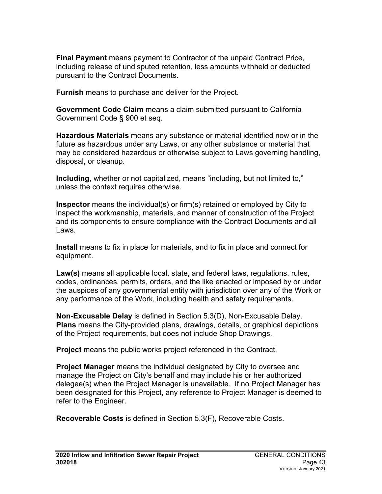**Final Payment** means payment to Contractor of the unpaid Contract Price, including release of undisputed retention, less amounts withheld or deducted pursuant to the Contract Documents.

**Furnish** means to purchase and deliver for the Project.

**Government Code Claim** means a claim submitted pursuant to California Government Code § 900 et seq.

**Hazardous Materials** means any substance or material identified now or in the future as hazardous under any Laws, or any other substance or material that may be considered hazardous or otherwise subject to Laws governing handling, disposal, or cleanup.

**Including**, whether or not capitalized, means "including, but not limited to," unless the context requires otherwise.

**Inspector** means the individual(s) or firm(s) retained or employed by City to inspect the workmanship, materials, and manner of construction of the Project and its components to ensure compliance with the Contract Documents and all Laws.

**Install** means to fix in place for materials, and to fix in place and connect for equipment.

**Law(s)** means all applicable local, state, and federal laws, regulations, rules, codes, ordinances, permits, orders, and the like enacted or imposed by or under the auspices of any governmental entity with jurisdiction over any of the Work or any performance of the Work, including health and safety requirements.

**Non-Excusable Delay** is defined in Section 5.3(D), Non-Excusable Delay. **Plans** means the City-provided plans, drawings, details, or graphical depictions of the Project requirements, but does not include Shop Drawings.

**Project** means the public works project referenced in the Contract.

**Project Manager** means the individual designated by City to oversee and manage the Project on City's behalf and may include his or her authorized delegee(s) when the Project Manager is unavailable. If no Project Manager has been designated for this Project, any reference to Project Manager is deemed to refer to the Engineer.

**Recoverable Costs** is defined in Section 5.3(F), Recoverable Costs.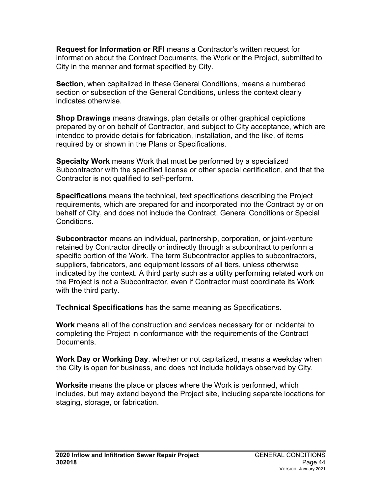**Request for Information or RFI** means a Contractor's written request for information about the Contract Documents, the Work or the Project, submitted to City in the manner and format specified by City.

**Section**, when capitalized in these General Conditions, means a numbered section or subsection of the General Conditions, unless the context clearly indicates otherwise.

**Shop Drawings** means drawings, plan details or other graphical depictions prepared by or on behalf of Contractor, and subject to City acceptance, which are intended to provide details for fabrication, installation, and the like, of items required by or shown in the Plans or Specifications.

**Specialty Work** means Work that must be performed by a specialized Subcontractor with the specified license or other special certification, and that the Contractor is not qualified to self-perform.

**Specifications** means the technical, text specifications describing the Project requirements, which are prepared for and incorporated into the Contract by or on behalf of City, and does not include the Contract, General Conditions or Special Conditions.

**Subcontractor** means an individual, partnership, corporation, or joint-venture retained by Contractor directly or indirectly through a subcontract to perform a specific portion of the Work. The term Subcontractor applies to subcontractors, suppliers, fabricators, and equipment lessors of all tiers, unless otherwise indicated by the context. A third party such as a utility performing related work on the Project is not a Subcontractor, even if Contractor must coordinate its Work with the third party.

**Technical Specifications** has the same meaning as Specifications.

**Work** means all of the construction and services necessary for or incidental to completing the Project in conformance with the requirements of the Contract Documents.

**Work Day or Working Day**, whether or not capitalized, means a weekday when the City is open for business, and does not include holidays observed by City.

**Worksite** means the place or places where the Work is performed, which includes, but may extend beyond the Project site, including separate locations for staging, storage, or fabrication.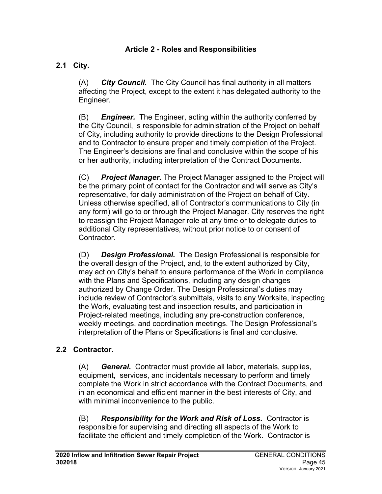#### **Article 2 - Roles and Responsibilities**

## **2.1 City.**

(A) *City Council.* The City Council has final authority in all matters affecting the Project, except to the extent it has delegated authority to the Engineer.

(B) *Engineer.* The Engineer, acting within the authority conferred by the City Council, is responsible for administration of the Project on behalf of City, including authority to provide directions to the Design Professional and to Contractor to ensure proper and timely completion of the Project. The Engineer's decisions are final and conclusive within the scope of his or her authority, including interpretation of the Contract Documents.

(C) *Project Manager.* The Project Manager assigned to the Project will be the primary point of contact for the Contractor and will serve as City's representative, for daily administration of the Project on behalf of City. Unless otherwise specified, all of Contractor's communications to City (in any form) will go to or through the Project Manager. City reserves the right to reassign the Project Manager role at any time or to delegate duties to additional City representatives, without prior notice to or consent of **Contractor** 

(D) *Design Professional.* The Design Professional is responsible for the overall design of the Project, and, to the extent authorized by City, may act on City's behalf to ensure performance of the Work in compliance with the Plans and Specifications, including any design changes authorized by Change Order. The Design Professional's duties may include review of Contractor's submittals, visits to any Worksite, inspecting the Work, evaluating test and inspection results, and participation in Project-related meetings, including any pre-construction conference, weekly meetings, and coordination meetings. The Design Professional's interpretation of the Plans or Specifications is final and conclusive.

#### **2.2 Contractor.**

(A) *General.* Contractor must provide all labor, materials, supplies, equipment, services, and incidentals necessary to perform and timely complete the Work in strict accordance with the Contract Documents, and in an economical and efficient manner in the best interests of City, and with minimal inconvenience to the public.

(B) *Responsibility for the Work and Risk of Loss.* Contractor is responsible for supervising and directing all aspects of the Work to facilitate the efficient and timely completion of the Work. Contractor is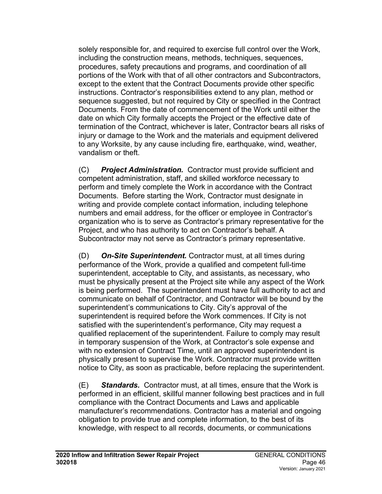solely responsible for, and required to exercise full control over the Work, including the construction means, methods, techniques, sequences, procedures, safety precautions and programs, and coordination of all portions of the Work with that of all other contractors and Subcontractors, except to the extent that the Contract Documents provide other specific instructions. Contractor's responsibilities extend to any plan, method or sequence suggested, but not required by City or specified in the Contract Documents. From the date of commencement of the Work until either the date on which City formally accepts the Project or the effective date of termination of the Contract, whichever is later, Contractor bears all risks of injury or damage to the Work and the materials and equipment delivered to any Worksite, by any cause including fire, earthquake, wind, weather, vandalism or theft.

(C) *Project Administration.* Contractor must provide sufficient and competent administration, staff, and skilled workforce necessary to perform and timely complete the Work in accordance with the Contract Documents. Before starting the Work, Contractor must designate in writing and provide complete contact information, including telephone numbers and email address, for the officer or employee in Contractor's organization who is to serve as Contractor's primary representative for the Project, and who has authority to act on Contractor's behalf. A Subcontractor may not serve as Contractor's primary representative.

(D) *On-Site Superintendent.* Contractor must, at all times during performance of the Work, provide a qualified and competent full-time superintendent, acceptable to City, and assistants, as necessary, who must be physically present at the Project site while any aspect of the Work is being performed. The superintendent must have full authority to act and communicate on behalf of Contractor, and Contractor will be bound by the superintendent's communications to City. City's approval of the superintendent is required before the Work commences. If City is not satisfied with the superintendent's performance, City may request a qualified replacement of the superintendent. Failure to comply may result in temporary suspension of the Work, at Contractor's sole expense and with no extension of Contract Time, until an approved superintendent is physically present to supervise the Work. Contractor must provide written notice to City, as soon as practicable, before replacing the superintendent.

(E) *Standards.* Contractor must, at all times, ensure that the Work is performed in an efficient, skillful manner following best practices and in full compliance with the Contract Documents and Laws and applicable manufacturer's recommendations. Contractor has a material and ongoing obligation to provide true and complete information, to the best of its knowledge, with respect to all records, documents, or communications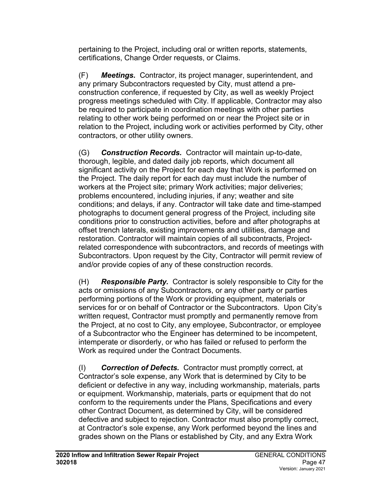pertaining to the Project, including oral or written reports, statements, certifications, Change Order requests, or Claims.

(F) *Meetings.* Contractor, its project manager, superintendent, and any primary Subcontractors requested by City, must attend a preconstruction conference, if requested by City, as well as weekly Project progress meetings scheduled with City. If applicable, Contractor may also be required to participate in coordination meetings with other parties relating to other work being performed on or near the Project site or in relation to the Project, including work or activities performed by City, other contractors, or other utility owners.

(G) *Construction Records.* Contractor will maintain up-to-date, thorough, legible, and dated daily job reports, which document all significant activity on the Project for each day that Work is performed on the Project. The daily report for each day must include the number of workers at the Project site; primary Work activities; major deliveries; problems encountered, including injuries, if any; weather and site conditions; and delays, if any. Contractor will take date and time-stamped photographs to document general progress of the Project, including site conditions prior to construction activities, before and after photographs at offset trench laterals, existing improvements and utilities, damage and restoration. Contractor will maintain copies of all subcontracts, Projectrelated correspondence with subcontractors, and records of meetings with Subcontractors. Upon request by the City, Contractor will permit review of and/or provide copies of any of these construction records.

(H) *Responsible Party.* Contractor is solely responsible to City for the acts or omissions of any Subcontractors, or any other party or parties performing portions of the Work or providing equipment, materials or services for or on behalf of Contractor or the Subcontractors. Upon City's written request, Contractor must promptly and permanently remove from the Project, at no cost to City, any employee, Subcontractor, or employee of a Subcontractor who the Engineer has determined to be incompetent, intemperate or disorderly, or who has failed or refused to perform the Work as required under the Contract Documents.

(I) *Correction of Defects.* Contractor must promptly correct, at Contractor's sole expense, any Work that is determined by City to be deficient or defective in any way, including workmanship, materials, parts or equipment. Workmanship, materials, parts or equipment that do not conform to the requirements under the Plans, Specifications and every other Contract Document, as determined by City, will be considered defective and subject to rejection. Contractor must also promptly correct, at Contractor's sole expense, any Work performed beyond the lines and grades shown on the Plans or established by City, and any Extra Work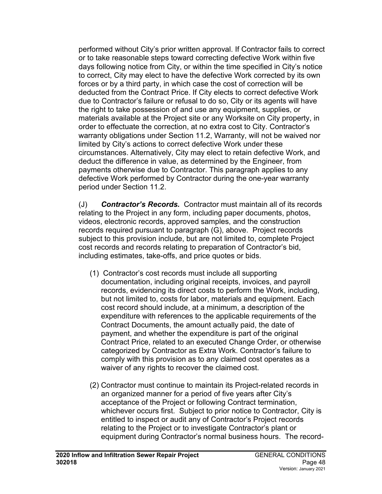performed without City's prior written approval. If Contractor fails to correct or to take reasonable steps toward correcting defective Work within five days following notice from City, or within the time specified in City's notice to correct, City may elect to have the defective Work corrected by its own forces or by a third party, in which case the cost of correction will be deducted from the Contract Price. If City elects to correct defective Work due to Contractor's failure or refusal to do so, City or its agents will have the right to take possession of and use any equipment, supplies, or materials available at the Project site or any Worksite on City property, in order to effectuate the correction, at no extra cost to City. Contractor's warranty obligations under Section 11.2, Warranty, will not be waived nor limited by City's actions to correct defective Work under these circumstances. Alternatively, City may elect to retain defective Work, and deduct the difference in value, as determined by the Engineer, from payments otherwise due to Contractor. This paragraph applies to any defective Work performed by Contractor during the one-year warranty period under Section 11.2.

(J) *Contractor's Records.* Contractor must maintain all of its records relating to the Project in any form, including paper documents, photos, videos, electronic records, approved samples, and the construction records required pursuant to paragraph (G), above. Project records subject to this provision include, but are not limited to, complete Project cost records and records relating to preparation of Contractor's bid, including estimates, take-offs, and price quotes or bids.

- (1) Contractor's cost records must include all supporting documentation, including original receipts, invoices, and payroll records, evidencing its direct costs to perform the Work, including, but not limited to, costs for labor, materials and equipment. Each cost record should include, at a minimum, a description of the expenditure with references to the applicable requirements of the Contract Documents, the amount actually paid, the date of payment, and whether the expenditure is part of the original Contract Price, related to an executed Change Order, or otherwise categorized by Contractor as Extra Work. Contractor's failure to comply with this provision as to any claimed cost operates as a waiver of any rights to recover the claimed cost.
- (2) Contractor must continue to maintain its Project-related records in an organized manner for a period of five years after City's acceptance of the Project or following Contract termination, whichever occurs first. Subject to prior notice to Contractor, City is entitled to inspect or audit any of Contractor's Project records relating to the Project or to investigate Contractor's plant or equipment during Contractor's normal business hours. The record-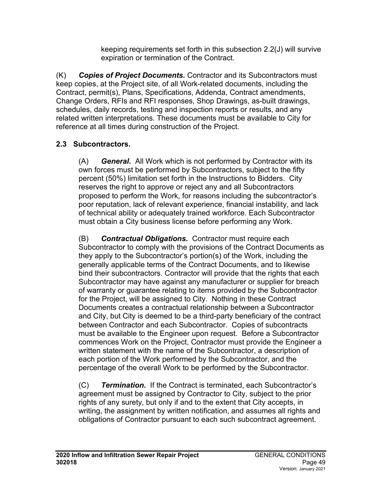keeping requirements set forth in this subsection 2.2(J) will survive expiration or termination of the Contract.

(K) *Copies of Project Documents.* Contractor and its Subcontractors must keep copies, at the Project site, of all Work-related documents, including the Contract, permit(s), Plans, Specifications, Addenda, Contract amendments, Change Orders, RFIs and RFI responses, Shop Drawings, as-built drawings, schedules, daily records, testing and inspection reports or results, and any related written interpretations. These documents must be available to City for reference at all times during construction of the Project.

# **2.3 Subcontractors.**

(A) *General.* All Work which is not performed by Contractor with its own forces must be performed by Subcontractors, subject to the fifty percent (50%) limitation set forth in the Instructions to Bidders. City reserves the right to approve or reject any and all Subcontractors proposed to perform the Work, for reasons including the subcontractor's poor reputation, lack of relevant experience, financial instability, and lack of technical ability or adequately trained workforce. Each Subcontractor must obtain a City business license before performing any Work.

(B) *Contractual Obligations.* Contractor must require each Subcontractor to comply with the provisions of the Contract Documents as they apply to the Subcontractor's portion(s) of the Work, including the generally applicable terms of the Contract Documents, and to likewise bind their subcontractors. Contractor will provide that the rights that each Subcontractor may have against any manufacturer or supplier for breach of warranty or guarantee relating to items provided by the Subcontractor for the Project, will be assigned to City. Nothing in these Contract Documents creates a contractual relationship between a Subcontractor and City, but City is deemed to be a third-party beneficiary of the contract between Contractor and each Subcontractor. Copies of subcontracts must be available to the Engineer upon request. Before a Subcontractor commences Work on the Project, Contractor must provide the Engineer a written statement with the name of the Subcontractor, a description of each portion of the Work performed by the Subcontractor, and the percentage of the overall Work to be performed by the Subcontractor.

(C) *Termination.* If the Contract is terminated, each Subcontractor's agreement must be assigned by Contractor to City, subject to the prior rights of any surety, but only if and to the extent that City accepts, in writing, the assignment by written notification, and assumes all rights and obligations of Contractor pursuant to each such subcontract agreement.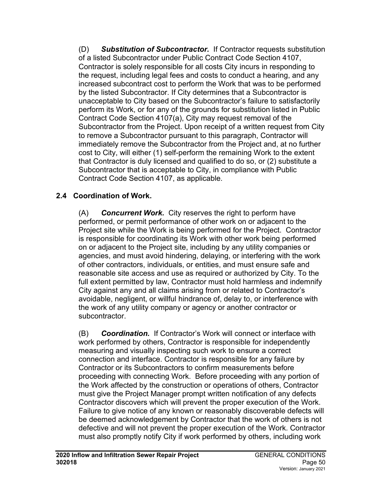(D) *Substitution of Subcontractor.* If Contractor requests substitution of a listed Subcontractor under Public Contract Code Section 4107, Contractor is solely responsible for all costs City incurs in responding to the request, including legal fees and costs to conduct a hearing, and any increased subcontract cost to perform the Work that was to be performed by the listed Subcontractor. If City determines that a Subcontractor is unacceptable to City based on the Subcontractor's failure to satisfactorily perform its Work, or for any of the grounds for substitution listed in Public Contract Code Section 4107(a), City may request removal of the Subcontractor from the Project. Upon receipt of a written request from City to remove a Subcontractor pursuant to this paragraph, Contractor will immediately remove the Subcontractor from the Project and, at no further cost to City, will either (1) self-perform the remaining Work to the extent that Contractor is duly licensed and qualified to do so, or (2) substitute a Subcontractor that is acceptable to City, in compliance with Public Contract Code Section 4107, as applicable.

## **2.4 Coordination of Work.**

(A) *Concurrent Work.* City reserves the right to perform have performed, or permit performance of other work on or adjacent to the Project site while the Work is being performed for the Project. Contractor is responsible for coordinating its Work with other work being performed on or adjacent to the Project site, including by any utility companies or agencies, and must avoid hindering, delaying, or interfering with the work of other contractors, individuals, or entities, and must ensure safe and reasonable site access and use as required or authorized by City. To the full extent permitted by law, Contractor must hold harmless and indemnify City against any and all claims arising from or related to Contractor's avoidable, negligent, or willful hindrance of, delay to, or interference with the work of any utility company or agency or another contractor or subcontractor.

(B) *Coordination.* If Contractor's Work will connect or interface with work performed by others, Contractor is responsible for independently measuring and visually inspecting such work to ensure a correct connection and interface. Contractor is responsible for any failure by Contractor or its Subcontractors to confirm measurements before proceeding with connecting Work. Before proceeding with any portion of the Work affected by the construction or operations of others, Contractor must give the Project Manager prompt written notification of any defects Contractor discovers which will prevent the proper execution of the Work. Failure to give notice of any known or reasonably discoverable defects will be deemed acknowledgement by Contractor that the work of others is not defective and will not prevent the proper execution of the Work. Contractor must also promptly notify City if work performed by others, including work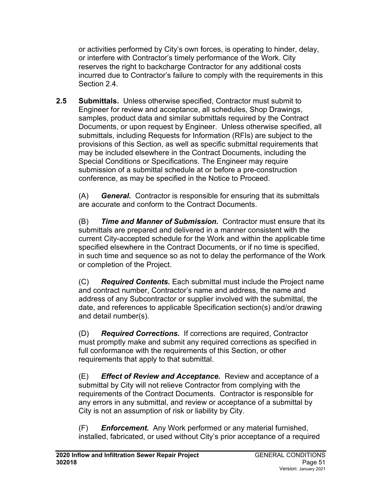or activities performed by City's own forces, is operating to hinder, delay, or interfere with Contractor's timely performance of the Work. City reserves the right to backcharge Contractor for any additional costs incurred due to Contractor's failure to comply with the requirements in this Section 2.4.

**2.5 Submittals.** Unless otherwise specified, Contractor must submit to Engineer for review and acceptance, all schedules, Shop Drawings, samples, product data and similar submittals required by the Contract Documents, or upon request by Engineer. Unless otherwise specified, all submittals, including Requests for Information (RFIs) are subject to the provisions of this Section, as well as specific submittal requirements that may be included elsewhere in the Contract Documents, including the Special Conditions or Specifications. The Engineer may require submission of a submittal schedule at or before a pre-construction conference, as may be specified in the Notice to Proceed.

(A) *General.* Contractor is responsible for ensuring that its submittals are accurate and conform to the Contract Documents.

(B) *Time and Manner of Submission.* Contractor must ensure that its submittals are prepared and delivered in a manner consistent with the current City-accepted schedule for the Work and within the applicable time specified elsewhere in the Contract Documents, or if no time is specified, in such time and sequence so as not to delay the performance of the Work or completion of the Project.

(C) *Required Contents.* Each submittal must include the Project name and contract number, Contractor's name and address, the name and address of any Subcontractor or supplier involved with the submittal, the date, and references to applicable Specification section(s) and/or drawing and detail number(s).

(D) *Required Corrections.* If corrections are required, Contractor must promptly make and submit any required corrections as specified in full conformance with the requirements of this Section, or other requirements that apply to that submittal.

(E) *Effect of Review and Acceptance.* Review and acceptance of a submittal by City will not relieve Contractor from complying with the requirements of the Contract Documents. Contractor is responsible for any errors in any submittal, and review or acceptance of a submittal by City is not an assumption of risk or liability by City.

(F) *Enforcement.* Any Work performed or any material furnished, installed, fabricated, or used without City's prior acceptance of a required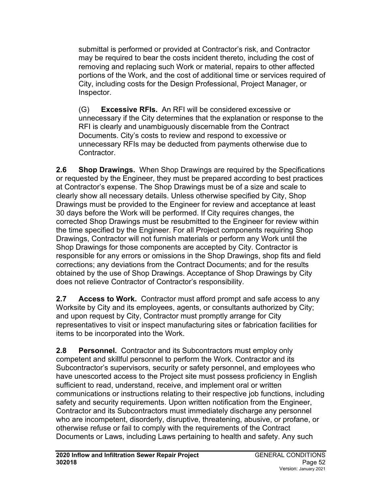submittal is performed or provided at Contractor's risk, and Contractor may be required to bear the costs incident thereto, including the cost of removing and replacing such Work or material, repairs to other affected portions of the Work, and the cost of additional time or services required of City, including costs for the Design Professional, Project Manager, or Inspector.

(G) **Excessive RFIs.** An RFI will be considered excessive or unnecessary if the City determines that the explanation or response to the RFI is clearly and unambiguously discernable from the Contract Documents. City's costs to review and respond to excessive or unnecessary RFIs may be deducted from payments otherwise due to Contractor.

**2.6 Shop Drawings.** When Shop Drawings are required by the Specifications or requested by the Engineer, they must be prepared according to best practices at Contractor's expense. The Shop Drawings must be of a size and scale to clearly show all necessary details. Unless otherwise specified by City, Shop Drawings must be provided to the Engineer for review and acceptance at least 30 days before the Work will be performed. If City requires changes, the corrected Shop Drawings must be resubmitted to the Engineer for review within the time specified by the Engineer. For all Project components requiring Shop Drawings, Contractor will not furnish materials or perform any Work until the Shop Drawings for those components are accepted by City. Contractor is responsible for any errors or omissions in the Shop Drawings, shop fits and field corrections; any deviations from the Contract Documents; and for the results obtained by the use of Shop Drawings. Acceptance of Shop Drawings by City does not relieve Contractor of Contractor's responsibility.

**2.7 Access to Work.** Contractor must afford prompt and safe access to any Worksite by City and its employees, agents, or consultants authorized by City; and upon request by City, Contractor must promptly arrange for City representatives to visit or inspect manufacturing sites or fabrication facilities for items to be incorporated into the Work.

**2.8 Personnel.** Contractor and its Subcontractors must employ only competent and skillful personnel to perform the Work. Contractor and its Subcontractor's supervisors, security or safety personnel, and employees who have unescorted access to the Project site must possess proficiency in English sufficient to read, understand, receive, and implement oral or written communications or instructions relating to their respective job functions, including safety and security requirements. Upon written notification from the Engineer, Contractor and its Subcontractors must immediately discharge any personnel who are incompetent, disorderly, disruptive, threatening, abusive, or profane, or otherwise refuse or fail to comply with the requirements of the Contract Documents or Laws, including Laws pertaining to health and safety. Any such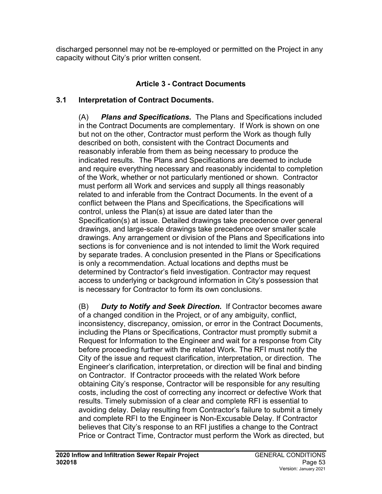discharged personnel may not be re-employed or permitted on the Project in any capacity without City's prior written consent.

## **Article 3 - Contract Documents**

### **3.1 Interpretation of Contract Documents.**

(A) *Plans and Specifications.* The Plans and Specifications included in the Contract Documents are complementary. If Work is shown on one but not on the other, Contractor must perform the Work as though fully described on both, consistent with the Contract Documents and reasonably inferable from them as being necessary to produce the indicated results. The Plans and Specifications are deemed to include and require everything necessary and reasonably incidental to completion of the Work, whether or not particularly mentioned or shown. Contractor must perform all Work and services and supply all things reasonably related to and inferable from the Contract Documents. In the event of a conflict between the Plans and Specifications, the Specifications will control, unless the Plan(s) at issue are dated later than the Specification(s) at issue. Detailed drawings take precedence over general drawings, and large-scale drawings take precedence over smaller scale drawings. Any arrangement or division of the Plans and Specifications into sections is for convenience and is not intended to limit the Work required by separate trades. A conclusion presented in the Plans or Specifications is only a recommendation. Actual locations and depths must be determined by Contractor's field investigation. Contractor may request access to underlying or background information in City's possession that is necessary for Contractor to form its own conclusions.

(B) *Duty to Notify and Seek Direction.* If Contractor becomes aware of a changed condition in the Project, or of any ambiguity, conflict, inconsistency, discrepancy, omission, or error in the Contract Documents, including the Plans or Specifications, Contractor must promptly submit a Request for Information to the Engineer and wait for a response from City before proceeding further with the related Work. The RFI must notify the City of the issue and request clarification, interpretation, or direction. The Engineer's clarification, interpretation, or direction will be final and binding on Contractor. If Contractor proceeds with the related Work before obtaining City's response, Contractor will be responsible for any resulting costs, including the cost of correcting any incorrect or defective Work that results. Timely submission of a clear and complete RFI is essential to avoiding delay. Delay resulting from Contractor's failure to submit a timely and complete RFI to the Engineer is Non-Excusable Delay. If Contractor believes that City's response to an RFI justifies a change to the Contract Price or Contract Time, Contractor must perform the Work as directed, but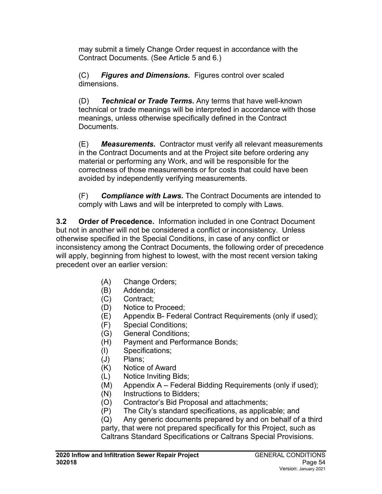may submit a timely Change Order request in accordance with the Contract Documents. (See Article 5 and 6.)

(C) *Figures and Dimensions.* Figures control over scaled dimensions.

(D) *Technical or Trade Terms.* Any terms that have well-known technical or trade meanings will be interpreted in accordance with those meanings, unless otherwise specifically defined in the Contract Documents.

(E) *Measurements.* Contractor must verify all relevant measurements in the Contract Documents and at the Project site before ordering any material or performing any Work, and will be responsible for the correctness of those measurements or for costs that could have been avoided by independently verifying measurements.

(F) *Compliance with Laws.* The Contract Documents are intended to comply with Laws and will be interpreted to comply with Laws.

**3.2 Order of Precedence.** Information included in one Contract Document but not in another will not be considered a conflict or inconsistency. Unless otherwise specified in the Special Conditions, in case of any conflict or inconsistency among the Contract Documents, the following order of precedence will apply, beginning from highest to lowest, with the most recent version taking precedent over an earlier version:

- (A) Change Orders;
- (B) Addenda;
- (C) Contract;
- (D) Notice to Proceed;
- (E) Appendix B- Federal Contract Requirements (only if used);
- (F) Special Conditions;
- (G) General Conditions;
- (H) Payment and Performance Bonds;
- (I) Specifications;
- (J) Plans;
- (K) Notice of Award
- (L) Notice Inviting Bids;
- (M) Appendix A Federal Bidding Requirements (only if used);
- (N) Instructions to Bidders;
- (O) Contractor's Bid Proposal and attachments;
- (P) The City's standard specifications, as applicable; and

(Q) Any generic documents prepared by and on behalf of a third party, that were not prepared specifically for this Project, such as Caltrans Standard Specifications or Caltrans Special Provisions.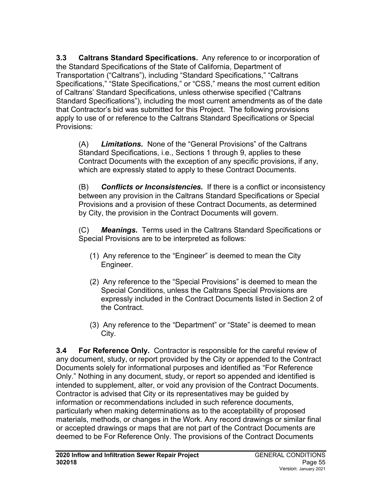**3.3 Caltrans Standard Specifications.** Any reference to or incorporation of the Standard Specifications of the State of California, Department of Transportation ("Caltrans"), including "Standard Specifications," "Caltrans Specifications," "State Specifications," or "CSS," means the most current edition of Caltrans' Standard Specifications, unless otherwise specified ("Caltrans Standard Specifications"), including the most current amendments as of the date that Contractor's bid was submitted for this Project. The following provisions apply to use of or reference to the Caltrans Standard Specifications or Special Provisions:

(A) *Limitations.* None of the "General Provisions" of the Caltrans Standard Specifications, i.e., Sections 1 through 9, applies to these Contract Documents with the exception of any specific provisions, if any, which are expressly stated to apply to these Contract Documents.

(B) *Conflicts or Inconsistencies.* If there is a conflict or inconsistency between any provision in the Caltrans Standard Specifications or Special Provisions and a provision of these Contract Documents, as determined by City, the provision in the Contract Documents will govern.

(C) *Meanings.* Terms used in the Caltrans Standard Specifications or Special Provisions are to be interpreted as follows:

- (1) Any reference to the "Engineer" is deemed to mean the City Engineer.
- (2) Any reference to the "Special Provisions" is deemed to mean the Special Conditions, unless the Caltrans Special Provisions are expressly included in the Contract Documents listed in Section 2 of the Contract.
- (3) Any reference to the "Department" or "State" is deemed to mean City.

**3.4 For Reference Only.** Contractor is responsible for the careful review of any document, study, or report provided by the City or appended to the Contract Documents solely for informational purposes and identified as "For Reference Only." Nothing in any document, study, or report so appended and identified is intended to supplement, alter, or void any provision of the Contract Documents. Contractor is advised that City or its representatives may be guided by information or recommendations included in such reference documents, particularly when making determinations as to the acceptability of proposed materials, methods, or changes in the Work. Any record drawings or similar final or accepted drawings or maps that are not part of the Contract Documents are deemed to be For Reference Only. The provisions of the Contract Documents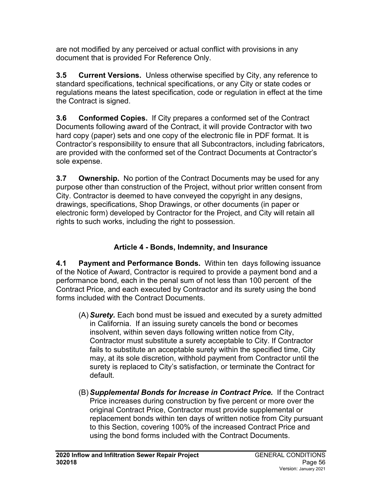are not modified by any perceived or actual conflict with provisions in any document that is provided For Reference Only.

**3.5 Current Versions.** Unless otherwise specified by City, any reference to standard specifications, technical specifications, or any City or state codes or regulations means the latest specification, code or regulation in effect at the time the Contract is signed.

**3.6 Conformed Copies.** If City prepares a conformed set of the Contract Documents following award of the Contract, it will provide Contractor with two hard copy (paper) sets and one copy of the electronic file in PDF format. It is Contractor's responsibility to ensure that all Subcontractors, including fabricators, are provided with the conformed set of the Contract Documents at Contractor's sole expense.

**3.7 Ownership.** No portion of the Contract Documents may be used for any purpose other than construction of the Project, without prior written consent from City. Contractor is deemed to have conveyed the copyright in any designs, drawings, specifications, Shop Drawings, or other documents (in paper or electronic form) developed by Contractor for the Project, and City will retain all rights to such works, including the right to possession.

# **Article 4 - Bonds, Indemnity, and Insurance**

**4.1 Payment and Performance Bonds.** Within ten days following issuance of the Notice of Award, Contractor is required to provide a payment bond and a performance bond, each in the penal sum of not less than 100 percent of the Contract Price, and each executed by Contractor and its surety using the bond forms included with the Contract Documents.

- (A) *Surety.* Each bond must be issued and executed by a surety admitted in California. If an issuing surety cancels the bond or becomes insolvent, within seven days following written notice from City, Contractor must substitute a surety acceptable to City. If Contractor fails to substitute an acceptable surety within the specified time, City may, at its sole discretion, withhold payment from Contractor until the surety is replaced to City's satisfaction, or terminate the Contract for default.
- (B) *Supplemental Bonds for Increase in Contract Price.* If the Contract Price increases during construction by five percent or more over the original Contract Price, Contractor must provide supplemental or replacement bonds within ten days of written notice from City pursuant to this Section, covering 100% of the increased Contract Price and using the bond forms included with the Contract Documents.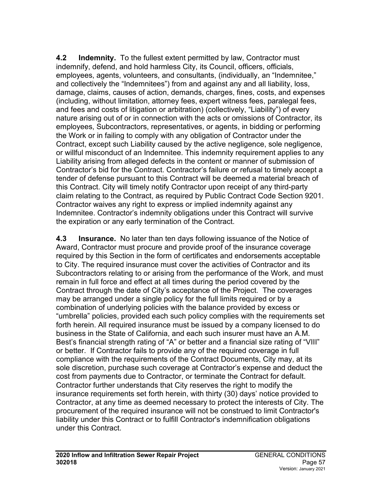**4.2 Indemnity.** To the fullest extent permitted by law, Contractor must indemnify, defend, and hold harmless City, its Council, officers, officials, employees, agents, volunteers, and consultants, (individually, an "Indemnitee," and collectively the "Indemnitees") from and against any and all liability, loss, damage, claims, causes of action, demands, charges, fines, costs, and expenses (including, without limitation, attorney fees, expert witness fees, paralegal fees, and fees and costs of litigation or arbitration) (collectively, "Liability") of every nature arising out of or in connection with the acts or omissions of Contractor, its employees, Subcontractors, representatives, or agents, in bidding or performing the Work or in failing to comply with any obligation of Contractor under the Contract, except such Liability caused by the active negligence, sole negligence, or willful misconduct of an Indemnitee. This indemnity requirement applies to any Liability arising from alleged defects in the content or manner of submission of Contractor's bid for the Contract. Contractor's failure or refusal to timely accept a tender of defense pursuant to this Contract will be deemed a material breach of this Contract. City will timely notify Contractor upon receipt of any third-party claim relating to the Contract, as required by Public Contract Code Section 9201. Contractor waives any right to express or implied indemnity against any Indemnitee. Contractor's indemnity obligations under this Contract will survive the expiration or any early termination of the Contract.

**4.3 Insurance.** No later than ten days following issuance of the Notice of Award, Contractor must procure and provide proof of the insurance coverage required by this Section in the form of certificates and endorsements acceptable to City. The required insurance must cover the activities of Contractor and its Subcontractors relating to or arising from the performance of the Work, and must remain in full force and effect at all times during the period covered by the Contract through the date of City's acceptance of the Project. The coverages may be arranged under a single policy for the full limits required or by a combination of underlying policies with the balance provided by excess or "umbrella" policies, provided each such policy complies with the requirements set forth herein. All required insurance must be issued by a company licensed to do business in the State of California, and each such insurer must have an A.M. Best's financial strength rating of "A" or better and a financial size rating of "VIII" or better. If Contractor fails to provide any of the required coverage in full compliance with the requirements of the Contract Documents, City may, at its sole discretion, purchase such coverage at Contractor's expense and deduct the cost from payments due to Contractor, or terminate the Contract for default. Contractor further understands that City reserves the right to modify the insurance requirements set forth herein, with thirty (30) days' notice provided to Contractor, at any time as deemed necessary to protect the interests of City. The procurement of the required insurance will not be construed to limit Contractor's liability under this Contract or to fulfill Contractor's indemnification obligations under this Contract.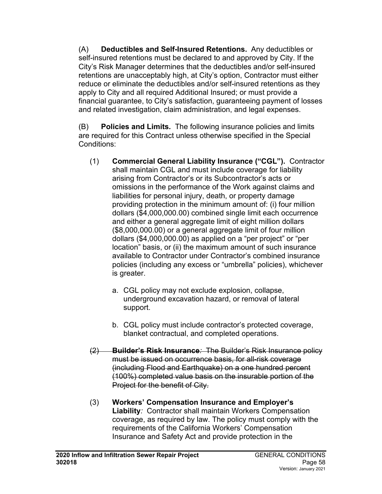(A) **Deductibles and Self-Insured Retentions.** Any deductibles or self-insured retentions must be declared to and approved by City. If the City's Risk Manager determines that the deductibles and/or self-insured retentions are unacceptably high, at City's option, Contractor must either reduce or eliminate the deductibles and/or self-insured retentions as they apply to City and all required Additional Insured; or must provide a financial guarantee, to City's satisfaction, guaranteeing payment of losses and related investigation, claim administration, and legal expenses.

(B) **Policies and Limits***.* The following insurance policies and limits are required for this Contract unless otherwise specified in the Special Conditions:

- (1) **Commercial General Liability Insurance ("CGL").** Contractor shall maintain CGL and must include coverage for liability arising from Contractor's or its Subcontractor's acts or omissions in the performance of the Work against claims and liabilities for personal injury, death, or property damage providing protection in the minimum amount of: (i) four million dollars (\$4,000,000.00) combined single limit each occurrence and either a general aggregate limit of eight million dollars (\$8,000,000.00) or a general aggregate limit of four million dollars (\$4,000,000.00) as applied on a "per project" or "per location" basis, or (ii) the maximum amount of such insurance available to Contractor under Contractor's combined insurance policies (including any excess or "umbrella" policies), whichever is greater.
	- a. CGL policy may not exclude explosion, collapse, underground excavation hazard, or removal of lateral support.
	- b. CGL policy must include contractor's protected coverage, blanket contractual, and completed operations.
- (2) **Builder's Risk Insurance***:* The Builder's Risk Insurance policy must be issued on occurrence basis, for all-risk coverage (including Flood and Earthquake) on a one hundred percent (100%) completed value basis on the insurable portion of the Project for the benefit of City.
- (3) **Workers' Compensation Insurance and Employer's Liability***:* Contractor shall maintain Workers Compensation coverage, as required by law. The policy must comply with the requirements of the California Workers' Compensation Insurance and Safety Act and provide protection in the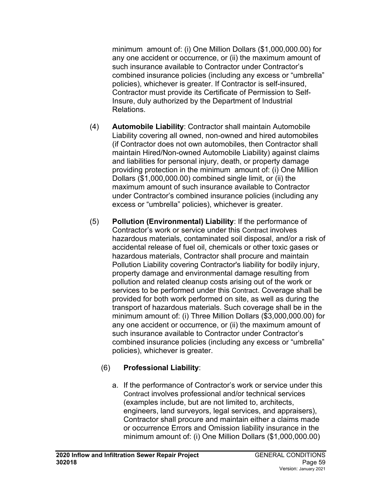minimum amount of: (i) One Million Dollars (\$1,000,000.00) for any one accident or occurrence, or (ii) the maximum amount of such insurance available to Contractor under Contractor's combined insurance policies (including any excess or "umbrella" policies), whichever is greater. If Contractor is self-insured, Contractor must provide its Certificate of Permission to Self-Insure, duly authorized by the Department of Industrial Relations.

- (4) **Automobile Liability**: Contractor shall maintain Automobile Liability covering all owned, non-owned and hired automobiles (if Contractor does not own automobiles, then Contractor shall maintain Hired/Non-owned Automobile Liability) against claims and liabilities for personal injury, death, or property damage providing protection in the minimum amount of: (i) One Million Dollars (\$1,000,000.00) combined single limit, or (ii) the maximum amount of such insurance available to Contractor under Contractor's combined insurance policies (including any excess or "umbrella" policies), whichever is greater.
- (5) **Pollution (Environmental) Liability**: If the performance of Contractor's work or service under this Contract involves hazardous materials, contaminated soil disposal, and/or a risk of accidental release of fuel oil, chemicals or other toxic gases or hazardous materials, Contractor shall procure and maintain Pollution Liability covering Contractor's liability for bodily injury, property damage and environmental damage resulting from pollution and related cleanup costs arising out of the work or services to be performed under this Contract. Coverage shall be provided for both work performed on site, as well as during the transport of hazardous materials. Such coverage shall be in the minimum amount of: (i) Three Million Dollars (\$3,000,000.00) for any one accident or occurrence, or (ii) the maximum amount of such insurance available to Contractor under Contractor's combined insurance policies (including any excess or "umbrella" policies), whichever is greater.

## (6) **Professional Liability**:

a. If the performance of Contractor's work or service under this Contract involves professional and/or technical services (examples include, but are not limited to, architects, engineers, land surveyors, legal services, and appraisers), Contractor shall procure and maintain either a claims made or occurrence Errors and Omission liability insurance in the minimum amount of: (i) One Million Dollars (\$1,000,000.00)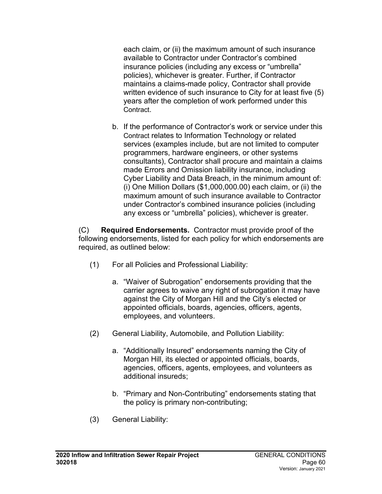each claim, or (ii) the maximum amount of such insurance available to Contractor under Contractor's combined insurance policies (including any excess or "umbrella" policies), whichever is greater. Further, if Contractor maintains a claims-made policy, Contractor shall provide written evidence of such insurance to City for at least five (5) years after the completion of work performed under this Contract.

b. If the performance of Contractor's work or service under this Contract relates to Information Technology or related services (examples include, but are not limited to computer programmers, hardware engineers, or other systems consultants), Contractor shall procure and maintain a claims made Errors and Omission liability insurance, including Cyber Liability and Data Breach, in the minimum amount of: (i) One Million Dollars (\$1,000,000.00) each claim, or (ii) the maximum amount of such insurance available to Contractor under Contractor's combined insurance policies (including any excess or "umbrella" policies), whichever is greater.

(C) **Required Endorsements***.* Contractor must provide proof of the following endorsements, listed for each policy for which endorsements are required, as outlined below:

- (1) For all Policies and Professional Liability:
	- a. "Waiver of Subrogation" endorsements providing that the carrier agrees to waive any right of subrogation it may have against the City of Morgan Hill and the City's elected or appointed officials, boards, agencies, officers, agents, employees, and volunteers.
- (2) General Liability, Automobile, and Pollution Liability:
	- a. "Additionally Insured" endorsements naming the City of Morgan Hill, its elected or appointed officials, boards, agencies, officers, agents, employees, and volunteers as additional insureds;
	- b. "Primary and Non-Contributing" endorsements stating that the policy is primary non-contributing;
- (3) General Liability: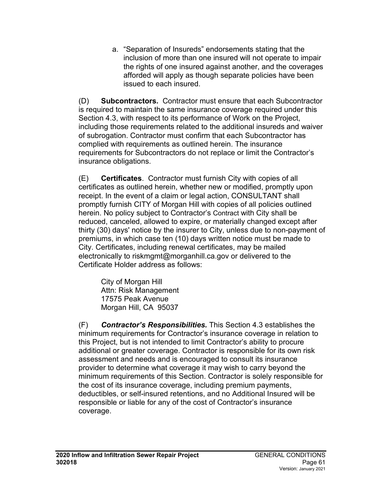a. "Separation of Insureds" endorsements stating that the inclusion of more than one insured will not operate to impair the rights of one insured against another, and the coverages afforded will apply as though separate policies have been issued to each insured.

(D) **Subcontractors***.* Contractor must ensure that each Subcontractor is required to maintain the same insurance coverage required under this Section 4.3, with respect to its performance of Work on the Project, including those requirements related to the additional insureds and waiver of subrogation. Contractor must confirm that each Subcontractor has complied with requirements as outlined herein. The insurance requirements for Subcontractors do not replace or limit the Contractor's insurance obligations.

(E) **Certificates**. Contractor must furnish City with copies of all certificates as outlined herein, whether new or modified, promptly upon receipt. In the event of a claim or legal action, CONSULTANT shall promptly furnish CITY of Morgan Hill with copies of all policies outlined herein. No policy subject to Contractor's Contract with City shall be reduced, canceled, allowed to expire, or materially changed except after thirty (30) days' notice by the insurer to City, unless due to non-payment of premiums, in which case ten (10) days written notice must be made to City. Certificates, including renewal certificates, may be mailed electronically to riskmgmt@morganhill.ca.gov or delivered to the Certificate Holder address as follows:

City of Morgan Hill Attn: Risk Management 17575 Peak Avenue Morgan Hill, CA 95037

(F) *Contractor's Responsibilities.* This Section 4.3 establishes the minimum requirements for Contractor's insurance coverage in relation to this Project, but is not intended to limit Contractor's ability to procure additional or greater coverage. Contractor is responsible for its own risk assessment and needs and is encouraged to consult its insurance provider to determine what coverage it may wish to carry beyond the minimum requirements of this Section. Contractor is solely responsible for the cost of its insurance coverage, including premium payments, deductibles, or self-insured retentions, and no Additional Insured will be responsible or liable for any of the cost of Contractor's insurance coverage.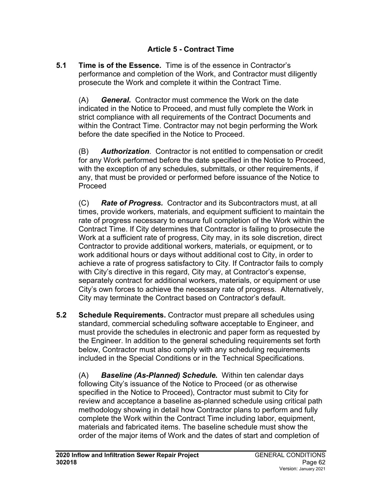### **Article 5 - Contract Time**

**5.1 Time is of the Essence.** Time is of the essence in Contractor's performance and completion of the Work, and Contractor must diligently prosecute the Work and complete it within the Contract Time.

(A) *General.* Contractor must commence the Work on the date indicated in the Notice to Proceed, and must fully complete the Work in strict compliance with all requirements of the Contract Documents and within the Contract Time. Contractor may not begin performing the Work before the date specified in the Notice to Proceed.

(B) *Authorization*. Contractor is not entitled to compensation or credit for any Work performed before the date specified in the Notice to Proceed, with the exception of any schedules, submittals, or other requirements, if any, that must be provided or performed before issuance of the Notice to Proceed

(C) *Rate of Progress.* Contractor and its Subcontractors must, at all times, provide workers, materials, and equipment sufficient to maintain the rate of progress necessary to ensure full completion of the Work within the Contract Time. If City determines that Contractor is failing to prosecute the Work at a sufficient rate of progress, City may, in its sole discretion, direct Contractor to provide additional workers, materials, or equipment, or to work additional hours or days without additional cost to City, in order to achieve a rate of progress satisfactory to City. If Contractor fails to comply with City's directive in this regard, City may, at Contractor's expense, separately contract for additional workers, materials, or equipment or use City's own forces to achieve the necessary rate of progress. Alternatively, City may terminate the Contract based on Contractor's default.

**5.2 Schedule Requirements.** Contractor must prepare all schedules using standard, commercial scheduling software acceptable to Engineer, and must provide the schedules in electronic and paper form as requested by the Engineer. In addition to the general scheduling requirements set forth below, Contractor must also comply with any scheduling requirements included in the Special Conditions or in the Technical Specifications.

(A) *Baseline (As-Planned) Schedule.* Within ten calendar days following City's issuance of the Notice to Proceed (or as otherwise specified in the Notice to Proceed), Contractor must submit to City for review and acceptance a baseline as-planned schedule using critical path methodology showing in detail how Contractor plans to perform and fully complete the Work within the Contract Time including labor, equipment, materials and fabricated items. The baseline schedule must show the order of the major items of Work and the dates of start and completion of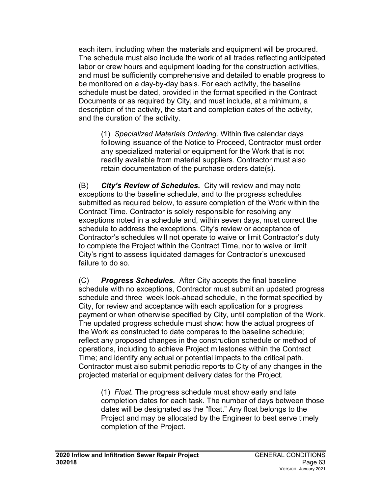each item, including when the materials and equipment will be procured. The schedule must also include the work of all trades reflecting anticipated labor or crew hours and equipment loading for the construction activities, and must be sufficiently comprehensive and detailed to enable progress to be monitored on a day-by-day basis. For each activity, the baseline schedule must be dated, provided in the format specified in the Contract Documents or as required by City, and must include, at a minimum, a description of the activity, the start and completion dates of the activity, and the duration of the activity.

(1) *Specialized Materials Ordering*. Within five calendar days following issuance of the Notice to Proceed, Contractor must order any specialized material or equipment for the Work that is not readily available from material suppliers. Contractor must also retain documentation of the purchase orders date(s).

(B) *City's Review of Schedules.* City will review and may note exceptions to the baseline schedule, and to the progress schedules submitted as required below, to assure completion of the Work within the Contract Time. Contractor is solely responsible for resolving any exceptions noted in a schedule and, within seven days, must correct the schedule to address the exceptions. City's review or acceptance of Contractor's schedules will not operate to waive or limit Contractor's duty to complete the Project within the Contract Time, nor to waive or limit City's right to assess liquidated damages for Contractor's unexcused failure to do so.

(C) *Progress Schedules.* After City accepts the final baseline schedule with no exceptions, Contractor must submit an updated progress schedule and three week look-ahead schedule, in the format specified by City, for review and acceptance with each application for a progress payment or when otherwise specified by City, until completion of the Work. The updated progress schedule must show: how the actual progress of the Work as constructed to date compares to the baseline schedule; reflect any proposed changes in the construction schedule or method of operations, including to achieve Project milestones within the Contract Time; and identify any actual or potential impacts to the critical path. Contractor must also submit periodic reports to City of any changes in the projected material or equipment delivery dates for the Project.

(1) *Float.* The progress schedule must show early and late completion dates for each task. The number of days between those dates will be designated as the "float." Any float belongs to the Project and may be allocated by the Engineer to best serve timely completion of the Project.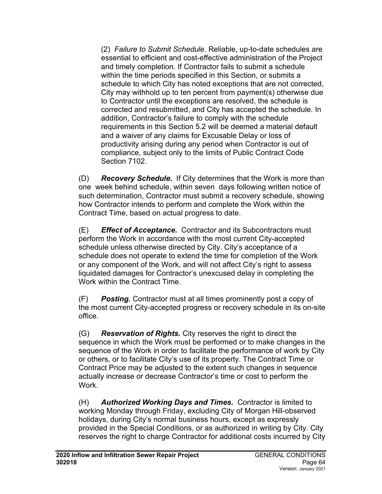(2) *Failure to Submit Schedule.* Reliable, up-to-date schedules are essential to efficient and cost-effective administration of the Project and timely completion. If Contractor fails to submit a schedule within the time periods specified in this Section, or submits a schedule to which City has noted exceptions that are not corrected, City may withhold up to ten percent from payment(s) otherwise due to Contractor until the exceptions are resolved, the schedule is corrected and resubmitted, and City has accepted the schedule. In addition, Contractor's failure to comply with the schedule requirements in this Section 5.2 will be deemed a material default and a waiver of any claims for Excusable Delay or loss of productivity arising during any period when Contractor is out of compliance, subject only to the limits of Public Contract Code Section 7102.

(D) *Recovery Schedule.* If City determines that the Work is more than one week behind schedule, within seven days following written notice of such determination, Contractor must submit a recovery schedule, showing how Contractor intends to perform and complete the Work within the Contract Time, based on actual progress to date.

(E) *Effect of Acceptance.* Contractor and its Subcontractors must perform the Work in accordance with the most current City-accepted schedule unless otherwise directed by City. City's acceptance of a schedule does not operate to extend the time for completion of the Work or any component of the Work, and will not affect City's right to assess liquidated damages for Contractor's unexcused delay in completing the Work within the Contract Time.

(F) *Posting.* Contractor must at all times prominently post a copy of the most current City-accepted progress or recovery schedule in its on-site office.

(G) *Reservation of Rights.* City reserves the right to direct the sequence in which the Work must be performed or to make changes in the sequence of the Work in order to facilitate the performance of work by City or others, or to facilitate City's use of its property. The Contract Time or Contract Price may be adjusted to the extent such changes in sequence actually increase or decrease Contractor's time or cost to perform the Work.

(H) *Authorized Working Days and Times.* Contractor is limited to working Monday through Friday, excluding City of Morgan Hill-observed holidays, during City's normal business hours, except as expressly provided in the Special Conditions, or as authorized in writing by City. City reserves the right to charge Contractor for additional costs incurred by City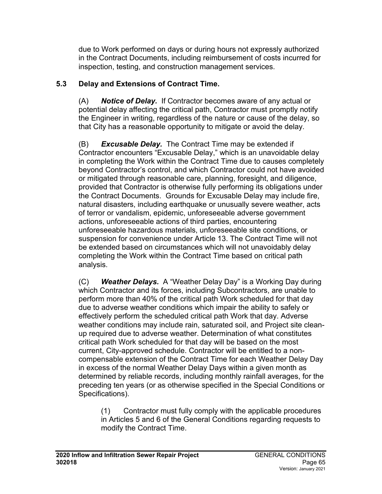due to Work performed on days or during hours not expressly authorized in the Contract Documents, including reimbursement of costs incurred for inspection, testing, and construction management services.

## **5.3 Delay and Extensions of Contract Time.**

(A) *Notice of Delay.* If Contractor becomes aware of any actual or potential delay affecting the critical path, Contractor must promptly notify the Engineer in writing, regardless of the nature or cause of the delay, so that City has a reasonable opportunity to mitigate or avoid the delay.

(B) *Excusable Delay.* The Contract Time may be extended if Contractor encounters "Excusable Delay," which is an unavoidable delay in completing the Work within the Contract Time due to causes completely beyond Contractor's control, and which Contractor could not have avoided or mitigated through reasonable care, planning, foresight, and diligence, provided that Contractor is otherwise fully performing its obligations under the Contract Documents. Grounds for Excusable Delay may include fire, natural disasters, including earthquake or unusually severe weather, acts of terror or vandalism, epidemic, unforeseeable adverse government actions, unforeseeable actions of third parties, encountering unforeseeable hazardous materials, unforeseeable site conditions, or suspension for convenience under Article 13. The Contract Time will not be extended based on circumstances which will not unavoidably delay completing the Work within the Contract Time based on critical path analysis.

(C) *Weather Delays.* A "Weather Delay Day" is a Working Day during which Contractor and its forces, including Subcontractors, are unable to perform more than 40% of the critical path Work scheduled for that day due to adverse weather conditions which impair the ability to safely or effectively perform the scheduled critical path Work that day. Adverse weather conditions may include rain, saturated soil, and Project site cleanup required due to adverse weather. Determination of what constitutes critical path Work scheduled for that day will be based on the most current, City-approved schedule. Contractor will be entitled to a noncompensable extension of the Contract Time for each Weather Delay Day in excess of the normal Weather Delay Days within a given month as determined by reliable records, including monthly rainfall averages, for the preceding ten years (or as otherwise specified in the Special Conditions or Specifications).

(1) Contractor must fully comply with the applicable procedures in Articles 5 and 6 of the General Conditions regarding requests to modify the Contract Time.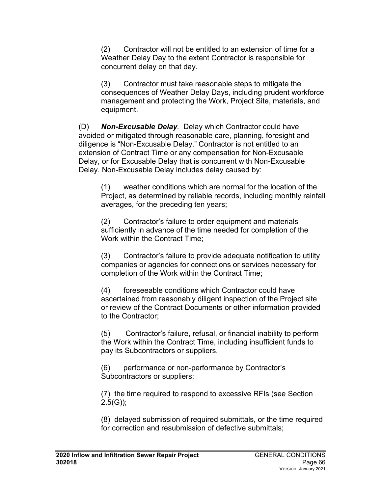(2) Contractor will not be entitled to an extension of time for a Weather Delay Day to the extent Contractor is responsible for concurrent delay on that day.

(3) Contractor must take reasonable steps to mitigate the consequences of Weather Delay Days, including prudent workforce management and protecting the Work, Project Site, materials, and equipment.

(D) *Non-Excusable Delay.* Delay which Contractor could have avoided or mitigated through reasonable care, planning, foresight and diligence is "Non-Excusable Delay." Contractor is not entitled to an extension of Contract Time or any compensation for Non-Excusable Delay, or for Excusable Delay that is concurrent with Non-Excusable Delay. Non-Excusable Delay includes delay caused by:

(1) weather conditions which are normal for the location of the Project, as determined by reliable records, including monthly rainfall averages, for the preceding ten years;

(2) Contractor's failure to order equipment and materials sufficiently in advance of the time needed for completion of the Work within the Contract Time;

(3) Contractor's failure to provide adequate notification to utility companies or agencies for connections or services necessary for completion of the Work within the Contract Time;

(4) foreseeable conditions which Contractor could have ascertained from reasonably diligent inspection of the Project site or review of the Contract Documents or other information provided to the Contractor;

(5) Contractor's failure, refusal, or financial inability to perform the Work within the Contract Time, including insufficient funds to pay its Subcontractors or suppliers.

(6) performance or non-performance by Contractor's Subcontractors or suppliers;

(7) the time required to respond to excessive RFIs (see Section  $2.5(G)$ ;

(8) delayed submission of required submittals, or the time required for correction and resubmission of defective submittals;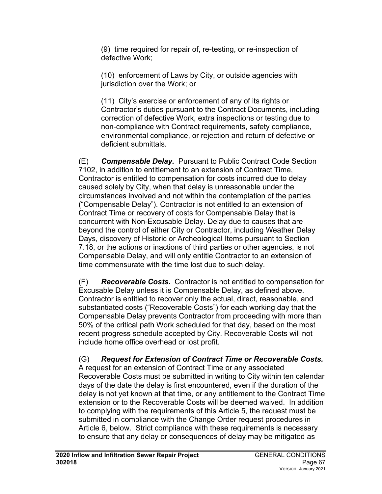(9) time required for repair of, re-testing, or re-inspection of defective Work;

(10) enforcement of Laws by City, or outside agencies with jurisdiction over the Work; or

(11) City's exercise or enforcement of any of its rights or Contractor's duties pursuant to the Contract Documents, including correction of defective Work, extra inspections or testing due to non-compliance with Contract requirements, safety compliance, environmental compliance, or rejection and return of defective or deficient submittals.

(E) *Compensable Delay.* Pursuant to Public Contract Code Section 7102, in addition to entitlement to an extension of Contract Time, Contractor is entitled to compensation for costs incurred due to delay caused solely by City, when that delay is unreasonable under the circumstances involved and not within the contemplation of the parties ("Compensable Delay"). Contractor is not entitled to an extension of Contract Time or recovery of costs for Compensable Delay that is concurrent with Non-Excusable Delay. Delay due to causes that are beyond the control of either City or Contractor, including Weather Delay Days, discovery of Historic or Archeological Items pursuant to Section 7.18, or the actions or inactions of third parties or other agencies, is not Compensable Delay, and will only entitle Contractor to an extension of time commensurate with the time lost due to such delay.

(F) *Recoverable Costs.* Contractor is not entitled to compensation for Excusable Delay unless it is Compensable Delay, as defined above. Contractor is entitled to recover only the actual, direct, reasonable, and substantiated costs ("Recoverable Costs") for each working day that the Compensable Delay prevents Contractor from proceeding with more than 50% of the critical path Work scheduled for that day, based on the most recent progress schedule accepted by City. Recoverable Costs will not include home office overhead or lost profit.

(G) *Request for Extension of Contract Time or Recoverable Costs.*  A request for an extension of Contract Time or any associated Recoverable Costs must be submitted in writing to City within ten calendar days of the date the delay is first encountered, even if the duration of the delay is not yet known at that time, or any entitlement to the Contract Time extension or to the Recoverable Costs will be deemed waived. In addition to complying with the requirements of this Article 5, the request must be submitted in compliance with the Change Order request procedures in Article 6, below. Strict compliance with these requirements is necessary to ensure that any delay or consequences of delay may be mitigated as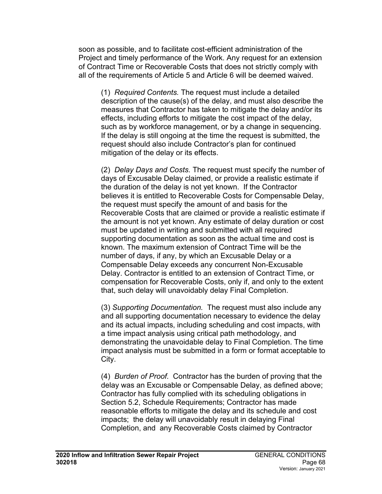soon as possible, and to facilitate cost-efficient administration of the Project and timely performance of the Work. Any request for an extension of Contract Time or Recoverable Costs that does not strictly comply with all of the requirements of Article 5 and Article 6 will be deemed waived.

(1) *Required Contents.* The request must include a detailed description of the cause(s) of the delay, and must also describe the measures that Contractor has taken to mitigate the delay and/or its effects, including efforts to mitigate the cost impact of the delay, such as by workforce management, or by a change in sequencing. If the delay is still ongoing at the time the request is submitted, the request should also include Contractor's plan for continued mitigation of the delay or its effects.

(2) *Delay Days and Costs.* The request must specify the number of days of Excusable Delay claimed, or provide a realistic estimate if the duration of the delay is not yet known. If the Contractor believes it is entitled to Recoverable Costs for Compensable Delay, the request must specify the amount of and basis for the Recoverable Costs that are claimed or provide a realistic estimate if the amount is not yet known. Any estimate of delay duration or cost must be updated in writing and submitted with all required supporting documentation as soon as the actual time and cost is known. The maximum extension of Contract Time will be the number of days, if any, by which an Excusable Delay or a Compensable Delay exceeds any concurrent Non-Excusable Delay. Contractor is entitled to an extension of Contract Time, or compensation for Recoverable Costs, only if, and only to the extent that, such delay will unavoidably delay Final Completion.

(3) *Supporting Documentation.* The request must also include any and all supporting documentation necessary to evidence the delay and its actual impacts, including scheduling and cost impacts, with a time impact analysis using critical path methodology, and demonstrating the unavoidable delay to Final Completion. The time impact analysis must be submitted in a form or format acceptable to City.

(4) *Burden of Proof.* Contractor has the burden of proving that the delay was an Excusable or Compensable Delay, as defined above; Contractor has fully complied with its scheduling obligations in Section 5.2, Schedule Requirements; Contractor has made reasonable efforts to mitigate the delay and its schedule and cost impacts; the delay will unavoidably result in delaying Final Completion, and any Recoverable Costs claimed by Contractor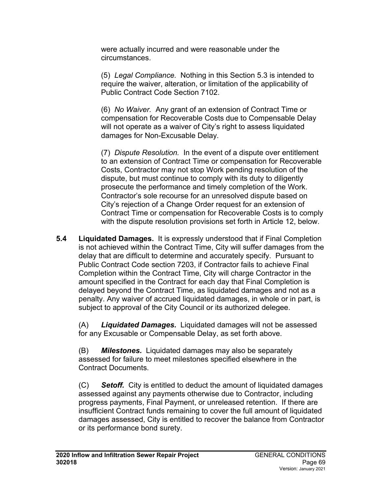were actually incurred and were reasonable under the circumstances.

(5) *Legal Compliance.* Nothing in this Section 5.3 is intended to require the waiver, alteration, or limitation of the applicability of Public Contract Code Section 7102.

(6) *No Waiver.* Any grant of an extension of Contract Time or compensation for Recoverable Costs due to Compensable Delay will not operate as a waiver of City's right to assess liquidated damages for Non-Excusable Delay.

(7) *Dispute Resolution.* In the event of a dispute over entitlement to an extension of Contract Time or compensation for Recoverable Costs, Contractor may not stop Work pending resolution of the dispute, but must continue to comply with its duty to diligently prosecute the performance and timely completion of the Work. Contractor's sole recourse for an unresolved dispute based on City's rejection of a Change Order request for an extension of Contract Time or compensation for Recoverable Costs is to comply with the dispute resolution provisions set forth in Article 12, below.

**5.4 Liquidated Damages.** It is expressly understood that if Final Completion is not achieved within the Contract Time, City will suffer damages from the delay that are difficult to determine and accurately specify. Pursuant to Public Contract Code section 7203, if Contractor fails to achieve Final Completion within the Contract Time, City will charge Contractor in the amount specified in the Contract for each day that Final Completion is delayed beyond the Contract Time, as liquidated damages and not as a penalty. Any waiver of accrued liquidated damages, in whole or in part, is subject to approval of the City Council or its authorized delegee.

(A) *Liquidated Damages.* Liquidated damages will not be assessed for any Excusable or Compensable Delay, as set forth above.

(B) *Milestones.* Liquidated damages may also be separately assessed for failure to meet milestones specified elsewhere in the Contract Documents.

(C) *Setoff.* City is entitled to deduct the amount of liquidated damages assessed against any payments otherwise due to Contractor, including progress payments, Final Payment, or unreleased retention. If there are insufficient Contract funds remaining to cover the full amount of liquidated damages assessed, City is entitled to recover the balance from Contractor or its performance bond surety.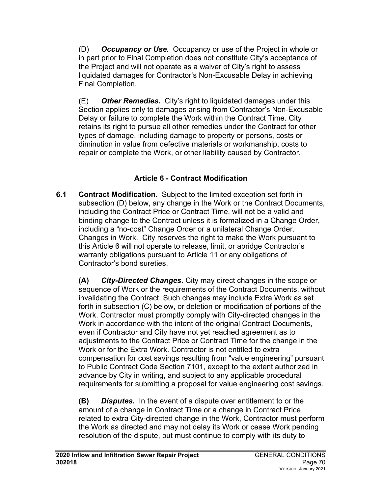(D) *Occupancy or Use.* Occupancy or use of the Project in whole or in part prior to Final Completion does not constitute City's acceptance of the Project and will not operate as a waiver of City's right to assess liquidated damages for Contractor's Non-Excusable Delay in achieving Final Completion.

(E) *Other Remedies.* City's right to liquidated damages under this Section applies only to damages arising from Contractor's Non-Excusable Delay or failure to complete the Work within the Contract Time. City retains its right to pursue all other remedies under the Contract for other types of damage, including damage to property or persons, costs or diminution in value from defective materials or workmanship, costs to repair or complete the Work, or other liability caused by Contractor.

## **Article 6 - Contract Modification**

**6.1 Contract Modification.** Subject to the limited exception set forth in subsection (D) below, any change in the Work or the Contract Documents, including the Contract Price or Contract Time, will not be a valid and binding change to the Contract unless it is formalized in a Change Order, including a "no-cost" Change Order or a unilateral Change Order. Changes in Work. City reserves the right to make the Work pursuant to this Article 6 will not operate to release, limit, or abridge Contractor's warranty obligations pursuant to Article 11 or any obligations of Contractor's bond sureties.

**(A)** *City-Directed Changes***.** City may direct changes in the scope or sequence of Work or the requirements of the Contract Documents, without invalidating the Contract. Such changes may include Extra Work as set forth in subsection (C) below, or deletion or modification of portions of the Work. Contractor must promptly comply with City-directed changes in the Work in accordance with the intent of the original Contract Documents, even if Contractor and City have not yet reached agreement as to adjustments to the Contract Price or Contract Time for the change in the Work or for the Extra Work. Contractor is not entitled to extra compensation for cost savings resulting from "value engineering" pursuant to Public Contract Code Section 7101, except to the extent authorized in advance by City in writing, and subject to any applicable procedural requirements for submitting a proposal for value engineering cost savings.

**(B)** *Disputes.* In the event of a dispute over entitlement to or the amount of a change in Contract Time or a change in Contract Price related to extra City-directed change in the Work, Contractor must perform the Work as directed and may not delay its Work or cease Work pending resolution of the dispute, but must continue to comply with its duty to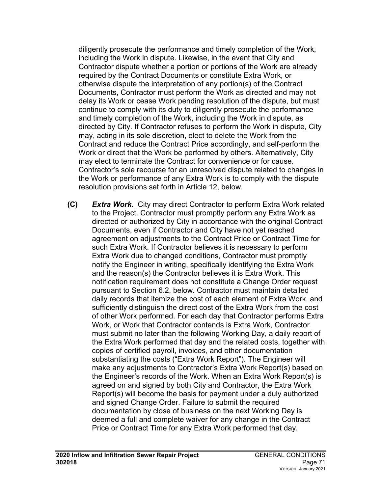diligently prosecute the performance and timely completion of the Work, including the Work in dispute. Likewise, in the event that City and Contractor dispute whether a portion or portions of the Work are already required by the Contract Documents or constitute Extra Work, or otherwise dispute the interpretation of any portion(s) of the Contract Documents, Contractor must perform the Work as directed and may not delay its Work or cease Work pending resolution of the dispute, but must continue to comply with its duty to diligently prosecute the performance and timely completion of the Work, including the Work in dispute, as directed by City. If Contractor refuses to perform the Work in dispute, City may, acting in its sole discretion, elect to delete the Work from the Contract and reduce the Contract Price accordingly, and self-perform the Work or direct that the Work be performed by others. Alternatively, City may elect to terminate the Contract for convenience or for cause. Contractor's sole recourse for an unresolved dispute related to changes in the Work or performance of any Extra Work is to comply with the dispute resolution provisions set forth in Article 12, below.

**(C)** *Extra Work.* City may direct Contractor to perform Extra Work related to the Project. Contractor must promptly perform any Extra Work as directed or authorized by City in accordance with the original Contract Documents, even if Contractor and City have not yet reached agreement on adjustments to the Contract Price or Contract Time for such Extra Work. If Contractor believes it is necessary to perform Extra Work due to changed conditions, Contractor must promptly notify the Engineer in writing, specifically identifying the Extra Work and the reason(s) the Contractor believes it is Extra Work. This notification requirement does not constitute a Change Order request pursuant to Section 6.2, below. Contractor must maintain detailed daily records that itemize the cost of each element of Extra Work, and sufficiently distinguish the direct cost of the Extra Work from the cost of other Work performed. For each day that Contractor performs Extra Work, or Work that Contractor contends is Extra Work, Contractor must submit no later than the following Working Day, a daily report of the Extra Work performed that day and the related costs, together with copies of certified payroll, invoices, and other documentation substantiating the costs ("Extra Work Report"). The Engineer will make any adjustments to Contractor's Extra Work Report(s) based on the Engineer's records of the Work. When an Extra Work Report(s) is agreed on and signed by both City and Contractor, the Extra Work Report(s) will become the basis for payment under a duly authorized and signed Change Order. Failure to submit the required documentation by close of business on the next Working Day is deemed a full and complete waiver for any change in the Contract Price or Contract Time for any Extra Work performed that day.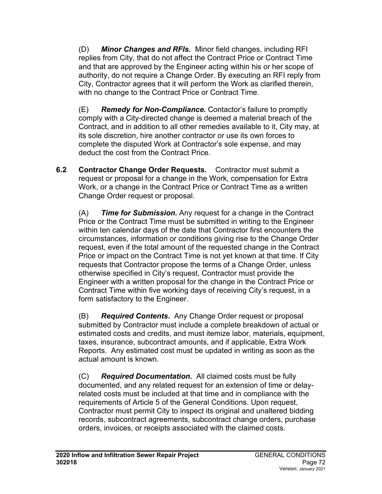(D) *Minor Changes and RFIs.* Minor field changes, including RFI replies from City, that do not affect the Contract Price or Contract Time and that are approved by the Engineer acting within his or her scope of authority, do not require a Change Order. By executing an RFI reply from City, Contractor agrees that it will perform the Work as clarified therein, with no change to the Contract Price or Contract Time.

(E) *Remedy for Non-Compliance.* Contactor's failure to promptly comply with a City-directed change is deemed a material breach of the Contract, and in addition to all other remedies available to it, City may, at its sole discretion, hire another contractor or use its own forces to complete the disputed Work at Contractor's sole expense, and may deduct the cost from the Contract Price.

**6.2 Contractor Change Order Requests.** Contractor must submit a request or proposal for a change in the Work, compensation for Extra Work, or a change in the Contract Price or Contract Time as a written Change Order request or proposal.

(A) *Time for Submission.* Any request for a change in the Contract Price or the Contract Time must be submitted in writing to the Engineer within ten calendar days of the date that Contractor first encounters the circumstances, information or conditions giving rise to the Change Order request, even if the total amount of the requested change in the Contract Price or impact on the Contract Time is not yet known at that time. If City requests that Contractor propose the terms of a Change Order, unless otherwise specified in City's request, Contractor must provide the Engineer with a written proposal for the change in the Contract Price or Contract Time within five working days of receiving City's request, in a form satisfactory to the Engineer.

(B) *Required Contents.* Any Change Order request or proposal submitted by Contractor must include a complete breakdown of actual or estimated costs and credits, and must itemize labor, materials, equipment, taxes, insurance, subcontract amounts, and if applicable, Extra Work Reports. Any estimated cost must be updated in writing as soon as the actual amount is known.

(C) *Required Documentation.* All claimed costs must be fully documented, and any related request for an extension of time or delayrelated costs must be included at that time and in compliance with the requirements of Article 5 of the General Conditions. Upon request, Contractor must permit City to inspect its original and unaltered bidding records, subcontract agreements, subcontract change orders, purchase orders, invoices, or receipts associated with the claimed costs.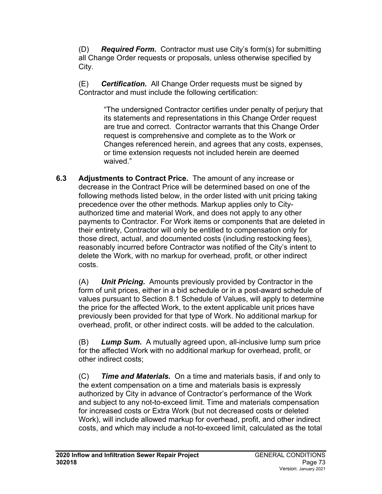(D) *Required Form.* Contractor must use City's form(s) for submitting all Change Order requests or proposals, unless otherwise specified by City.

(E) *Certification.* All Change Order requests must be signed by Contractor and must include the following certification:

> "The undersigned Contractor certifies under penalty of perjury that its statements and representations in this Change Order request are true and correct. Contractor warrants that this Change Order request is comprehensive and complete as to the Work or Changes referenced herein, and agrees that any costs, expenses, or time extension requests not included herein are deemed waived."

**6.3 Adjustments to Contract Price.** The amount of any increase or decrease in the Contract Price will be determined based on one of the following methods listed below, in the order listed with unit pricing taking precedence over the other methods. Markup applies only to Cityauthorized time and material Work, and does not apply to any other payments to Contractor. For Work items or components that are deleted in their entirety, Contractor will only be entitled to compensation only for those direct, actual, and documented costs (including restocking fees), reasonably incurred before Contractor was notified of the City's intent to delete the Work, with no markup for overhead, profit, or other indirect costs.

(A) *Unit Pricing.* Amounts previously provided by Contractor in the form of unit prices, either in a bid schedule or in a post-award schedule of values pursuant to Section 8.1 Schedule of Values, will apply to determine the price for the affected Work, to the extent applicable unit prices have previously been provided for that type of Work. No additional markup for overhead, profit, or other indirect costs. will be added to the calculation.

(B) *Lump Sum.* A mutually agreed upon, all-inclusive lump sum price for the affected Work with no additional markup for overhead, profit, or other indirect costs;

(C) *Time and Materials.* On a time and materials basis, if and only to the extent compensation on a time and materials basis is expressly authorized by City in advance of Contractor's performance of the Work and subject to any not-to-exceed limit. Time and materials compensation for increased costs or Extra Work (but not decreased costs or deleted Work), will include allowed markup for overhead, profit, and other indirect costs, and which may include a not-to-exceed limit, calculated as the total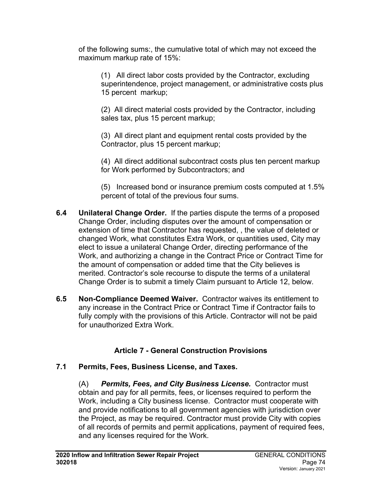of the following sums:, the cumulative total of which may not exceed the maximum markup rate of 15%:

(1) All direct labor costs provided by the Contractor, excluding superintendence, project management, or administrative costs plus 15 percent markup;

(2) All direct material costs provided by the Contractor, including sales tax, plus 15 percent markup;

(3) All direct plant and equipment rental costs provided by the Contractor, plus 15 percent markup;

(4) All direct additional subcontract costs plus ten percent markup for Work performed by Subcontractors; and

(5) Increased bond or insurance premium costs computed at 1.5% percent of total of the previous four sums.

- **6.4 Unilateral Change Order.**If the parties dispute the terms of a proposed Change Order, including disputes over the amount of compensation or extension of time that Contractor has requested, , the value of deleted or changed Work, what constitutes Extra Work, or quantities used, City may elect to issue a unilateral Change Order, directing performance of the Work, and authorizing a change in the Contract Price or Contract Time for the amount of compensation or added time that the City believes is merited. Contractor's sole recourse to dispute the terms of a unilateral Change Order is to submit a timely Claim pursuant to Article 12, below.
- **6.5 Non-Compliance Deemed Waiver.** Contractor waives its entitlement to any increase in the Contract Price or Contract Time if Contractor fails to fully comply with the provisions of this Article. Contractor will not be paid for unauthorized Extra Work.

## **Article 7 - General Construction Provisions**

### **7.1 Permits, Fees, Business License, and Taxes.**

(A) *Permits, Fees, and City Business License.* Contractor must obtain and pay for all permits, fees, or licenses required to perform the Work, including a City business license. Contractor must cooperate with and provide notifications to all government agencies with jurisdiction over the Project, as may be required. Contractor must provide City with copies of all records of permits and permit applications, payment of required fees, and any licenses required for the Work.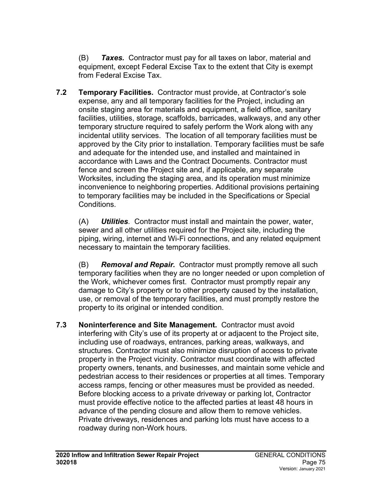(B) *Taxes.* Contractor must pay for all taxes on labor, material and equipment, except Federal Excise Tax to the extent that City is exempt from Federal Excise Tax.

**7.2 Temporary Facilities.** Contractor must provide, at Contractor's sole expense, any and all temporary facilities for the Project, including an onsite staging area for materials and equipment, a field office, sanitary facilities, utilities, storage, scaffolds, barricades, walkways, and any other temporary structure required to safely perform the Work along with any incidental utility services. The location of all temporary facilities must be approved by the City prior to installation. Temporary facilities must be safe and adequate for the intended use, and installed and maintained in accordance with Laws and the Contract Documents. Contractor must fence and screen the Project site and, if applicable, any separate Worksites, including the staging area, and its operation must minimize inconvenience to neighboring properties. Additional provisions pertaining to temporary facilities may be included in the Specifications or Special Conditions.

(A) *Utilities.* Contractor must install and maintain the power, water, sewer and all other utilities required for the Project site, including the piping, wiring, internet and Wi-Fi connections, and any related equipment necessary to maintain the temporary facilities.

(B) *Removal and Repair.* Contractor must promptly remove all such temporary facilities when they are no longer needed or upon completion of the Work, whichever comes first. Contractor must promptly repair any damage to City's property or to other property caused by the installation, use, or removal of the temporary facilities, and must promptly restore the property to its original or intended condition.

**7.3 Noninterference and Site Management.** Contractor must avoid interfering with City's use of its property at or adjacent to the Project site, including use of roadways, entrances, parking areas, walkways, and structures. Contractor must also minimize disruption of access to private property in the Project vicinity. Contractor must coordinate with affected property owners, tenants, and businesses, and maintain some vehicle and pedestrian access to their residences or properties at all times. Temporary access ramps, fencing or other measures must be provided as needed. Before blocking access to a private driveway or parking lot, Contractor must provide effective notice to the affected parties at least 48 hours in advance of the pending closure and allow them to remove vehicles. Private driveways, residences and parking lots must have access to a roadway during non-Work hours.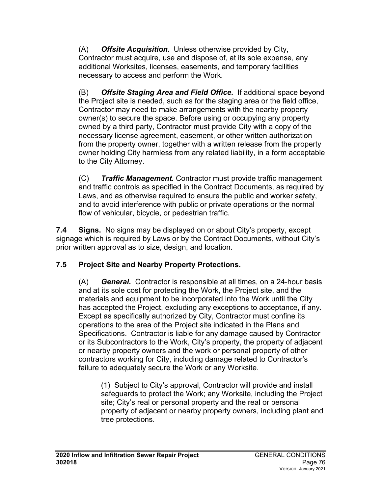(A) *Offsite Acquisition.* Unless otherwise provided by City, Contractor must acquire, use and dispose of, at its sole expense, any additional Worksites, licenses, easements, and temporary facilities necessary to access and perform the Work.

(B) *Offsite Staging Area and Field Office.* If additional space beyond the Project site is needed, such as for the staging area or the field office, Contractor may need to make arrangements with the nearby property owner(s) to secure the space. Before using or occupying any property owned by a third party, Contractor must provide City with a copy of the necessary license agreement, easement, or other written authorization from the property owner, together with a written release from the property owner holding City harmless from any related liability, in a form acceptable to the City Attorney.

(C) *Traffic Management.* Contractor must provide traffic management and traffic controls as specified in the Contract Documents, as required by Laws, and as otherwise required to ensure the public and worker safety, and to avoid interference with public or private operations or the normal flow of vehicular, bicycle, or pedestrian traffic.

**7.4 Signs.** No signs may be displayed on or about City's property, except signage which is required by Laws or by the Contract Documents, without City's prior written approval as to size, design, and location.

## **7.5 Project Site and Nearby Property Protections.**

(A) *General.* Contractor is responsible at all times, on a 24-hour basis and at its sole cost for protecting the Work, the Project site, and the materials and equipment to be incorporated into the Work until the City has accepted the Project, excluding any exceptions to acceptance, if any. Except as specifically authorized by City, Contractor must confine its operations to the area of the Project site indicated in the Plans and Specifications. Contractor is liable for any damage caused by Contractor or its Subcontractors to the Work, City's property, the property of adjacent or nearby property owners and the work or personal property of other contractors working for City, including damage related to Contractor's failure to adequately secure the Work or any Worksite.

(1) Subject to City's approval, Contractor will provide and install safeguards to protect the Work; any Worksite, including the Project site; City's real or personal property and the real or personal property of adjacent or nearby property owners, including plant and tree protections.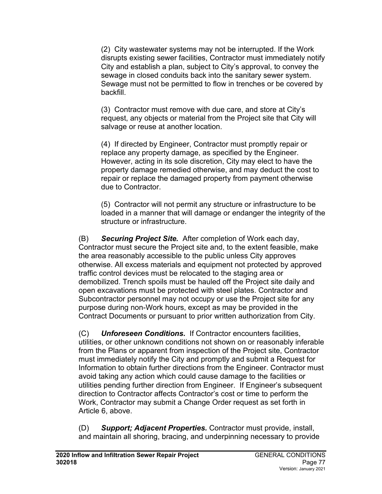(2) City wastewater systems may not be interrupted. If the Work disrupts existing sewer facilities, Contractor must immediately notify City and establish a plan, subject to City's approval, to convey the sewage in closed conduits back into the sanitary sewer system. Sewage must not be permitted to flow in trenches or be covered by backfill.

(3) Contractor must remove with due care, and store at City's request, any objects or material from the Project site that City will salvage or reuse at another location.

(4) If directed by Engineer, Contractor must promptly repair or replace any property damage, as specified by the Engineer. However, acting in its sole discretion, City may elect to have the property damage remedied otherwise, and may deduct the cost to repair or replace the damaged property from payment otherwise due to Contractor.

(5) Contractor will not permit any structure or infrastructure to be loaded in a manner that will damage or endanger the integrity of the structure or infrastructure.

(B) *Securing Project Site.* After completion of Work each day, Contractor must secure the Project site and, to the extent feasible, make the area reasonably accessible to the public unless City approves otherwise. All excess materials and equipment not protected by approved traffic control devices must be relocated to the staging area or demobilized. Trench spoils must be hauled off the Project site daily and open excavations must be protected with steel plates. Contractor and Subcontractor personnel may not occupy or use the Project site for any purpose during non-Work hours, except as may be provided in the Contract Documents or pursuant to prior written authorization from City.

(C) *Unforeseen Conditions.* If Contractor encounters facilities, utilities, or other unknown conditions not shown on or reasonably inferable from the Plans or apparent from inspection of the Project site, Contractor must immediately notify the City and promptly and submit a Request for Information to obtain further directions from the Engineer. Contractor must avoid taking any action which could cause damage to the facilities or utilities pending further direction from Engineer. If Engineer's subsequent direction to Contractor affects Contractor's cost or time to perform the Work, Contractor may submit a Change Order request as set forth in Article 6, above.

(D) *Support; Adjacent Properties.* Contractor must provide, install, and maintain all shoring, bracing, and underpinning necessary to provide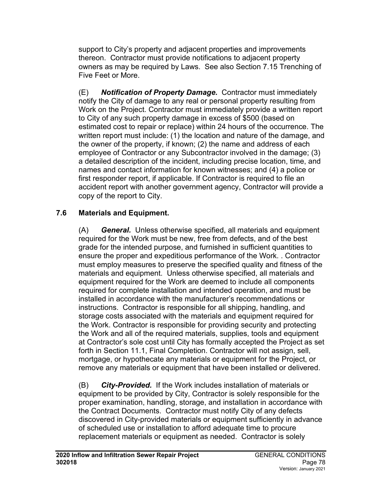support to City's property and adjacent properties and improvements thereon. Contractor must provide notifications to adjacent property owners as may be required by Laws. See also Section 7.15 Trenching of Five Feet or More.

(E) *Notification of Property Damage.* Contractor must immediately notify the City of damage to any real or personal property resulting from Work on the Project. Contractor must immediately provide a written report to City of any such property damage in excess of \$500 (based on estimated cost to repair or replace) within 24 hours of the occurrence. The written report must include: (1) the location and nature of the damage, and the owner of the property, if known; (2) the name and address of each employee of Contractor or any Subcontractor involved in the damage; (3) a detailed description of the incident, including precise location, time, and names and contact information for known witnesses; and (4) a police or first responder report, if applicable. If Contractor is required to file an accident report with another government agency, Contractor will provide a copy of the report to City.

## **7.6 Materials and Equipment.**

(A) *General.* Unless otherwise specified, all materials and equipment required for the Work must be new, free from defects, and of the best grade for the intended purpose, and furnished in sufficient quantities to ensure the proper and expeditious performance of the Work. . Contractor must employ measures to preserve the specified quality and fitness of the materials and equipment. Unless otherwise specified, all materials and equipment required for the Work are deemed to include all components required for complete installation and intended operation, and must be installed in accordance with the manufacturer's recommendations or instructions. Contractor is responsible for all shipping, handling, and storage costs associated with the materials and equipment required for the Work. Contractor is responsible for providing security and protecting the Work and all of the required materials, supplies, tools and equipment at Contractor's sole cost until City has formally accepted the Project as set forth in Section 11.1, Final Completion. Contractor will not assign, sell, mortgage, or hypothecate any materials or equipment for the Project, or remove any materials or equipment that have been installed or delivered.

(B) *City-Provided.* If the Work includes installation of materials or equipment to be provided by City, Contractor is solely responsible for the proper examination, handling, storage, and installation in accordance with the Contract Documents. Contractor must notify City of any defects discovered in City-provided materials or equipment sufficiently in advance of scheduled use or installation to afford adequate time to procure replacement materials or equipment as needed. Contractor is solely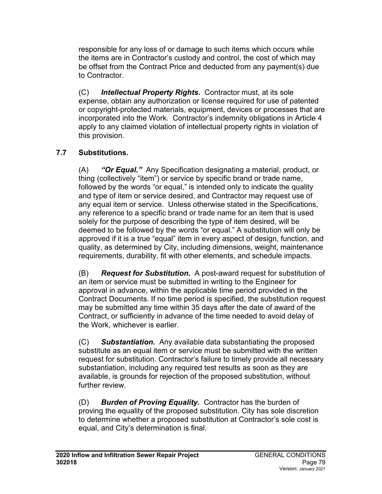responsible for any loss of or damage to such items which occurs while the items are in Contractor's custody and control, the cost of which may be offset from the Contract Price and deducted from any payment(s) due to Contractor.

(C) *Intellectual Property Rights.* Contractor must, at its sole expense, obtain any authorization or license required for use of patented or copyright-protected materials, equipment, devices or processes that are incorporated into the Work. Contractor's indemnity obligations in Article 4 apply to any claimed violation of intellectual property rights in violation of this provision.

# **7.7 Substitutions.**

(A) *"Or Equal."* Any Specification designating a material, product, or thing (collectively "item") or service by specific brand or trade name, followed by the words "or equal," is intended only to indicate the quality and type of item or service desired, and Contractor may request use of any equal item or service. Unless otherwise stated in the Specifications, any reference to a specific brand or trade name for an item that is used solely for the purpose of describing the type of item desired, will be deemed to be followed by the words "or equal." A substitution will only be approved if it is a true "equal" item in every aspect of design, function, and quality, as determined by City, including dimensions, weight, maintenance requirements, durability, fit with other elements, and schedule impacts.

(B) *Request for Substitution.* A post-award request for substitution of an item or service must be submitted in writing to the Engineer for approval in advance, within the applicable time period provided in the Contract Documents. If no time period is specified, the substitution request may be submitted any time within 35 days after the date of award of the Contract, or sufficiently in advance of the time needed to avoid delay of the Work, whichever is earlier.

(C) *Substantiation.* Any available data substantiating the proposed substitute as an equal item or service must be submitted with the written request for substitution. Contractor's failure to timely provide all necessary substantiation, including any required test results as soon as they are available, is grounds for rejection of the proposed substitution, without further review.

(D) *Burden of Proving Equality.* Contractor has the burden of proving the equality of the proposed substitution. City has sole discretion to determine whether a proposed substitution at Contractor's sole cost is equal, and City's determination is final.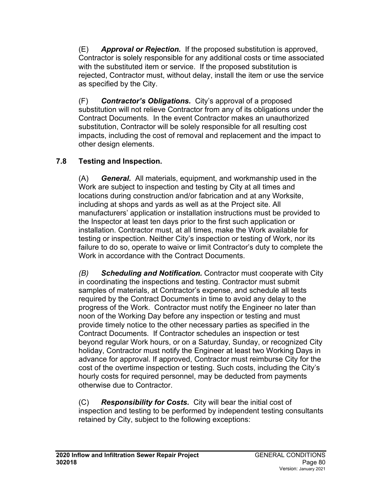(E) *Approval or Rejection.* If the proposed substitution is approved, Contractor is solely responsible for any additional costs or time associated with the substituted item or service. If the proposed substitution is rejected, Contractor must, without delay, install the item or use the service as specified by the City.

(F) *Contractor's Obligations.* City's approval of a proposed substitution will not relieve Contractor from any of its obligations under the Contract Documents. In the event Contractor makes an unauthorized substitution, Contractor will be solely responsible for all resulting cost impacts, including the cost of removal and replacement and the impact to other design elements.

## **7.8 Testing and Inspection.**

(A) *General.* All materials, equipment, and workmanship used in the Work are subject to inspection and testing by City at all times and locations during construction and/or fabrication and at any Worksite, including at shops and yards as well as at the Project site. All manufacturers' application or installation instructions must be provided to the Inspector at least ten days prior to the first such application or installation. Contractor must, at all times, make the Work available for testing or inspection. Neither City's inspection or testing of Work, nor its failure to do so, operate to waive or limit Contractor's duty to complete the Work in accordance with the Contract Documents.

*(B) Scheduling and Notification.* Contractor must cooperate with City in coordinating the inspections and testing. Contractor must submit samples of materials, at Contractor's expense, and schedule all tests required by the Contract Documents in time to avoid any delay to the progress of the Work. Contractor must notify the Engineer no later than noon of the Working Day before any inspection or testing and must provide timely notice to the other necessary parties as specified in the Contract Documents. If Contractor schedules an inspection or test beyond regular Work hours, or on a Saturday, Sunday, or recognized City holiday, Contractor must notify the Engineer at least two Working Days in advance for approval. If approved, Contractor must reimburse City for the cost of the overtime inspection or testing. Such costs, including the City's hourly costs for required personnel, may be deducted from payments otherwise due to Contractor.

(C) *Responsibility for Costs.* City will bear the initial cost of inspection and testing to be performed by independent testing consultants retained by City, subject to the following exceptions: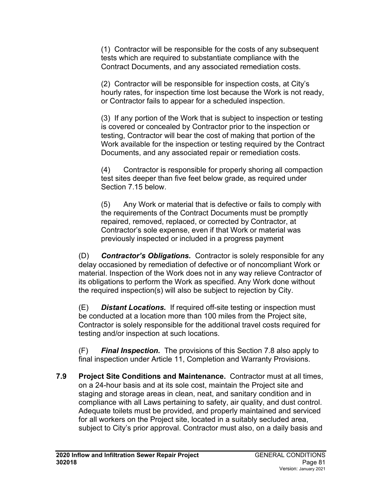(1) Contractor will be responsible for the costs of any subsequent tests which are required to substantiate compliance with the Contract Documents, and any associated remediation costs.

(2) Contractor will be responsible for inspection costs, at City's hourly rates, for inspection time lost because the Work is not ready, or Contractor fails to appear for a scheduled inspection.

(3) If any portion of the Work that is subject to inspection or testing is covered or concealed by Contractor prior to the inspection or testing, Contractor will bear the cost of making that portion of the Work available for the inspection or testing required by the Contract Documents, and any associated repair or remediation costs.

(4) Contractor is responsible for properly shoring all compaction test sites deeper than five feet below grade, as required under Section 7.15 below.

(5) Any Work or material that is defective or fails to comply with the requirements of the Contract Documents must be promptly repaired, removed, replaced, or corrected by Contractor, at Contractor's sole expense, even if that Work or material was previously inspected or included in a progress payment

(D) *Contractor's Obligations.* Contractor is solely responsible for any delay occasioned by remediation of defective or of noncompliant Work or material. Inspection of the Work does not in any way relieve Contractor of its obligations to perform the Work as specified. Any Work done without the required inspection(s) will also be subject to rejection by City.

(E) *Distant Locations.* If required off-site testing or inspection must be conducted at a location more than 100 miles from the Project site, Contractor is solely responsible for the additional travel costs required for testing and/or inspection at such locations.

(F) *Final Inspection.* The provisions of this Section 7.8 also apply to final inspection under Article 11, Completion and Warranty Provisions.

**7.9 Project Site Conditions and Maintenance.** Contractor must at all times, on a 24-hour basis and at its sole cost, maintain the Project site and staging and storage areas in clean, neat, and sanitary condition and in compliance with all Laws pertaining to safety, air quality, and dust control. Adequate toilets must be provided, and properly maintained and serviced for all workers on the Project site, located in a suitably secluded area, subject to City's prior approval. Contractor must also, on a daily basis and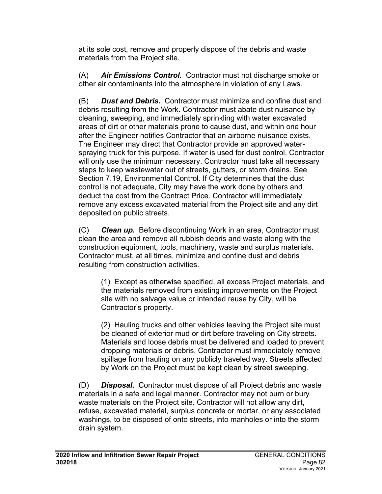at its sole cost, remove and properly dispose of the debris and waste materials from the Project site.

(A) *Air Emissions Control.* Contractor must not discharge smoke or other air contaminants into the atmosphere in violation of any Laws.

(B) *Dust and Debris.* Contractor must minimize and confine dust and debris resulting from the Work. Contractor must abate dust nuisance by cleaning, sweeping, and immediately sprinkling with water excavated areas of dirt or other materials prone to cause dust, and within one hour after the Engineer notifies Contractor that an airborne nuisance exists. The Engineer may direct that Contractor provide an approved waterspraying truck for this purpose. If water is used for dust control, Contractor will only use the minimum necessary. Contractor must take all necessary steps to keep wastewater out of streets, gutters, or storm drains. See Section 7.19, Environmental Control. If City determines that the dust control is not adequate, City may have the work done by others and deduct the cost from the Contract Price. Contractor will immediately remove any excess excavated material from the Project site and any dirt deposited on public streets.

(C) *Clean up.* Before discontinuing Work in an area, Contractor must clean the area and remove all rubbish debris and waste along with the construction equipment, tools, machinery, waste and surplus materials. Contractor must, at all times, minimize and confine dust and debris resulting from construction activities.

(1) Except as otherwise specified, all excess Project materials, and the materials removed from existing improvements on the Project site with no salvage value or intended reuse by City, will be Contractor's property.

(2) Hauling trucks and other vehicles leaving the Project site must be cleaned of exterior mud or dirt before traveling on City streets. Materials and loose debris must be delivered and loaded to prevent dropping materials or debris. Contractor must immediately remove spillage from hauling on any publicly traveled way. Streets affected by Work on the Project must be kept clean by street sweeping.

(D) *Disposal.* Contractor must dispose of all Project debris and waste materials in a safe and legal manner. Contractor may not burn or bury waste materials on the Project site. Contractor will not allow any dirt, refuse, excavated material, surplus concrete or mortar, or any associated washings, to be disposed of onto streets, into manholes or into the storm drain system.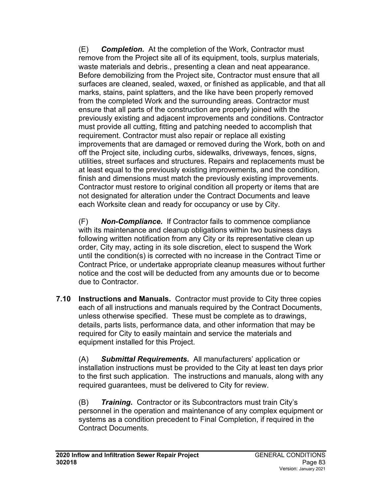(E) *Completion.* At the completion of the Work, Contractor must remove from the Project site all of its equipment, tools, surplus materials, waste materials and debris., presenting a clean and neat appearance. Before demobilizing from the Project site, Contractor must ensure that all surfaces are cleaned, sealed, waxed, or finished as applicable, and that all marks, stains, paint splatters, and the like have been properly removed from the completed Work and the surrounding areas. Contractor must ensure that all parts of the construction are properly joined with the previously existing and adjacent improvements and conditions. Contractor must provide all cutting, fitting and patching needed to accomplish that requirement. Contractor must also repair or replace all existing improvements that are damaged or removed during the Work, both on and off the Project site, including curbs, sidewalks, driveways, fences, signs, utilities, street surfaces and structures. Repairs and replacements must be at least equal to the previously existing improvements, and the condition, finish and dimensions must match the previously existing improvements. Contractor must restore to original condition all property or items that are not designated for alteration under the Contract Documents and leave each Worksite clean and ready for occupancy or use by City.

(F) *Non-Compliance.* If Contractor fails to commence compliance with its maintenance and cleanup obligations within two business days following written notification from any City or its representative clean up order, City may, acting in its sole discretion, elect to suspend the Work until the condition(s) is corrected with no increase in the Contract Time or Contract Price, or undertake appropriate cleanup measures without further notice and the cost will be deducted from any amounts due or to become due to Contractor.

**7.10 Instructions and Manuals.** Contractor must provide to City three copies each of all instructions and manuals required by the Contract Documents, unless otherwise specified. These must be complete as to drawings, details, parts lists, performance data, and other information that may be required for City to easily maintain and service the materials and equipment installed for this Project.

(A) *Submittal Requirements.* All manufacturers' application or installation instructions must be provided to the City at least ten days prior to the first such application. The instructions and manuals, along with any required guarantees, must be delivered to City for review.

(B) *Training.* Contractor or its Subcontractors must train City's personnel in the operation and maintenance of any complex equipment or systems as a condition precedent to Final Completion, if required in the Contract Documents.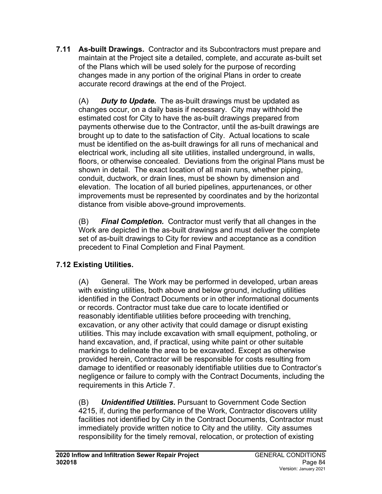**7.11 As-built Drawings.** Contractor and its Subcontractors must prepare and maintain at the Project site a detailed, complete, and accurate as-built set of the Plans which will be used solely for the purpose of recording changes made in any portion of the original Plans in order to create accurate record drawings at the end of the Project.

(A) *Duty to Update.* The as-built drawings must be updated as changes occur, on a daily basis if necessary. City may withhold the estimated cost for City to have the as-built drawings prepared from payments otherwise due to the Contractor, until the as-built drawings are brought up to date to the satisfaction of City. Actual locations to scale must be identified on the as-built drawings for all runs of mechanical and electrical work, including all site utilities, installed underground, in walls, floors, or otherwise concealed. Deviations from the original Plans must be shown in detail. The exact location of all main runs, whether piping, conduit, ductwork, or drain lines, must be shown by dimension and elevation. The location of all buried pipelines, appurtenances, or other improvements must be represented by coordinates and by the horizontal distance from visible above-ground improvements.

(B) *Final Completion.* Contractor must verify that all changes in the Work are depicted in the as-built drawings and must deliver the complete set of as-built drawings to City for review and acceptance as a condition precedent to Final Completion and Final Payment.

# **7.12 Existing Utilities.**

(A) General. The Work may be performed in developed, urban areas with existing utilities, both above and below ground, including utilities identified in the Contract Documents or in other informational documents or records. Contractor must take due care to locate identified or reasonably identifiable utilities before proceeding with trenching, excavation, or any other activity that could damage or disrupt existing utilities. This may include excavation with small equipment, potholing, or hand excavation, and, if practical, using white paint or other suitable markings to delineate the area to be excavated. Except as otherwise provided herein, Contractor will be responsible for costs resulting from damage to identified or reasonably identifiable utilities due to Contractor's negligence or failure to comply with the Contract Documents, including the requirements in this Article 7.

(B) *Unidentified Utilities.* Pursuant to Government Code Section 4215, if, during the performance of the Work, Contractor discovers utility facilities not identified by City in the Contract Documents, Contractor must immediately provide written notice to City and the utility. City assumes responsibility for the timely removal, relocation, or protection of existing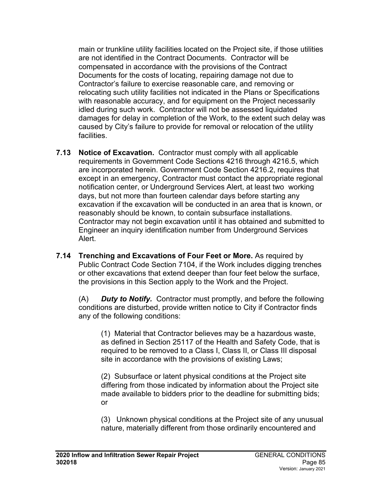main or trunkline utility facilities located on the Project site, if those utilities are not identified in the Contract Documents. Contractor will be compensated in accordance with the provisions of the Contract Documents for the costs of locating, repairing damage not due to Contractor's failure to exercise reasonable care, and removing or relocating such utility facilities not indicated in the Plans or Specifications with reasonable accuracy, and for equipment on the Project necessarily idled during such work. Contractor will not be assessed liquidated damages for delay in completion of the Work, to the extent such delay was caused by City's failure to provide for removal or relocation of the utility facilities.

- **7.13 Notice of Excavation.** Contractor must comply with all applicable requirements in Government Code Sections 4216 through 4216.5, which are incorporated herein. Government Code Section 4216.2, requires that except in an emergency, Contractor must contact the appropriate regional notification center, or Underground Services Alert, at least two working days, but not more than fourteen calendar days before starting any excavation if the excavation will be conducted in an area that is known, or reasonably should be known, to contain subsurface installations. Contractor may not begin excavation until it has obtained and submitted to Engineer an inquiry identification number from Underground Services Alert.
- **7.14 Trenching and Excavations of Four Feet or More.** As required by Public Contract Code Section 7104, if the Work includes digging trenches or other excavations that extend deeper than four feet below the surface, the provisions in this Section apply to the Work and the Project.

(A) *Duty to Notify.* Contractor must promptly, and before the following conditions are disturbed, provide written notice to City if Contractor finds any of the following conditions:

(1) Material that Contractor believes may be a hazardous waste, as defined in Section 25117 of the Health and Safety Code, that is required to be removed to a Class I, Class II, or Class III disposal site in accordance with the provisions of existing Laws;

(2) Subsurface or latent physical conditions at the Project site differing from those indicated by information about the Project site made available to bidders prior to the deadline for submitting bids; or

(3) Unknown physical conditions at the Project site of any unusual nature, materially different from those ordinarily encountered and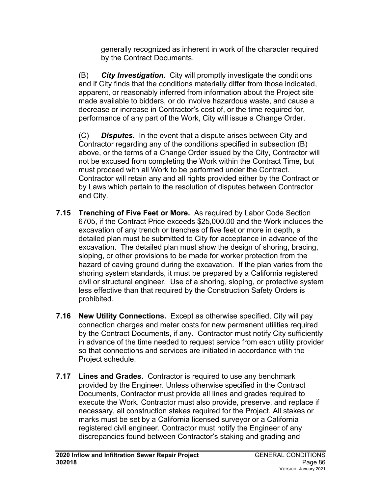generally recognized as inherent in work of the character required by the Contract Documents.

(B) *City Investigation.* City will promptly investigate the conditions and if City finds that the conditions materially differ from those indicated, apparent, or reasonably inferred from information about the Project site made available to bidders, or do involve hazardous waste, and cause a decrease or increase in Contractor's cost of, or the time required for, performance of any part of the Work, City will issue a Change Order.

(C) *Disputes.* In the event that a dispute arises between City and Contractor regarding any of the conditions specified in subsection (B) above, or the terms of a Change Order issued by the City, Contractor will not be excused from completing the Work within the Contract Time, but must proceed with all Work to be performed under the Contract. Contractor will retain any and all rights provided either by the Contract or by Laws which pertain to the resolution of disputes between Contractor and City.

- **7.15 Trenching of Five Feet or More.** As required by Labor Code Section 6705, if the Contract Price exceeds \$25,000.00 and the Work includes the excavation of any trench or trenches of five feet or more in depth, a detailed plan must be submitted to City for acceptance in advance of the excavation. The detailed plan must show the design of shoring, bracing, sloping, or other provisions to be made for worker protection from the hazard of caving ground during the excavation. If the plan varies from the shoring system standards, it must be prepared by a California registered civil or structural engineer. Use of a shoring, sloping, or protective system less effective than that required by the Construction Safety Orders is prohibited.
- **7.16 New Utility Connections.** Except as otherwise specified, City will pay connection charges and meter costs for new permanent utilities required by the Contract Documents, if any. Contractor must notify City sufficiently in advance of the time needed to request service from each utility provider so that connections and services are initiated in accordance with the Project schedule.
- **7.17 Lines and Grades.** Contractor is required to use any benchmark provided by the Engineer. Unless otherwise specified in the Contract Documents, Contractor must provide all lines and grades required to execute the Work. Contractor must also provide, preserve, and replace if necessary, all construction stakes required for the Project. All stakes or marks must be set by a California licensed surveyor or a California registered civil engineer. Contractor must notify the Engineer of any discrepancies found between Contractor's staking and grading and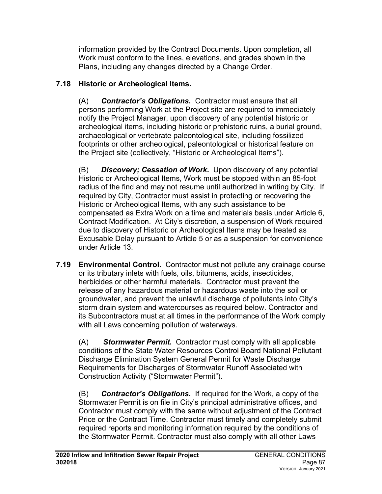information provided by the Contract Documents. Upon completion, all Work must conform to the lines, elevations, and grades shown in the Plans, including any changes directed by a Change Order.

# **7.18 Historic or Archeological Items.**

(A) *Contractor's Obligations.* Contractor must ensure that all persons performing Work at the Project site are required to immediately notify the Project Manager, upon discovery of any potential historic or archeological items, including historic or prehistoric ruins, a burial ground, archaeological or vertebrate paleontological site, including fossilized footprints or other archeological, paleontological or historical feature on the Project site (collectively, "Historic or Archeological Items").

(B) *Discovery; Cessation of Work.* Upon discovery of any potential Historic or Archeological Items, Work must be stopped within an 85-foot radius of the find and may not resume until authorized in writing by City. If required by City, Contractor must assist in protecting or recovering the Historic or Archeological Items, with any such assistance to be compensated as Extra Work on a time and materials basis under Article 6, Contract Modification. At City's discretion, a suspension of Work required due to discovery of Historic or Archeological Items may be treated as Excusable Delay pursuant to Article 5 or as a suspension for convenience under Article 13.

**7.19 Environmental Control.** Contractor must not pollute any drainage course or its tributary inlets with fuels, oils, bitumens, acids, insecticides, herbicides or other harmful materials. Contractor must prevent the release of any hazardous material or hazardous waste into the soil or groundwater, and prevent the unlawful discharge of pollutants into City's storm drain system and watercourses as required below. Contractor and its Subcontractors must at all times in the performance of the Work comply with all Laws concerning pollution of waterways.

(A) *Stormwater Permit.* Contractor must comply with all applicable conditions of the State Water Resources Control Board National Pollutant Discharge Elimination System General Permit for Waste Discharge Requirements for Discharges of Stormwater Runoff Associated with Construction Activity ("Stormwater Permit").

(B) *Contractor's Obligations.* If required for the Work, a copy of the Stormwater Permit is on file in City's principal administrative offices, and Contractor must comply with the same without adjustment of the Contract Price or the Contract Time. Contractor must timely and completely submit required reports and monitoring information required by the conditions of the Stormwater Permit. Contractor must also comply with all other Laws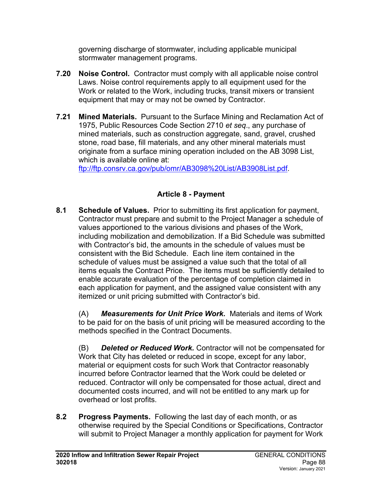governing discharge of stormwater, including applicable municipal stormwater management programs.

- **7.20 Noise Control.** Contractor must comply with all applicable noise control Laws. Noise control requirements apply to all equipment used for the Work or related to the Work, including trucks, transit mixers or transient equipment that may or may not be owned by Contractor.
- **7.21 Mined Materials.** Pursuant to the Surface Mining and Reclamation Act of 1975, Public Resources Code Section 2710 *et seq*., any purchase of mined materials, such as construction aggregate, sand, gravel, crushed stone, road base, fill materials, and any other mineral materials must originate from a surface mining operation included on the AB 3098 List, which is available online at:

[ftp://ftp.consrv.ca.gov/pub/omr/AB3098%20List/AB3908List.pdf.](ftp://ftp.consrv.ca.gov/pub/omr/AB3098%20List/AB3908List.pdf)

# **Article 8 - Payment**

**8.1 Schedule of Values.** Prior to submitting its first application for payment, Contractor must prepare and submit to the Project Manager a schedule of values apportioned to the various divisions and phases of the Work, including mobilization and demobilization. If a Bid Schedule was submitted with Contractor's bid, the amounts in the schedule of values must be consistent with the Bid Schedule. Each line item contained in the schedule of values must be assigned a value such that the total of all items equals the Contract Price. The items must be sufficiently detailed to enable accurate evaluation of the percentage of completion claimed in each application for payment, and the assigned value consistent with any itemized or unit pricing submitted with Contractor's bid.

(A) *Measurements for Unit Price Work.* Materials and items of Work to be paid for on the basis of unit pricing will be measured according to the methods specified in the Contract Documents.

(B) *Deleted or Reduced Work.* Contractor will not be compensated for Work that City has deleted or reduced in scope, except for any labor, material or equipment costs for such Work that Contractor reasonably incurred before Contractor learned that the Work could be deleted or reduced. Contractor will only be compensated for those actual, direct and documented costs incurred, and will not be entitled to any mark up for overhead or lost profits.

**8.2 Progress Payments.** Following the last day of each month, or as otherwise required by the Special Conditions or Specifications, Contractor will submit to Project Manager a monthly application for payment for Work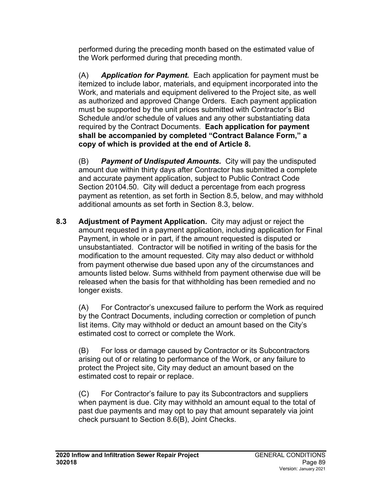performed during the preceding month based on the estimated value of the Work performed during that preceding month.

(A) *Application for Payment.* Each application for payment must be itemized to include labor, materials, and equipment incorporated into the Work, and materials and equipment delivered to the Project site, as well as authorized and approved Change Orders. Each payment application must be supported by the unit prices submitted with Contractor's Bid Schedule and/or schedule of values and any other substantiating data required by the Contract Documents. **Each application for payment shall be accompanied by completed "Contract Balance Form," a copy of which is provided at the end of Article 8.**

(B) *Payment of Undisputed Amounts.* City will pay the undisputed amount due within thirty days after Contractor has submitted a complete and accurate payment application, subject to Public Contract Code Section 20104.50. City will deduct a percentage from each progress payment as retention, as set forth in Section 8.5, below, and may withhold additional amounts as set forth in Section 8.3, below.

**8.3 Adjustment of Payment Application.** City may adjust or reject the amount requested in a payment application, including application for Final Payment, in whole or in part, if the amount requested is disputed or unsubstantiated. Contractor will be notified in writing of the basis for the modification to the amount requested. City may also deduct or withhold from payment otherwise due based upon any of the circumstances and amounts listed below. Sums withheld from payment otherwise due will be released when the basis for that withholding has been remedied and no longer exists.

(A) For Contractor's unexcused failure to perform the Work as required by the Contract Documents, including correction or completion of punch list items. City may withhold or deduct an amount based on the City's estimated cost to correct or complete the Work.

(B) For loss or damage caused by Contractor or its Subcontractors arising out of or relating to performance of the Work, or any failure to protect the Project site, City may deduct an amount based on the estimated cost to repair or replace.

(C) For Contractor's failure to pay its Subcontractors and suppliers when payment is due. City may withhold an amount equal to the total of past due payments and may opt to pay that amount separately via joint check pursuant to Section 8.6(B), Joint Checks.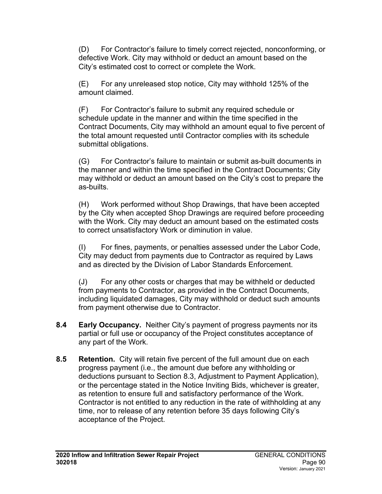(D) For Contractor's failure to timely correct rejected, nonconforming, or defective Work. City may withhold or deduct an amount based on the City's estimated cost to correct or complete the Work.

(E) For any unreleased stop notice, City may withhold 125% of the amount claimed.

(F) For Contractor's failure to submit any required schedule or schedule update in the manner and within the time specified in the Contract Documents, City may withhold an amount equal to five percent of the total amount requested until Contractor complies with its schedule submittal obligations.

(G) For Contractor's failure to maintain or submit as-built documents in the manner and within the time specified in the Contract Documents; City may withhold or deduct an amount based on the City's cost to prepare the as-builts.

(H) Work performed without Shop Drawings, that have been accepted by the City when accepted Shop Drawings are required before proceeding with the Work. City may deduct an amount based on the estimated costs to correct unsatisfactory Work or diminution in value.

(I) For fines, payments, or penalties assessed under the Labor Code, City may deduct from payments due to Contractor as required by Laws and as directed by the Division of Labor Standards Enforcement.

(J) For any other costs or charges that may be withheld or deducted from payments to Contractor, as provided in the Contract Documents, including liquidated damages, City may withhold or deduct such amounts from payment otherwise due to Contractor.

- **8.4 Early Occupancy.** Neither City's payment of progress payments nor its partial or full use or occupancy of the Project constitutes acceptance of any part of the Work.
- **8.5 Retention.** City will retain five percent of the full amount due on each progress payment (i.e., the amount due before any withholding or deductions pursuant to Section 8.3, Adjustment to Payment Application), or the percentage stated in the Notice Inviting Bids, whichever is greater, as retention to ensure full and satisfactory performance of the Work. Contractor is not entitled to any reduction in the rate of withholding at any time, nor to release of any retention before 35 days following City's acceptance of the Project.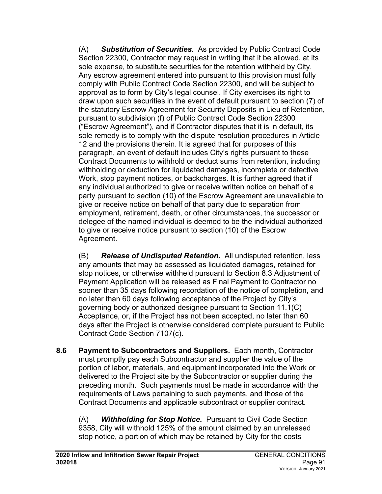(A) *Substitution of Securities.* As provided by Public Contract Code Section 22300, Contractor may request in writing that it be allowed, at its sole expense, to substitute securities for the retention withheld by City. Any escrow agreement entered into pursuant to this provision must fully comply with Public Contract Code Section 22300, and will be subject to approval as to form by City's legal counsel. If City exercises its right to draw upon such securities in the event of default pursuant to section (7) of the statutory Escrow Agreement for Security Deposits in Lieu of Retention, pursuant to subdivision (f) of Public Contract Code Section 22300 ("Escrow Agreement"), and if Contractor disputes that it is in default, its sole remedy is to comply with the dispute resolution procedures in Article 12 and the provisions therein. It is agreed that for purposes of this paragraph, an event of default includes City's rights pursuant to these Contract Documents to withhold or deduct sums from retention, including withholding or deduction for liquidated damages, incomplete or defective Work, stop payment notices, or backcharges. It is further agreed that if any individual authorized to give or receive written notice on behalf of a party pursuant to section (10) of the Escrow Agreement are unavailable to give or receive notice on behalf of that party due to separation from employment, retirement, death, or other circumstances, the successor or delegee of the named individual is deemed to be the individual authorized to give or receive notice pursuant to section (10) of the Escrow Agreement.

(B) *Release of Undisputed Retention.* All undisputed retention, less any amounts that may be assessed as liquidated damages, retained for stop notices, or otherwise withheld pursuant to Section 8.3 Adjustment of Payment Application will be released as Final Payment to Contractor no sooner than 35 days following recordation of the notice of completion, and no later than 60 days following acceptance of the Project by City's governing body or authorized designee pursuant to Section 11.1(C) Acceptance, or, if the Project has not been accepted, no later than 60 days after the Project is otherwise considered complete pursuant to Public Contract Code Section 7107(c).

**8.6 Payment to Subcontractors and Suppliers.** Each month, Contractor must promptly pay each Subcontractor and supplier the value of the portion of labor, materials, and equipment incorporated into the Work or delivered to the Project site by the Subcontractor or supplier during the preceding month. Such payments must be made in accordance with the requirements of Laws pertaining to such payments, and those of the Contract Documents and applicable subcontract or supplier contract.

(A) *Withholding for Stop Notice.* Pursuant to Civil Code Section 9358, City will withhold 125% of the amount claimed by an unreleased stop notice, a portion of which may be retained by City for the costs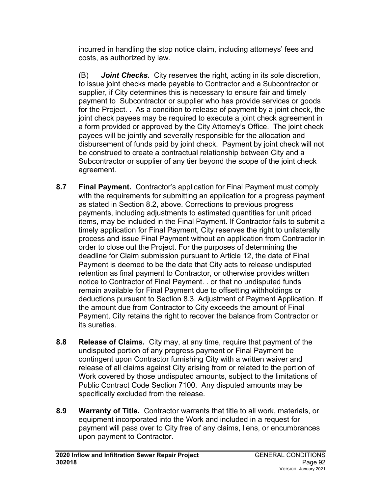incurred in handling the stop notice claim, including attorneys' fees and costs, as authorized by law.

(B) *Joint Checks.* City reserves the right, acting in its sole discretion, to issue joint checks made payable to Contractor and a Subcontractor or supplier, if City determines this is necessary to ensure fair and timely payment to Subcontractor or supplier who has provide services or goods for the Project. . As a condition to release of payment by a joint check, the joint check payees may be required to execute a joint check agreement in a form provided or approved by the City Attorney's Office. The joint check payees will be jointly and severally responsible for the allocation and disbursement of funds paid by joint check. Payment by joint check will not be construed to create a contractual relationship between City and a Subcontractor or supplier of any tier beyond the scope of the joint check agreement.

- **8.7 Final Payment.** Contractor's application for Final Payment must comply with the requirements for submitting an application for a progress payment as stated in Section 8.2, above. Corrections to previous progress payments, including adjustments to estimated quantities for unit priced items, may be included in the Final Payment. If Contractor fails to submit a timely application for Final Payment, City reserves the right to unilaterally process and issue Final Payment without an application from Contractor in order to close out the Project. For the purposes of determining the deadline for Claim submission pursuant to Article 12, the date of Final Payment is deemed to be the date that City acts to release undisputed retention as final payment to Contractor, or otherwise provides written notice to Contractor of Final Payment. . or that no undisputed funds remain available for Final Payment due to offsetting withholdings or deductions pursuant to Section 8.3, Adjustment of Payment Application. If the amount due from Contractor to City exceeds the amount of Final Payment, City retains the right to recover the balance from Contractor or its sureties.
- **8.8 Release of Claims.** City may, at any time, require that payment of the undisputed portion of any progress payment or Final Payment be contingent upon Contractor furnishing City with a written waiver and release of all claims against City arising from or related to the portion of Work covered by those undisputed amounts, subject to the limitations of Public Contract Code Section 7100. Any disputed amounts may be specifically excluded from the release.
- **8.9 Warranty of Title.** Contractor warrants that title to all work, materials, or equipment incorporated into the Work and included in a request for payment will pass over to City free of any claims, liens, or encumbrances upon payment to Contractor.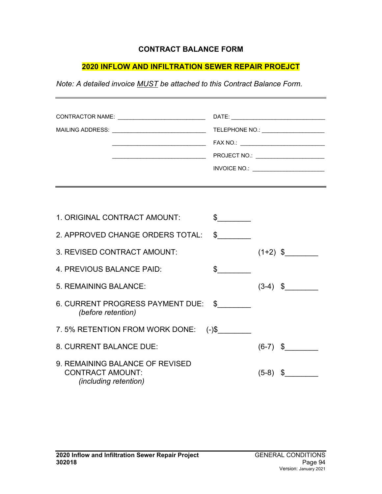#### **CONTRACT BALANCE FORM**

#### **2020 INFLOW AND INFILTRATION SEWER REPAIR PROEJCT**

*Note: A detailed invoice MUST be attached to this Contract Balance Form.*

| 1. ORIGINAL CONTRACT AMOUNT:                                                               |              |            |            |
|--------------------------------------------------------------------------------------------|--------------|------------|------------|
| 2. APPROVED CHANGE ORDERS TOTAL:                                                           | $\mathbb{S}$ |            |            |
| 3. REVISED CONTRACT AMOUNT:                                                                |              |            | $(1+2)$ \$ |
| 4. PREVIOUS BALANCE PAID:                                                                  | £.           |            |            |
| 5. REMAINING BALANCE:                                                                      |              | $(3-4)$ \$ |            |
| 6. CURRENT PROGRESS PAYMENT DUE: \$<br>(before retention)                                  |              |            |            |
| 7.5% RETENTION FROM WORK DONE:                                                             | $(-)$ \$     |            |            |
| 8. CURRENT BALANCE DUE:                                                                    |              | $(6-7)$ \$ |            |
| 9. REMAINING BALANCE OF REVISED<br><b>CONTRACT AMOUNT:</b><br><i>(including retention)</i> |              | $(5-8)$    | S.         |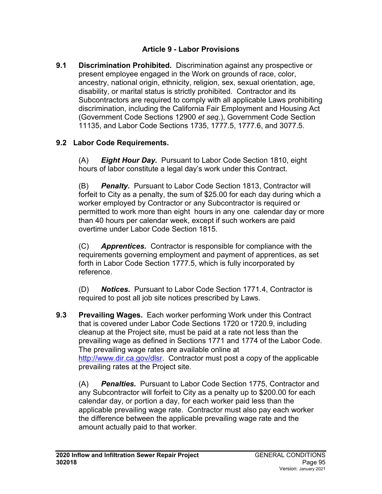### **Article 9 - Labor Provisions**

**9.1 Discrimination Prohibited.** Discrimination against any prospective or present employee engaged in the Work on grounds of race, color, ancestry, national origin, ethnicity, religion, sex, sexual orientation, age, disability, or marital status is strictly prohibited. Contractor and its Subcontractors are required to comply with all applicable Laws prohibiting discrimination, including the California Fair Employment and Housing Act (Government Code Sections 12900 *et seq.*), Government Code Section 11135, and Labor Code Sections 1735, 1777.5, 1777.6, and 3077.5.

## **9.2 Labor Code Requirements.**

(A) *Eight Hour Day.* Pursuant to Labor Code Section 1810, eight hours of labor constitute a legal day's work under this Contract.

(B) *Penalty.* Pursuant to Labor Code Section 1813, Contractor will forfeit to City as a penalty, the sum of \$25.00 for each day during which a worker employed by Contractor or any Subcontractor is required or permitted to work more than eight hours in any one calendar day or more than 40 hours per calendar week, except if such workers are paid overtime under Labor Code Section 1815.

(C) *Apprentices.* Contractor is responsible for compliance with the requirements governing employment and payment of apprentices, as set forth in Labor Code Section 1777.5, which is fully incorporated by reference.

(D) *Notices.* Pursuant to Labor Code Section 1771.4, Contractor is required to post all job site notices prescribed by Laws.

**9.3 Prevailing Wages.** Each worker performing Work under this Contract that is covered under Labor Code Sections 1720 or 1720.9, including cleanup at the Project site, must be paid at a rate not less than the prevailing wage as defined in Sections 1771 and 1774 of the Labor Code. The prevailing wage rates are available online at [http://www.dir.ca.gov/dlsr.](http://www.dir.ca.gov/dlsr) Contractor must post a copy of the applicable prevailing rates at the Project site.

(A) *Penalties.* Pursuant to Labor Code Section 1775, Contractor and any Subcontractor will forfeit to City as a penalty up to \$200.00 for each calendar day, or portion a day, for each worker paid less than the applicable prevailing wage rate. Contractor must also pay each worker the difference between the applicable prevailing wage rate and the amount actually paid to that worker.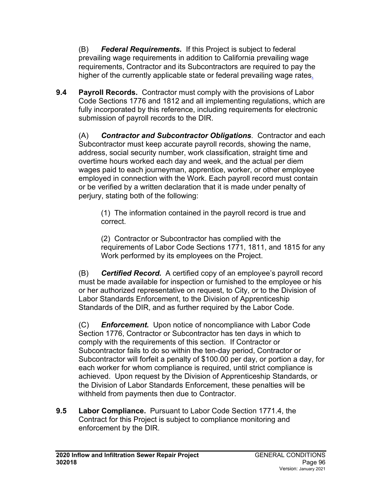(B) *Federal Requirements.* If this Project is subject to federal prevailing wage requirements in addition to California prevailing wage requirements, Contractor and its Subcontractors are required to pay the higher of the currently applicable state or federal prevailing wage rates.

**9.4 Payroll Records.** Contractor must comply with the provisions of Labor Code Sections 1776 and 1812 and all implementing regulations, which are fully incorporated by this reference, including requirements for electronic submission of payroll records to the DIR.

(A) *Contractor and Subcontractor Obligations*. Contractor and each Subcontractor must keep accurate payroll records, showing the name, address, social security number, work classification, straight time and overtime hours worked each day and week, and the actual per diem wages paid to each journeyman, apprentice, worker, or other employee employed in connection with the Work. Each payroll record must contain or be verified by a written declaration that it is made under penalty of perjury, stating both of the following:

(1) The information contained in the payroll record is true and correct.

(2) Contractor or Subcontractor has complied with the requirements of Labor Code Sections 1771, 1811, and 1815 for any Work performed by its employees on the Project.

(B) *Certified Record.* A certified copy of an employee's payroll record must be made available for inspection or furnished to the employee or his or her authorized representative on request, to City, or to the Division of Labor Standards Enforcement, to the Division of Apprenticeship Standards of the DIR, and as further required by the Labor Code.

(C) *Enforcement.* Upon notice of noncompliance with Labor Code Section 1776, Contractor or Subcontractor has ten days in which to comply with the requirements of this section. If Contractor or Subcontractor fails to do so within the ten-day period, Contractor or Subcontractor will forfeit a penalty of \$100.00 per day, or portion a day, for each worker for whom compliance is required, until strict compliance is achieved. Upon request by the Division of Apprenticeship Standards, or the Division of Labor Standards Enforcement, these penalties will be withheld from payments then due to Contractor.

**9.5 Labor Compliance.** Pursuant to Labor Code Section 1771.4, the Contract for this Project is subject to compliance monitoring and enforcement by the DIR.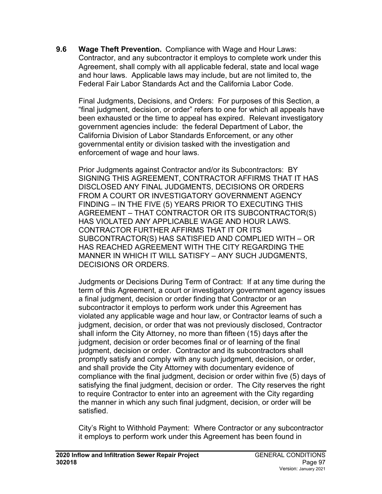**9.6 Wage Theft Prevention.** Compliance with Wage and Hour Laws: Contractor, and any subcontractor it employs to complete work under this Agreement, shall comply with all applicable federal, state and local wage and hour laws. Applicable laws may include, but are not limited to, the Federal Fair Labor Standards Act and the California Labor Code.

Final Judgments, Decisions, and Orders: For purposes of this Section, a "final judgment, decision, or order" refers to one for which all appeals have been exhausted or the time to appeal has expired. Relevant investigatory government agencies include: the federal Department of Labor, the California Division of Labor Standards Enforcement, or any other governmental entity or division tasked with the investigation and enforcement of wage and hour laws.

Prior Judgments against Contractor and/or its Subcontractors: BY SIGNING THIS AGREEMENT, CONTRACTOR AFFIRMS THAT IT HAS DISCLOSED ANY FINAL JUDGMENTS, DECISIONS OR ORDERS FROM A COURT OR INVESTIGATORY GOVERNMENT AGENCY FINDING – IN THE FIVE (5) YEARS PRIOR TO EXECUTING THIS AGREEMENT – THAT CONTRACTOR OR ITS SUBCONTRACTOR(S) HAS VIOLATED ANY APPLICABLE WAGE AND HOUR LAWS. CONTRACTOR FURTHER AFFIRMS THAT IT OR ITS SUBCONTRACTOR(S) HAS SATISFIED AND COMPLIED WITH – OR HAS REACHED AGREEMENT WITH THE CITY REGARDING THE MANNER IN WHICH IT WILL SATISFY – ANY SUCH JUDGMENTS, DECISIONS OR ORDERS.

Judgments or Decisions During Term of Contract: If at any time during the term of this Agreement, a court or investigatory government agency issues a final judgment, decision or order finding that Contractor or an subcontractor it employs to perform work under this Agreement has violated any applicable wage and hour law, or Contractor learns of such a judgment, decision, or order that was not previously disclosed, Contractor shall inform the City Attorney, no more than fifteen (15) days after the judgment, decision or order becomes final or of learning of the final judgment, decision or order. Contractor and its subcontractors shall promptly satisfy and comply with any such judgment, decision, or order, and shall provide the City Attorney with documentary evidence of compliance with the final judgment, decision or order within five (5) days of satisfying the final judgment, decision or order. The City reserves the right to require Contractor to enter into an agreement with the City regarding the manner in which any such final judgment, decision, or order will be satisfied.

City's Right to Withhold Payment: Where Contractor or any subcontractor it employs to perform work under this Agreement has been found in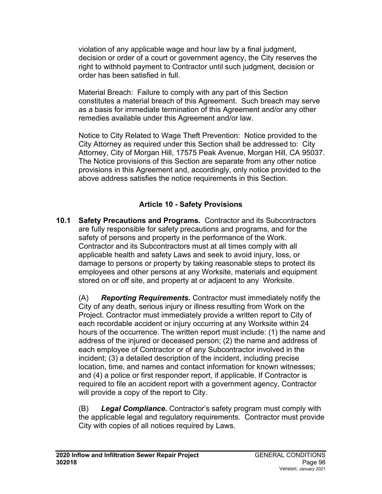violation of any applicable wage and hour law by a final judgment, decision or order of a court or government agency, the City reserves the right to withhold payment to Contractor until such judgment, decision or order has been satisfied in full.

Material Breach: Failure to comply with any part of this Section constitutes a material breach of this Agreement. Such breach may serve as a basis for immediate termination of this Agreement and/or any other remedies available under this Agreement and/or law.

Notice to City Related to Wage Theft Prevention: Notice provided to the City Attorney as required under this Section shall be addressed to: City Attorney, City of Morgan Hill, 17575 Peak Avenue, Morgan Hill, CA 95037. The Notice provisions of this Section are separate from any other notice provisions in this Agreement and, accordingly, only notice provided to the above address satisfies the notice requirements in this Section.

### **Article 10 - Safety Provisions**

**10.1 Safety Precautions and Programs.** Contractor and its Subcontractors are fully responsible for safety precautions and programs, and for the safety of persons and property in the performance of the Work. Contractor and its Subcontractors must at all times comply with all applicable health and safety Laws and seek to avoid injury, loss, or damage to persons or property by taking reasonable steps to protect its employees and other persons at any Worksite, materials and equipment stored on or off site, and property at or adjacent to any Worksite.

(A) *Reporting Requirements.* Contractor must immediately notify the City of any death, serious injury or illness resulting from Work on the Project. Contractor must immediately provide a written report to City of each recordable accident or injury occurring at any Worksite within 24 hours of the occurrence. The written report must include: (1) the name and address of the injured or deceased person; (2) the name and address of each employee of Contractor or of any Subcontractor involved in the incident; (3) a detailed description of the incident, including precise location, time, and names and contact information for known witnesses; and (4) a police or first responder report, if applicable. If Contractor is required to file an accident report with a government agency, Contractor will provide a copy of the report to City.

(B) *Legal Compliance.* Contractor's safety program must comply with the applicable legal and regulatory requirements. Contractor must provide City with copies of all notices required by Laws.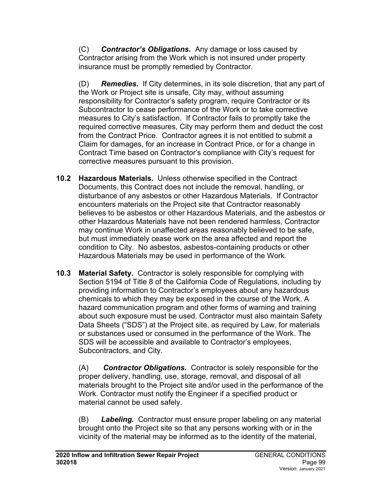(C) *Contractor's Obligations.* Any damage or loss caused by Contractor arising from the Work which is not insured under property insurance must be promptly remedied by Contractor.

(D) *Remedies.* If City determines, in its sole discretion, that any part of the Work or Project site is unsafe, City may, without assuming responsibility for Contractor's safety program, require Contractor or its Subcontractor to cease performance of the Work or to take corrective measures to City's satisfaction. If Contractor fails to promptly take the required corrective measures, City may perform them and deduct the cost from the Contract Price. Contractor agrees it is not entitled to submit a Claim for damages, for an increase in Contract Price, or for a change in Contract Time based on Contractor's compliance with City's request for corrective measures pursuant to this provision.

- **10.2 Hazardous Materials.** Unless otherwise specified in the Contract Documents, this Contract does not include the removal, handling, or disturbance of any asbestos or other Hazardous Materials. If Contractor encounters materials on the Project site that Contractor reasonably believes to be asbestos or other Hazardous Materials, and the asbestos or other Hazardous Materials have not been rendered harmless, Contractor may continue Work in unaffected areas reasonably believed to be safe, but must immediately cease work on the area affected and report the condition to City. No asbestos, asbestos-containing products or other Hazardous Materials may be used in performance of the Work.
- **10.3 Material Safety.** Contractor is solely responsible for complying with Section 5194 of Title 8 of the California Code of Regulations, including by providing information to Contractor's employees about any hazardous chemicals to which they may be exposed in the course of the Work. A hazard communication program and other forms of warning and training about such exposure must be used. Contractor must also maintain Safety Data Sheets ("SDS") at the Project site, as required by Law, for materials or substances used or consumed in the performance of the Work. The SDS will be accessible and available to Contractor's employees, Subcontractors, and City.

(A) *Contractor Obligations.* Contractor is solely responsible for the proper delivery, handling, use, storage, removal, and disposal of all materials brought to the Project site and/or used in the performance of the Work. Contractor must notify the Engineer if a specified product or material cannot be used safely.

(B) *Labeling.* Contractor must ensure proper labeling on any material brought onto the Project site so that any persons working with or in the vicinity of the material may be informed as to the identity of the material,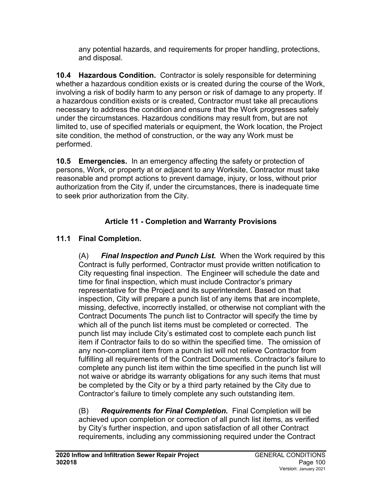any potential hazards, and requirements for proper handling, protections, and disposal.

**10.4 Hazardous Condition.** Contractor is solely responsible for determining whether a hazardous condition exists or is created during the course of the Work, involving a risk of bodily harm to any person or risk of damage to any property. If a hazardous condition exists or is created, Contractor must take all precautions necessary to address the condition and ensure that the Work progresses safely under the circumstances. Hazardous conditions may result from, but are not limited to, use of specified materials or equipment, the Work location, the Project site condition, the method of construction, or the way any Work must be performed.

**10.5 Emergencies.** In an emergency affecting the safety or protection of persons, Work, or property at or adjacent to any Worksite, Contractor must take reasonable and prompt actions to prevent damage, injury, or loss, without prior authorization from the City if, under the circumstances, there is inadequate time to seek prior authorization from the City.

# **Article 11 - Completion and Warranty Provisions**

# **11.1 Final Completion.**

(A) *Final Inspection and Punch List.* When the Work required by this Contract is fully performed, Contractor must provide written notification to City requesting final inspection. The Engineer will schedule the date and time for final inspection, which must include Contractor's primary representative for the Project and its superintendent. Based on that inspection, City will prepare a punch list of any items that are incomplete, missing, defective, incorrectly installed, or otherwise not compliant with the Contract Documents The punch list to Contractor will specify the time by which all of the punch list items must be completed or corrected. The punch list may include City's estimated cost to complete each punch list item if Contractor fails to do so within the specified time. The omission of any non-compliant item from a punch list will not relieve Contractor from fulfilling all requirements of the Contract Documents. Contractor's failure to complete any punch list item within the time specified in the punch list will not waive or abridge its warranty obligations for any such items that must be completed by the City or by a third party retained by the City due to Contractor's failure to timely complete any such outstanding item.

(B) *Requirements for Final Completion.* Final Completion will be achieved upon completion or correction of all punch list items, as verified by City's further inspection, and upon satisfaction of all other Contract requirements, including any commissioning required under the Contract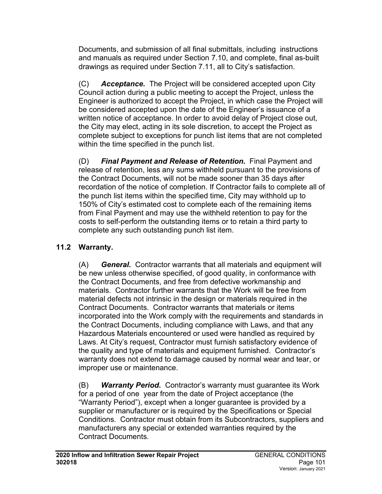Documents, and submission of all final submittals, including instructions and manuals as required under Section 7.10, and complete, final as-built drawings as required under Section 7.11, all to City's satisfaction.

(C) *Acceptance.* The Project will be considered accepted upon City Council action during a public meeting to accept the Project, unless the Engineer is authorized to accept the Project, in which case the Project will be considered accepted upon the date of the Engineer's issuance of a written notice of acceptance. In order to avoid delay of Project close out, the City may elect, acting in its sole discretion, to accept the Project as complete subject to exceptions for punch list items that are not completed within the time specified in the punch list.

(D) *Final Payment and Release of Retention.* Final Payment and release of retention, less any sums withheld pursuant to the provisions of the Contract Documents, will not be made sooner than 35 days after recordation of the notice of completion. If Contractor fails to complete all of the punch list items within the specified time, City may withhold up to 150% of City's estimated cost to complete each of the remaining items from Final Payment and may use the withheld retention to pay for the costs to self-perform the outstanding items or to retain a third party to complete any such outstanding punch list item.

# **11.2 Warranty.**

(A) *General.* Contractor warrants that all materials and equipment will be new unless otherwise specified, of good quality, in conformance with the Contract Documents, and free from defective workmanship and materials. Contractor further warrants that the Work will be free from material defects not intrinsic in the design or materials required in the Contract Documents. Contractor warrants that materials or items incorporated into the Work comply with the requirements and standards in the Contract Documents, including compliance with Laws, and that any Hazardous Materials encountered or used were handled as required by Laws. At City's request, Contractor must furnish satisfactory evidence of the quality and type of materials and equipment furnished. Contractor's warranty does not extend to damage caused by normal wear and tear, or improper use or maintenance.

(B) *Warranty Period.* Contractor's warranty must guarantee its Work for a period of one year from the date of Project acceptance (the "Warranty Period"), except when a longer guarantee is provided by a supplier or manufacturer or is required by the Specifications or Special Conditions. Contractor must obtain from its Subcontractors, suppliers and manufacturers any special or extended warranties required by the Contract Documents.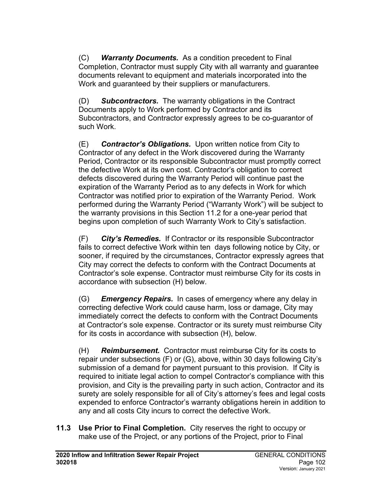(C) *Warranty Documents.* As a condition precedent to Final Completion, Contractor must supply City with all warranty and guarantee documents relevant to equipment and materials incorporated into the Work and guaranteed by their suppliers or manufacturers.

(D) *Subcontractors.* The warranty obligations in the Contract Documents apply to Work performed by Contractor and its Subcontractors, and Contractor expressly agrees to be co-guarantor of such Work.

(E) *Contractor's Obligations.* Upon written notice from City to Contractor of any defect in the Work discovered during the Warranty Period, Contractor or its responsible Subcontractor must promptly correct the defective Work at its own cost. Contractor's obligation to correct defects discovered during the Warranty Period will continue past the expiration of the Warranty Period as to any defects in Work for which Contractor was notified prior to expiration of the Warranty Period. Work performed during the Warranty Period ("Warranty Work") will be subject to the warranty provisions in this Section 11.2 for a one-year period that begins upon completion of such Warranty Work to City's satisfaction.

(F) *City's Remedies.* If Contractor or its responsible Subcontractor fails to correct defective Work within ten days following notice by City, or sooner, if required by the circumstances, Contractor expressly agrees that City may correct the defects to conform with the Contract Documents at Contractor's sole expense. Contractor must reimburse City for its costs in accordance with subsection (H) below.

(G) *Emergency Repairs.* In cases of emergency where any delay in correcting defective Work could cause harm, loss or damage, City may immediately correct the defects to conform with the Contract Documents at Contractor's sole expense. Contractor or its surety must reimburse City for its costs in accordance with subsection (H), below.

(H) *Reimbursement.* Contractor must reimburse City for its costs to repair under subsections (F) or (G), above, within 30 days following City's submission of a demand for payment pursuant to this provision. If City is required to initiate legal action to compel Contractor's compliance with this provision, and City is the prevailing party in such action, Contractor and its surety are solely responsible for all of City's attorney's fees and legal costs expended to enforce Contractor's warranty obligations herein in addition to any and all costs City incurs to correct the defective Work.

**11.3 Use Prior to Final Completion.** City reserves the right to occupy or make use of the Project, or any portions of the Project, prior to Final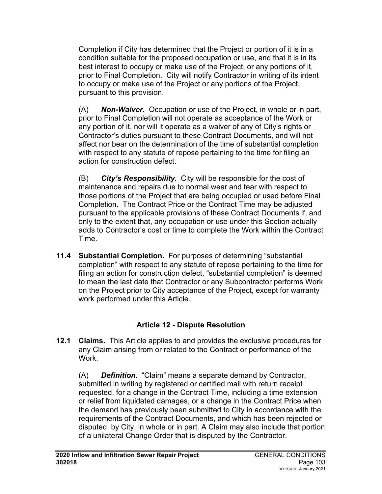Completion if City has determined that the Project or portion of it is in a condition suitable for the proposed occupation or use, and that it is in its best interest to occupy or make use of the Project, or any portions of it, prior to Final Completion. City will notify Contractor in writing of its intent to occupy or make use of the Project or any portions of the Project, pursuant to this provision.

(A) *Non-Waiver.* Occupation or use of the Project, in whole or in part, prior to Final Completion will not operate as acceptance of the Work or any portion of it, nor will it operate as a waiver of any of City's rights or Contractor's duties pursuant to these Contract Documents, and will not affect nor bear on the determination of the time of substantial completion with respect to any statute of repose pertaining to the time for filing an action for construction defect.

(B) *City's Responsibility.* City will be responsible for the cost of maintenance and repairs due to normal wear and tear with respect to those portions of the Project that are being occupied or used before Final Completion. The Contract Price or the Contract Time may be adjusted pursuant to the applicable provisions of these Contract Documents if, and only to the extent that, any occupation or use under this Section actually adds to Contractor's cost or time to complete the Work within the Contract Time.

**11.4 Substantial Completion.** For purposes of determining "substantial completion" with respect to any statute of repose pertaining to the time for filing an action for construction defect, "substantial completion" is deemed to mean the last date that Contractor or any Subcontractor performs Work on the Project prior to City acceptance of the Project, except for warranty work performed under this Article.

# **Article 12 - Dispute Resolution**

**12.1 Claims.** This Article applies to and provides the exclusive procedures for any Claim arising from or related to the Contract or performance of the Work.

(A) *Definition.* "Claim" means a separate demand by Contractor, submitted in writing by registered or certified mail with return receipt requested, for a change in the Contract Time, including a time extension or relief from liquidated damages, or a change in the Contract Price when the demand has previously been submitted to City in accordance with the requirements of the Contract Documents, and which has been rejected or disputed by City, in whole or in part. A Claim may also include that portion of a unilateral Change Order that is disputed by the Contractor.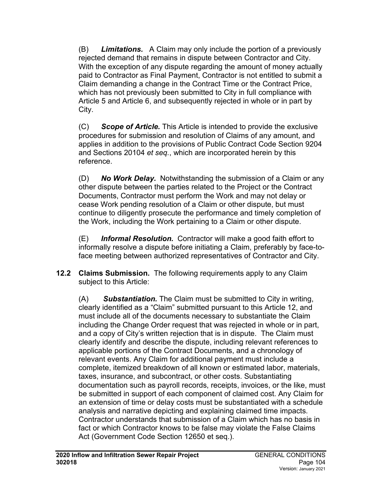(B) *Limitations.* A Claim may only include the portion of a previously rejected demand that remains in dispute between Contractor and City. With the exception of any dispute regarding the amount of money actually paid to Contractor as Final Payment, Contractor is not entitled to submit a Claim demanding a change in the Contract Time or the Contract Price, which has not previously been submitted to City in full compliance with Article 5 and Article 6, and subsequently rejected in whole or in part by City.

(C) *Scope of Article.* This Article is intended to provide the exclusive procedures for submission and resolution of Claims of any amount, and applies in addition to the provisions of Public Contract Code Section 9204 and Sections 20104 *et seq.*, which are incorporated herein by this reference.

(D) *No Work Delay.* Notwithstanding the submission of a Claim or any other dispute between the parties related to the Project or the Contract Documents, Contractor must perform the Work and may not delay or cease Work pending resolution of a Claim or other dispute, but must continue to diligently prosecute the performance and timely completion of the Work, including the Work pertaining to a Claim or other dispute.

(E) *Informal Resolution.* Contractor will make a good faith effort to informally resolve a dispute before initiating a Claim, preferably by face-toface meeting between authorized representatives of Contractor and City.

**12.2 Claims Submission.** The following requirements apply to any Claim subject to this Article:

(A) *Substantiation.* The Claim must be submitted to City in writing, clearly identified as a "Claim" submitted pursuant to this Article 12, and must include all of the documents necessary to substantiate the Claim including the Change Order request that was rejected in whole or in part, and a copy of City's written rejection that is in dispute. The Claim must clearly identify and describe the dispute, including relevant references to applicable portions of the Contract Documents, and a chronology of relevant events. Any Claim for additional payment must include a complete, itemized breakdown of all known or estimated labor, materials, taxes, insurance, and subcontract, or other costs. Substantiating documentation such as payroll records, receipts, invoices, or the like, must be submitted in support of each component of claimed cost. Any Claim for an extension of time or delay costs must be substantiated with a schedule analysis and narrative depicting and explaining claimed time impacts. Contractor understands that submission of a Claim which has no basis in fact or which Contractor knows to be false may violate the False Claims Act (Government Code Section 12650 et seq.).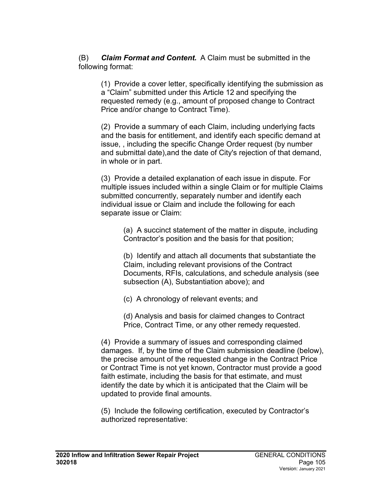(B) *Claim Format and Content.* A Claim must be submitted in the following format:

(1) Provide a cover letter, specifically identifying the submission as a "Claim" submitted under this Article 12 and specifying the requested remedy (e.g., amount of proposed change to Contract Price and/or change to Contract Time).

(2) Provide a summary of each Claim, including underlying facts and the basis for entitlement, and identify each specific demand at issue, , including the specific Change Order request (by number and submittal date),and the date of City's rejection of that demand, in whole or in part.

(3) Provide a detailed explanation of each issue in dispute. For multiple issues included within a single Claim or for multiple Claims submitted concurrently, separately number and identify each individual issue or Claim and include the following for each separate issue or Claim:

(a) A succinct statement of the matter in dispute, including Contractor's position and the basis for that position;

(b) Identify and attach all documents that substantiate the Claim, including relevant provisions of the Contract Documents, RFIs, calculations, and schedule analysis (see subsection (A), Substantiation above); and

(c) A chronology of relevant events; and

(d) Analysis and basis for claimed changes to Contract Price, Contract Time, or any other remedy requested.

(4) Provide a summary of issues and corresponding claimed damages. If, by the time of the Claim submission deadline (below), the precise amount of the requested change in the Contract Price or Contract Time is not yet known, Contractor must provide a good faith estimate, including the basis for that estimate, and must identify the date by which it is anticipated that the Claim will be updated to provide final amounts.

(5) Include the following certification, executed by Contractor's authorized representative: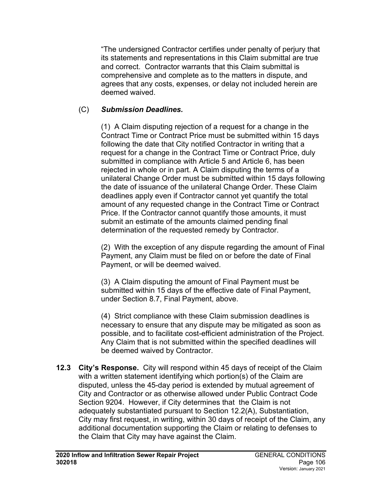"The undersigned Contractor certifies under penalty of perjury that its statements and representations in this Claim submittal are true and correct. Contractor warrants that this Claim submittal is comprehensive and complete as to the matters in dispute, and agrees that any costs, expenses, or delay not included herein are deemed waived.

### (C) *Submission Deadlines.*

(1) A Claim disputing rejection of a request for a change in the Contract Time or Contract Price must be submitted within 15 days following the date that City notified Contractor in writing that a request for a change in the Contract Time or Contract Price, duly submitted in compliance with Article 5 and Article 6, has been rejected in whole or in part. A Claim disputing the terms of a unilateral Change Order must be submitted within 15 days following the date of issuance of the unilateral Change Order. These Claim deadlines apply even if Contractor cannot yet quantify the total amount of any requested change in the Contract Time or Contract Price. If the Contractor cannot quantify those amounts, it must submit an estimate of the amounts claimed pending final determination of the requested remedy by Contractor.

(2) With the exception of any dispute regarding the amount of Final Payment, any Claim must be filed on or before the date of Final Payment, or will be deemed waived.

(3) A Claim disputing the amount of Final Payment must be submitted within 15 days of the effective date of Final Payment, under Section 8.7, Final Payment, above.

(4) Strict compliance with these Claim submission deadlines is necessary to ensure that any dispute may be mitigated as soon as possible, and to facilitate cost-efficient administration of the Project. Any Claim that is not submitted within the specified deadlines will be deemed waived by Contractor.

**12.3 City's Response.** City will respond within 45 days of receipt of the Claim with a written statement identifying which portion(s) of the Claim are disputed, unless the 45-day period is extended by mutual agreement of City and Contractor or as otherwise allowed under Public Contract Code Section 9204. However, if City determines that the Claim is not adequately substantiated pursuant to Section 12.2(A), Substantiation, City may first request, in writing, within 30 days of receipt of the Claim, any additional documentation supporting the Claim or relating to defenses to the Claim that City may have against the Claim.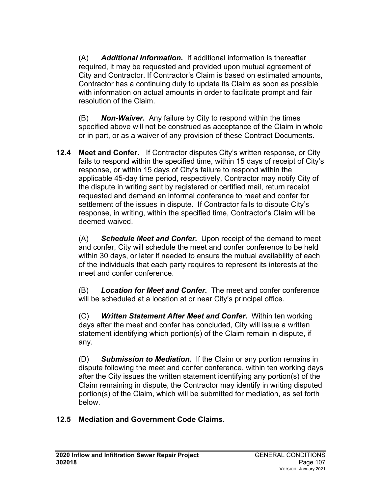(A) *Additional Information.* If additional information is thereafter required, it may be requested and provided upon mutual agreement of City and Contractor. If Contractor's Claim is based on estimated amounts, Contractor has a continuing duty to update its Claim as soon as possible with information on actual amounts in order to facilitate prompt and fair resolution of the Claim.

(B) *Non-Waiver.* Any failure by City to respond within the times specified above will not be construed as acceptance of the Claim in whole or in part, or as a waiver of any provision of these Contract Documents.

**12.4 Meet and Confer.** If Contractor disputes City's written response, or City fails to respond within the specified time, within 15 days of receipt of City's response, or within 15 days of City's failure to respond within the applicable 45-day time period, respectively, Contractor may notify City of the dispute in writing sent by registered or certified mail, return receipt requested and demand an informal conference to meet and confer for settlement of the issues in dispute. If Contractor fails to dispute City's response, in writing, within the specified time, Contractor's Claim will be deemed waived.

(A) *Schedule Meet and Confer.* Upon receipt of the demand to meet and confer, City will schedule the meet and confer conference to be held within 30 days, or later if needed to ensure the mutual availability of each of the individuals that each party requires to represent its interests at the meet and confer conference.

(B) *Location for Meet and Confer.* The meet and confer conference will be scheduled at a location at or near City's principal office.

(C) *Written Statement After Meet and Confer.* Within ten working days after the meet and confer has concluded, City will issue a written statement identifying which portion(s) of the Claim remain in dispute, if any.

(D) *Submission to Mediation.* If the Claim or any portion remains in dispute following the meet and confer conference, within ten working days after the City issues the written statement identifying any portion(s) of the Claim remaining in dispute, the Contractor may identify in writing disputed portion(s) of the Claim, which will be submitted for mediation, as set forth below.

## **12.5 Mediation and Government Code Claims.**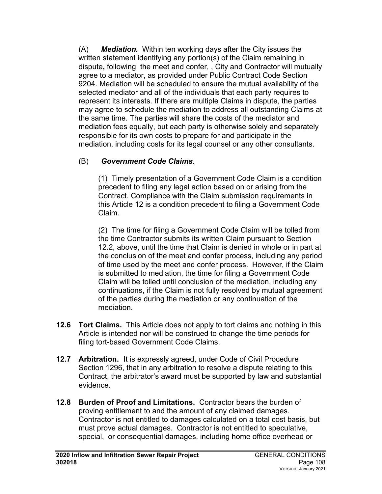(A) *Mediation.*Within ten working days after the City issues the written statement identifying any portion(s) of the Claim remaining in dispute**,** following the meet and confer, , City and Contractor will mutually agree to a mediator, as provided under Public Contract Code Section 9204. Mediation will be scheduled to ensure the mutual availability of the selected mediator and all of the individuals that each party requires to represent its interests. If there are multiple Claims in dispute, the parties may agree to schedule the mediation to address all outstanding Claims at the same time. The parties will share the costs of the mediator and mediation fees equally, but each party is otherwise solely and separately responsible for its own costs to prepare for and participate in the mediation, including costs for its legal counsel or any other consultants.

#### (B) *Government Code Claims*.

(1)Timely presentation of a Government Code Claim is a condition precedent to filing any legal action based on or arising from the Contract. Compliance with the Claim submission requirements in this Article 12 is a condition precedent to filing a Government Code Claim.

(2) The time for filing a Government Code Claim will be tolled from the time Contractor submits its written Claim pursuant to Section 12.2, above, until the time that Claim is denied in whole or in part at the conclusion of the meet and confer process, including any period of time used by the meet and confer process. However, if the Claim is submitted to mediation, the time for filing a Government Code Claim will be tolled until conclusion of the mediation, including any continuations, if the Claim is not fully resolved by mutual agreement of the parties during the mediation or any continuation of the mediation.

- **12.6 Tort Claims.** This Article does not apply to tort claims and nothing in this Article is intended nor will be construed to change the time periods for filing tort-based Government Code Claims.
- **12.7 Arbitration.** It is expressly agreed, under Code of Civil Procedure Section 1296, that in any arbitration to resolve a dispute relating to this Contract, the arbitrator's award must be supported by law and substantial evidence.
- **12.8 Burden of Proof and Limitations.** Contractor bears the burden of proving entitlement to and the amount of any claimed damages. Contractor is not entitled to damages calculated on a total cost basis, but must prove actual damages. Contractor is not entitled to speculative, special, or consequential damages, including home office overhead or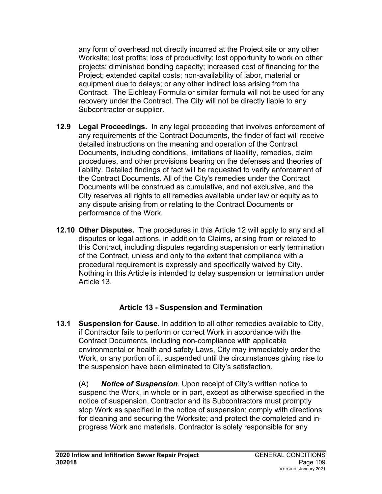any form of overhead not directly incurred at the Project site or any other Worksite; lost profits; loss of productivity; lost opportunity to work on other projects; diminished bonding capacity; increased cost of financing for the Project; extended capital costs; non-availability of labor, material or equipment due to delays; or any other indirect loss arising from the Contract. The Eichleay Formula or similar formula will not be used for any recovery under the Contract. The City will not be directly liable to any Subcontractor or supplier.

- **12.9 Legal Proceedings.** In any legal proceeding that involves enforcement of any requirements of the Contract Documents, the finder of fact will receive detailed instructions on the meaning and operation of the Contract Documents, including conditions, limitations of liability, remedies, claim procedures, and other provisions bearing on the defenses and theories of liability. Detailed findings of fact will be requested to verify enforcement of the Contract Documents. All of the City's remedies under the Contract Documents will be construed as cumulative, and not exclusive, and the City reserves all rights to all remedies available under law or equity as to any dispute arising from or relating to the Contract Documents or performance of the Work.
- **12.10 Other Disputes.** The procedures in this Article 12 will apply to any and all disputes or legal actions, in addition to Claims, arising from or related to this Contract, including disputes regarding suspension or early termination of the Contract, unless and only to the extent that compliance with a procedural requirement is expressly and specifically waived by City. Nothing in this Article is intended to delay suspension or termination under Article 13.

## **Article 13 - Suspension and Termination**

**13.1 Suspension for Cause.** In addition to all other remedies available to City, if Contractor fails to perform or correct Work in accordance with the Contract Documents, including non-compliance with applicable environmental or health and safety Laws, City may immediately order the Work, or any portion of it, suspended until the circumstances giving rise to the suspension have been eliminated to City's satisfaction.

(A) *Notice of Suspension*. Upon receipt of City's written notice to suspend the Work, in whole or in part, except as otherwise specified in the notice of suspension, Contractor and its Subcontractors must promptly stop Work as specified in the notice of suspension; comply with directions for cleaning and securing the Worksite; and protect the completed and inprogress Work and materials. Contractor is solely responsible for any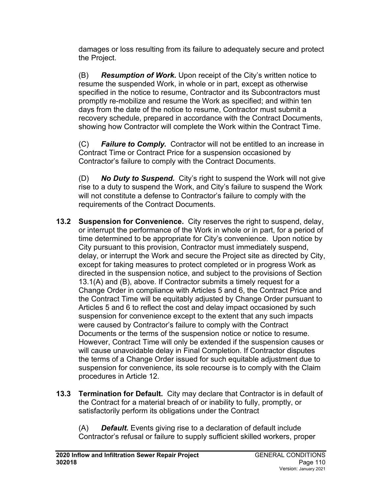damages or loss resulting from its failure to adequately secure and protect the Project.

(B) *Resumption of Work.* Upon receipt of the City's written notice to resume the suspended Work, in whole or in part, except as otherwise specified in the notice to resume, Contractor and its Subcontractors must promptly re-mobilize and resume the Work as specified; and within ten days from the date of the notice to resume, Contractor must submit a recovery schedule, prepared in accordance with the Contract Documents, showing how Contractor will complete the Work within the Contract Time.

(C) *Failure to Comply.* Contractor will not be entitled to an increase in Contract Time or Contract Price for a suspension occasioned by Contractor's failure to comply with the Contract Documents.

(D) *No Duty to Suspend.* City's right to suspend the Work will not give rise to a duty to suspend the Work, and City's failure to suspend the Work will not constitute a defense to Contractor's failure to comply with the requirements of the Contract Documents.

- **13.2 Suspension for Convenience.** City reserves the right to suspend, delay, or interrupt the performance of the Work in whole or in part, for a period of time determined to be appropriate for City's convenience. Upon notice by City pursuant to this provision, Contractor must immediately suspend, delay, or interrupt the Work and secure the Project site as directed by City, except for taking measures to protect completed or in progress Work as directed in the suspension notice, and subject to the provisions of Section 13.1(A) and (B), above. If Contractor submits a timely request for a Change Order in compliance with Articles 5 and 6, the Contract Price and the Contract Time will be equitably adjusted by Change Order pursuant to Articles 5 and 6 to reflect the cost and delay impact occasioned by such suspension for convenience except to the extent that any such impacts were caused by Contractor's failure to comply with the Contract Documents or the terms of the suspension notice or notice to resume. However, Contract Time will only be extended if the suspension causes or will cause unavoidable delay in Final Completion. If Contractor disputes the terms of a Change Order issued for such equitable adjustment due to suspension for convenience, its sole recourse is to comply with the Claim procedures in Article 12.
- **13.3 Termination for Default.** City may declare that Contractor is in default of the Contract for a material breach of or inability to fully, promptly, or satisfactorily perform its obligations under the Contract

(A) *Default.* Events giving rise to a declaration of default include Contractor's refusal or failure to supply sufficient skilled workers, proper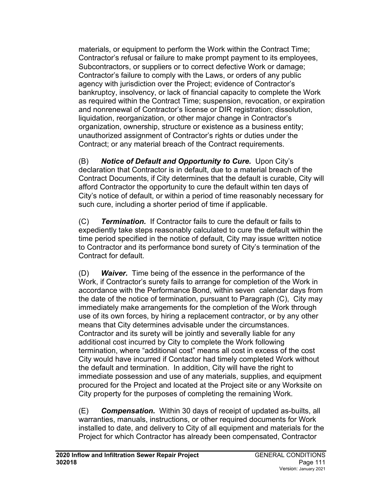materials, or equipment to perform the Work within the Contract Time; Contractor's refusal or failure to make prompt payment to its employees, Subcontractors, or suppliers or to correct defective Work or damage; Contractor's failure to comply with the Laws, or orders of any public agency with jurisdiction over the Project; evidence of Contractor's bankruptcy, insolvency, or lack of financial capacity to complete the Work as required within the Contract Time; suspension, revocation, or expiration and nonrenewal of Contractor's license or DIR registration; dissolution, liquidation, reorganization, or other major change in Contractor's organization, ownership, structure or existence as a business entity; unauthorized assignment of Contractor's rights or duties under the Contract; or any material breach of the Contract requirements.

(B) *Notice of Default and Opportunity to Cure.* Upon City's declaration that Contractor is in default, due to a material breach of the Contract Documents, if City determines that the default is curable, City will afford Contractor the opportunity to cure the default within ten days of City's notice of default, or within a period of time reasonably necessary for such cure, including a shorter period of time if applicable.

(C) *Termination.* If Contractor fails to cure the default or fails to expediently take steps reasonably calculated to cure the default within the time period specified in the notice of default, City may issue written notice to Contractor and its performance bond surety of City's termination of the Contract for default.

(D) *Waiver.* Time being of the essence in the performance of the Work, if Contractor's surety fails to arrange for completion of the Work in accordance with the Performance Bond, within seven calendar days from the date of the notice of termination, pursuant to Paragraph (C), City may immediately make arrangements for the completion of the Work through use of its own forces, by hiring a replacement contractor, or by any other means that City determines advisable under the circumstances. Contractor and its surety will be jointly and severally liable for any additional cost incurred by City to complete the Work following termination, where "additional cost" means all cost in excess of the cost City would have incurred if Contactor had timely completed Work without the default and termination. In addition, City will have the right to immediate possession and use of any materials, supplies, and equipment procured for the Project and located at the Project site or any Worksite on City property for the purposes of completing the remaining Work.

(E) *Compensation.* Within 30 days of receipt of updated as-builts, all warranties, manuals, instructions, or other required documents for Work installed to date, and delivery to City of all equipment and materials for the Project for which Contractor has already been compensated, Contractor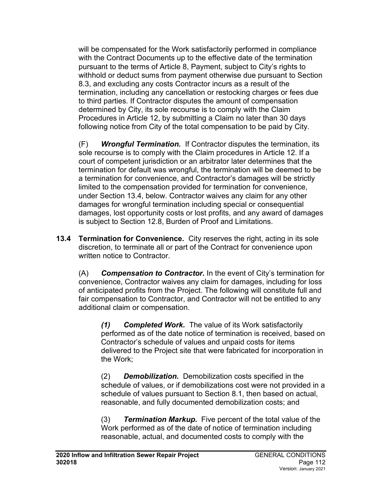will be compensated for the Work satisfactorily performed in compliance with the Contract Documents up to the effective date of the termination pursuant to the terms of Article 8, Payment, subject to City's rights to withhold or deduct sums from payment otherwise due pursuant to Section 8.3, and excluding any costs Contractor incurs as a result of the termination, including any cancellation or restocking charges or fees due to third parties. If Contractor disputes the amount of compensation determined by City, its sole recourse is to comply with the Claim Procedures in Article 12, by submitting a Claim no later than 30 days following notice from City of the total compensation to be paid by City.

(F) *Wrongful Termination.* If Contractor disputes the termination, its sole recourse is to comply with the Claim procedures in Article 12. If a court of competent jurisdiction or an arbitrator later determines that the termination for default was wrongful, the termination will be deemed to be a termination for convenience, and Contractor's damages will be strictly limited to the compensation provided for termination for convenience, under Section 13.4, below. Contractor waives any claim for any other damages for wrongful termination including special or consequential damages, lost opportunity costs or lost profits, and any award of damages is subject to Section 12.8, Burden of Proof and Limitations.

**13.4 Termination for Convenience.** City reserves the right, acting in its sole discretion, to terminate all or part of the Contract for convenience upon written notice to Contractor.

(A) *Compensation to Contractor.* In the event of City's termination for convenience, Contractor waives any claim for damages, including for loss of anticipated profits from the Project. The following will constitute full and fair compensation to Contractor, and Contractor will not be entitled to any additional claim or compensation.

*(1) Completed Work.* The value of its Work satisfactorily performed as of the date notice of termination is received, based on Contractor's schedule of values and unpaid costs for items delivered to the Project site that were fabricated for incorporation in the Work;

(2) *Demobilization.* Demobilization costs specified in the schedule of values, or if demobilizations cost were not provided in a schedule of values pursuant to Section 8.1, then based on actual, reasonable, and fully documented demobilization costs; and

(3) *Termination Markup.* Five percent of the total value of the Work performed as of the date of notice of termination including reasonable, actual, and documented costs to comply with the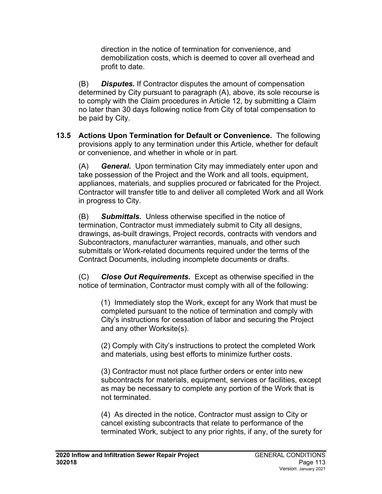direction in the notice of termination for convenience, and demobilization costs, which is deemed to cover all overhead and profit to date.

(B) *Disputes.* If Contractor disputes the amount of compensation determined by City pursuant to paragraph (A), above, its sole recourse is to comply with the Claim procedures in Article 12, by submitting a Claim no later than 30 days following notice from City of total compensation to be paid by City.

**13.5 Actions Upon Termination for Default or Convenience.** The following provisions apply to any termination under this Article, whether for default or convenience, and whether in whole or in part.

(A) *General.* Upon termination City may immediately enter upon and take possession of the Project and the Work and all tools, equipment, appliances, materials, and supplies procured or fabricated for the Project. Contractor will transfer title to and deliver all completed Work and all Work in progress to City.

(B) *Submittals.* Unless otherwise specified in the notice of termination, Contractor must immediately submit to City all designs, drawings, as-built drawings, Project records, contracts with vendors and Subcontractors, manufacturer warranties, manuals, and other such submittals or Work-related documents required under the terms of the Contract Documents, including incomplete documents or drafts.

(C) *Close Out Requirements.* Except as otherwise specified in the notice of termination, Contractor must comply with all of the following:

(1) Immediately stop the Work, except for any Work that must be completed pursuant to the notice of termination and comply with City's instructions for cessation of labor and securing the Project and any other Worksite(s).

(2) Comply with City's instructions to protect the completed Work and materials, using best efforts to minimize further costs.

(3) Contractor must not place further orders or enter into new subcontracts for materials, equipment, services or facilities, except as may be necessary to complete any portion of the Work that is not terminated.

(4) As directed in the notice, Contractor must assign to City or cancel existing subcontracts that relate to performance of the terminated Work, subject to any prior rights, if any, of the surety for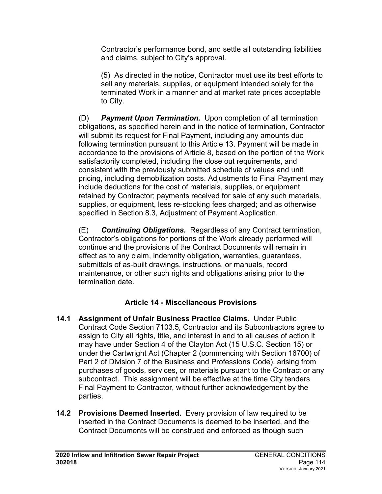Contractor's performance bond, and settle all outstanding liabilities and claims, subject to City's approval.

(5) As directed in the notice, Contractor must use its best efforts to sell any materials, supplies, or equipment intended solely for the terminated Work in a manner and at market rate prices acceptable to City.

(D) *Payment Upon Termination.* Upon completion of all termination obligations, as specified herein and in the notice of termination, Contractor will submit its request for Final Payment, including any amounts due following termination pursuant to this Article 13. Payment will be made in accordance to the provisions of Article 8, based on the portion of the Work satisfactorily completed, including the close out requirements, and consistent with the previously submitted schedule of values and unit pricing, including demobilization costs. Adjustments to Final Payment may include deductions for the cost of materials, supplies, or equipment retained by Contractor; payments received for sale of any such materials, supplies, or equipment, less re-stocking fees charged; and as otherwise specified in Section 8.3, Adjustment of Payment Application.

(E) *Continuing Obligations.* Regardless of any Contract termination, Contractor's obligations for portions of the Work already performed will continue and the provisions of the Contract Documents will remain in effect as to any claim, indemnity obligation, warranties, guarantees, submittals of as-built drawings, instructions, or manuals, record maintenance, or other such rights and obligations arising prior to the termination date.

## **Article 14 - Miscellaneous Provisions**

- **14.1 Assignment of Unfair Business Practice Claims.** Under Public Contract Code Section 7103.5, Contractor and its Subcontractors agree to assign to City all rights, title, and interest in and to all causes of action it may have under Section 4 of the Clayton Act (15 U.S.C. Section 15) or under the Cartwright Act (Chapter 2 (commencing with Section 16700) of Part 2 of Division 7 of the Business and Professions Code), arising from purchases of goods, services, or materials pursuant to the Contract or any subcontract. This assignment will be effective at the time City tenders Final Payment to Contractor, without further acknowledgement by the parties.
- **14.2 Provisions Deemed Inserted.** Every provision of law required to be inserted in the Contract Documents is deemed to be inserted, and the Contract Documents will be construed and enforced as though such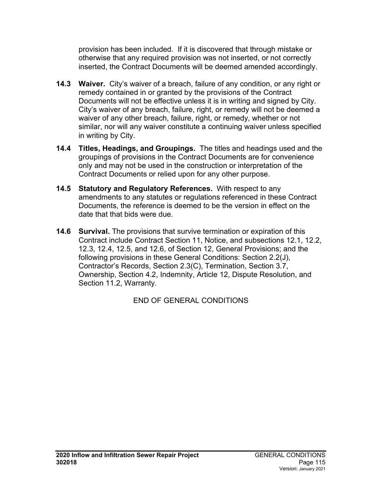provision has been included. If it is discovered that through mistake or otherwise that any required provision was not inserted, or not correctly inserted, the Contract Documents will be deemed amended accordingly.

- **14.3 Waiver.** City's waiver of a breach, failure of any condition, or any right or remedy contained in or granted by the provisions of the Contract Documents will not be effective unless it is in writing and signed by City. City's waiver of any breach, failure, right, or remedy will not be deemed a waiver of any other breach, failure, right, or remedy, whether or not similar, nor will any waiver constitute a continuing waiver unless specified in writing by City.
- **14.4 Titles, Headings, and Groupings.** The titles and headings used and the groupings of provisions in the Contract Documents are for convenience only and may not be used in the construction or interpretation of the Contract Documents or relied upon for any other purpose.
- **14.5 Statutory and Regulatory References.** With respect to any amendments to any statutes or regulations referenced in these Contract Documents, the reference is deemed to be the version in effect on the date that that bids were due.
- **14.6 Survival.** The provisions that survive termination or expiration of this Contract include Contract Section 11, Notice, and subsections 12.1, 12.2, 12.3, 12.4, 12.5, and 12.6, of Section 12, General Provisions; and the following provisions in these General Conditions: Section 2.2(J), Contractor's Records, Section 2.3(C), Termination, Section 3.7, Ownership, Section 4.2, Indemnity, Article 12, Dispute Resolution, and Section 11.2, Warranty.

END OF GENERAL CONDITIONS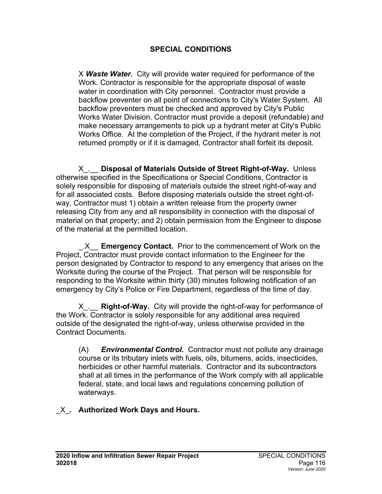#### **SPECIAL CONDITIONS**

X *Waste Water.* City will provide water required for performance of the Work. Contractor is responsible for the appropriate disposal of waste water in coordination with City personnel. Contractor must provide a backflow preventer on all point of connections to City's Water System. All backflow preventers must be checked and approved by City's Public Works Water Division. Contractor must provide a deposit (refundable) and make necessary arrangements to pick up a hydrant meter at City's Public Works Office. At the completion of the Project, if the hydrant meter is not returned promptly or if it is damaged, Contractor shall forfeit its deposit.

X\_.\_\_ **Disposal of Materials Outside of Street Right-of-Way.** Unless otherwise specified in the Specifications or Special Conditions, Contractor is solely responsible for disposing of materials outside the street right-of-way and for all associated costs. Before disposing materials outside the street right-ofway, Contractor must 1) obtain a written release from the property owner releasing City from any and all responsibility in connection with the disposal of material on that property; and 2) obtain permission from the Engineer to dispose of the material at the permitted location.

\_.X\_\_ **Emergency Contact.** Prior to the commencement of Work on the Project, Contractor must provide contact information to the Engineer for the person designated by Contractor to respond to any emergency that arises on the Worksite during the course of the Project. That person will be responsible for responding to the Worksite within thirty (30) minutes following notification of an emergency by City's Police or Fire Department, regardless of the time of day.

X\_.\_\_ **Right-of-Way.** City will provide the right-of-way for performance of the Work. Contractor is solely responsible for any additional area required outside of the designated the right-of-way, unless otherwise provided in the Contract Documents.

(A) *Environmental Control.* Contractor must not pollute any drainage course or its tributary inlets with fuels, oils, bitumens, acids, insecticides, herbicides or other harmful materials. Contractor and its subcontractors shall at all times in the performance of the Work comply with all applicable federal, state, and local laws and regulations concerning pollution of waterways.

## \_X\_**. Authorized Work Days and Hours.**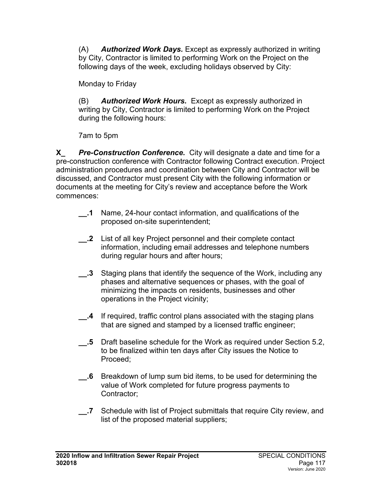(A) *Authorized Work Days.* Except as expressly authorized in writing by City, Contractor is limited to performing Work on the Project on the following days of the week, excluding holidays observed by City:

Monday to Friday

(B) *Authorized Work Hours.* Except as expressly authorized in writing by City, Contractor is limited to performing Work on the Project during the following hours:

7am to 5pm

**X\_** *Pre-Construction Conference.* City will designate a date and time for a pre-construction conference with Contractor following Contract execution. Project administration procedures and coordination between City and Contractor will be discussed, and Contractor must present City with the following information or documents at the meeting for City's review and acceptance before the Work commences:

- **\_\_.1** Name, 24-hour contact information, and qualifications of the proposed on-site superintendent;
- **\_\_.2** List of all key Project personnel and their complete contact information, including email addresses and telephone numbers during regular hours and after hours;
- **3** Staging plans that identify the sequence of the Work, including any phases and alternative sequences or phases, with the goal of minimizing the impacts on residents, businesses and other operations in the Project vicinity;
- **\_\_.4** If required, traffic control plans associated with the staging plans that are signed and stamped by a licensed traffic engineer;
- **\_\_.5** Draft baseline schedule for the Work as required under Section 5.2, to be finalized within ten days after City issues the Notice to Proceed;
- **\_\_.6** Breakdown of lump sum bid items, to be used for determining the value of Work completed for future progress payments to Contractor;
- **\_\_.7** Schedule with list of Project submittals that require City review, and list of the proposed material suppliers;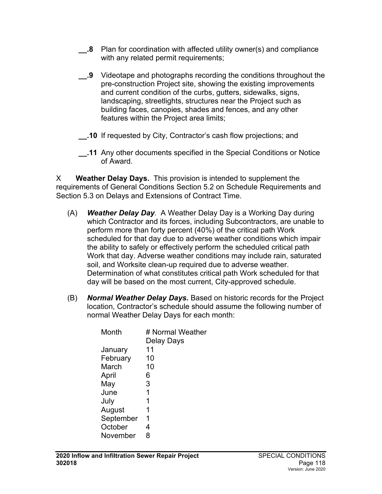- **2** Plan for coordination with affected utility owner(s) and compliance with any related permit requirements;
- **\_\_.9** Videotape and photographs recording the conditions throughout the pre-construction Project site, showing the existing improvements and current condition of the curbs, gutters, sidewalks, signs, landscaping, streetlights, structures near the Project such as building faces, canopies, shades and fences, and any other features within the Project area limits;
- **\_\_.10** If requested by City, Contractor's cash flow projections; and
- **\_\_.11** Any other documents specified in the Special Conditions or Notice of Award.

X **Weather Delay Days.** This provision is intended to supplement the requirements of General Conditions Section 5.2 on Schedule Requirements and Section 5.3 on Delays and Extensions of Contract Time.

- (A) *Weather Delay Day.* A Weather Delay Day is a Working Day during which Contractor and its forces, including Subcontractors, are unable to perform more than forty percent (40%) of the critical path Work scheduled for that day due to adverse weather conditions which impair the ability to safely or effectively perform the scheduled critical path Work that day. Adverse weather conditions may include rain, saturated soil, and Worksite clean-up required due to adverse weather. Determination of what constitutes critical path Work scheduled for that day will be based on the most current, City-approved schedule.
- (B) *Normal Weather Delay Days.* Based on historic records for the Project location, Contractor's schedule should assume the following number of normal Weather Delay Days for each month:

| Month     | # Normal Weather<br>Delay Days |
|-----------|--------------------------------|
| January   | 11                             |
| February  | 10                             |
| March     | 10                             |
| April     | 6                              |
| May       | 3                              |
| June      | 1                              |
| July      | 1                              |
| August    | 1                              |
| September | 1                              |
| October   | 4                              |
| November  | 8                              |
|           |                                |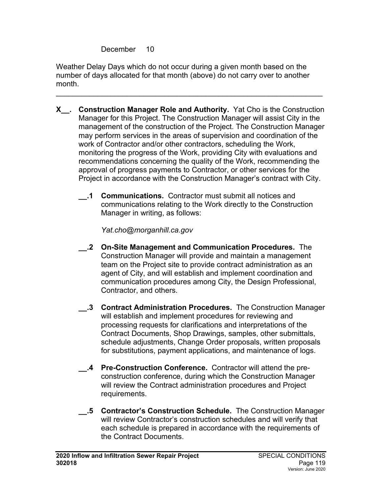December 10

Weather Delay Days which do not occur during a given month based on the number of days allocated for that month (above) do not carry over to another month.

\_\_\_\_\_\_\_\_\_\_\_\_\_\_\_\_\_\_\_\_\_\_\_\_\_\_\_\_\_\_\_\_\_\_\_\_\_\_\_\_\_\_\_\_\_\_\_\_\_\_\_\_\_\_\_\_\_\_\_\_\_\_\_\_

- **X\_\_. Construction Manager Role and Authority.** Yat Cho is the Construction Manager for this Project. The Construction Manager will assist City in the management of the construction of the Project. The Construction Manager may perform services in the areas of supervision and coordination of the work of Contractor and/or other contractors, scheduling the Work, monitoring the progress of the Work, providing City with evaluations and recommendations concerning the quality of the Work, recommending the approval of progress payments to Contractor, or other services for the Project in accordance with the Construction Manager's contract with City.
	- **\_\_.1 Communications.** Contractor must submit all notices and communications relating to the Work directly to the Construction Manager in writing, as follows:

*Yat.cho@morganhill.ca.gov*

- **\_\_.2 On-Site Management and Communication Procedures.** The Construction Manager will provide and maintain a management team on the Project site to provide contract administration as an agent of City, and will establish and implement coordination and communication procedures among City, the Design Professional, Contractor, and others.
- **\_\_.3 Contract Administration Procedures.** The Construction Manager will establish and implement procedures for reviewing and processing requests for clarifications and interpretations of the Contract Documents, Shop Drawings, samples, other submittals, schedule adjustments, Change Order proposals, written proposals for substitutions, payment applications, and maintenance of logs.
- **\_\_.4 Pre-Construction Conference.** Contractor will attend the preconstruction conference, during which the Construction Manager will review the Contract administration procedures and Project requirements.
- **\_\_.5 Contractor's Construction Schedule.** The Construction Manager will review Contractor's construction schedules and will verify that each schedule is prepared in accordance with the requirements of the Contract Documents.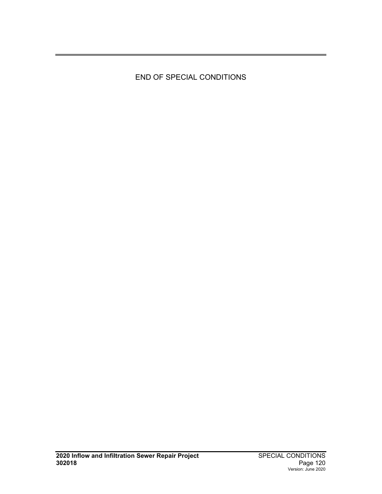END OF SPECIAL CONDITIONS